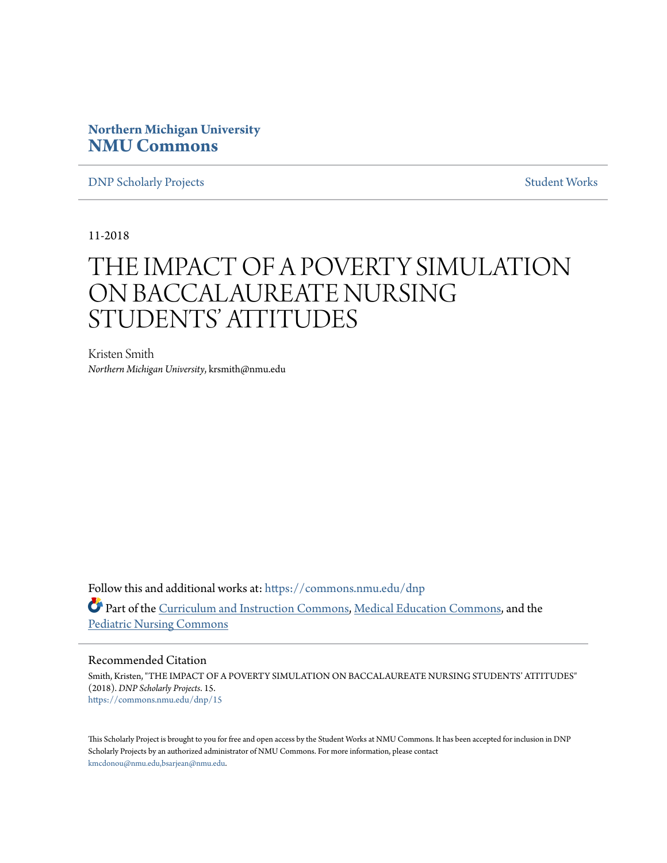# **Northern Michigan University [NMU Commons](https://commons.nmu.edu?utm_source=commons.nmu.edu%2Fdnp%2F15&utm_medium=PDF&utm_campaign=PDFCoverPages)**

**[DNP Scholarly Projects](https://commons.nmu.edu/dnp?utm_source=commons.nmu.edu%2Fdnp%2F15&utm_medium=PDF&utm_campaign=PDFCoverPages)** [Student Works](https://commons.nmu.edu/student_works?utm_source=commons.nmu.edu%2Fdnp%2F15&utm_medium=PDF&utm_campaign=PDFCoverPages)

11-2018

# THE IMPACT OF A POVERTY SIMULATION ON BACCALAUREATE NURSING STUDENTS' ATTITUDES

Kristen Smith *Northern Michigan University*, krsmith@nmu.edu

Follow this and additional works at: [https://commons.nmu.edu/dnp](https://commons.nmu.edu/dnp?utm_source=commons.nmu.edu%2Fdnp%2F15&utm_medium=PDF&utm_campaign=PDFCoverPages) Part of the [Curriculum and Instruction Commons](http://network.bepress.com/hgg/discipline/786?utm_source=commons.nmu.edu%2Fdnp%2F15&utm_medium=PDF&utm_campaign=PDFCoverPages), [Medical Education Commons](http://network.bepress.com/hgg/discipline/1125?utm_source=commons.nmu.edu%2Fdnp%2F15&utm_medium=PDF&utm_campaign=PDFCoverPages), and the [Pediatric Nursing Commons](http://network.bepress.com/hgg/discipline/723?utm_source=commons.nmu.edu%2Fdnp%2F15&utm_medium=PDF&utm_campaign=PDFCoverPages)

#### Recommended Citation

Smith, Kristen, "THE IMPACT OF A POVERTY SIMULATION ON BACCALAUREATE NURSING STUDENTS' ATTITUDES" (2018). *DNP Scholarly Projects*. 15. [https://commons.nmu.edu/dnp/15](https://commons.nmu.edu/dnp/15?utm_source=commons.nmu.edu%2Fdnp%2F15&utm_medium=PDF&utm_campaign=PDFCoverPages)

This Scholarly Project is brought to you for free and open access by the Student Works at NMU Commons. It has been accepted for inclusion in DNP Scholarly Projects by an authorized administrator of NMU Commons. For more information, please contact [kmcdonou@nmu.edu,bsarjean@nmu.edu.](mailto:kmcdonou@nmu.edu,bsarjean@nmu.edu)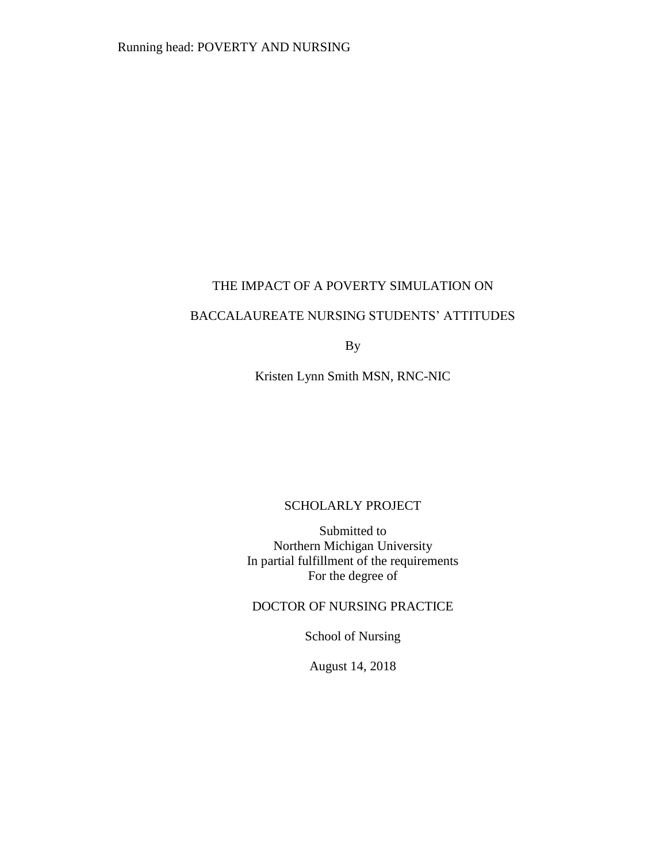### THE IMPACT OF A POVERTY SIMULATION ON

## BACCALAUREATE NURSING STUDENTS' ATTITUDES

By

Kristen Lynn Smith MSN, RNC-NIC

## SCHOLARLY PROJECT

Submitted to Northern Michigan University In partial fulfillment of the requirements For the degree of

DOCTOR OF NURSING PRACTICE

School of Nursing

August 14, 2018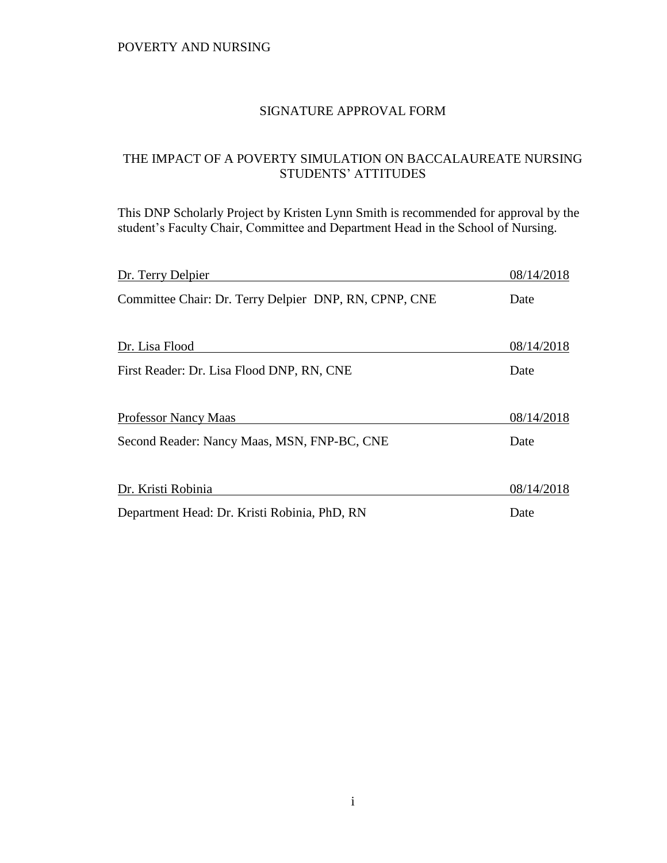### SIGNATURE APPROVAL FORM

## THE IMPACT OF A POVERTY SIMULATION ON BACCALAUREATE NURSING STUDENTS' ATTITUDES

This DNP Scholarly Project by Kristen Lynn Smith is recommended for approval by the student's Faculty Chair, Committee and Department Head in the School of Nursing.

| Dr. Terry Delpier                                     | 08/14/2018 |
|-------------------------------------------------------|------------|
| Committee Chair: Dr. Terry Delpier DNP, RN, CPNP, CNE | Date       |
|                                                       |            |
| Dr. Lisa Flood                                        | 08/14/2018 |
| First Reader: Dr. Lisa Flood DNP, RN, CNE             | Date       |
| <b>Professor Nancy Maas</b>                           | 08/14/2018 |
| Second Reader: Nancy Maas, MSN, FNP-BC, CNE           | Date       |
| Dr. Kristi Robinia                                    | 08/14/2018 |
| Department Head: Dr. Kristi Robinia, PhD, RN          | Date       |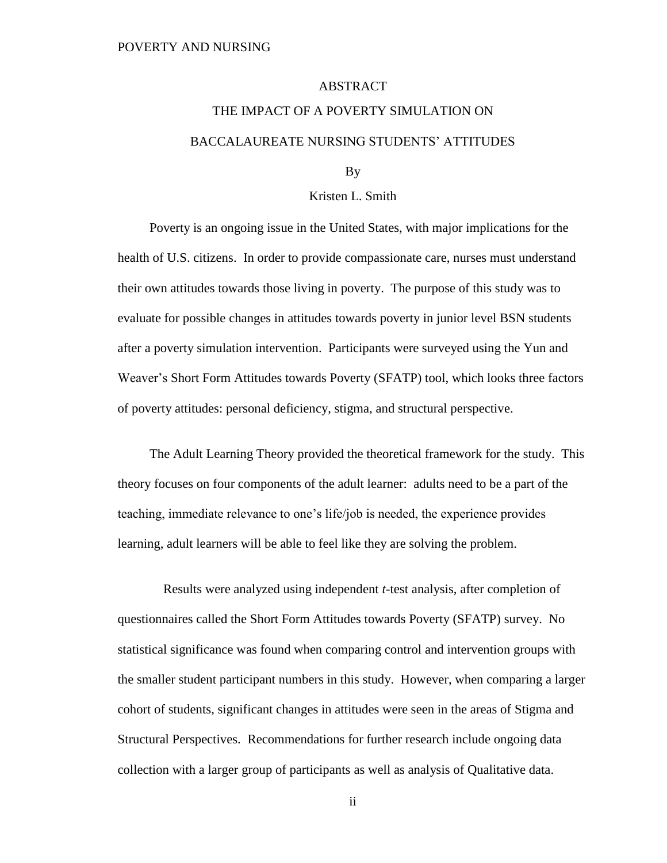#### ABSTRACT

# THE IMPACT OF A POVERTY SIMULATION ON BACCALAUREATE NURSING STUDENTS' ATTITUDES

By

#### Kristen L. Smith

Poverty is an ongoing issue in the United States, with major implications for the health of U.S. citizens. In order to provide compassionate care, nurses must understand their own attitudes towards those living in poverty. The purpose of this study was to evaluate for possible changes in attitudes towards poverty in junior level BSN students after a poverty simulation intervention. Participants were surveyed using the Yun and Weaver's Short Form Attitudes towards Poverty (SFATP) tool, which looks three factors of poverty attitudes: personal deficiency, stigma, and structural perspective.

The Adult Learning Theory provided the theoretical framework for the study. This theory focuses on four components of the adult learner: adults need to be a part of the teaching, immediate relevance to one's life/job is needed, the experience provides learning, adult learners will be able to feel like they are solving the problem.

 Results were analyzed using independent *t*-test analysis, after completion of questionnaires called the Short Form Attitudes towards Poverty (SFATP) survey. No statistical significance was found when comparing control and intervention groups with the smaller student participant numbers in this study. However, when comparing a larger cohort of students, significant changes in attitudes were seen in the areas of Stigma and Structural Perspectives. Recommendations for further research include ongoing data collection with a larger group of participants as well as analysis of Qualitative data.

ii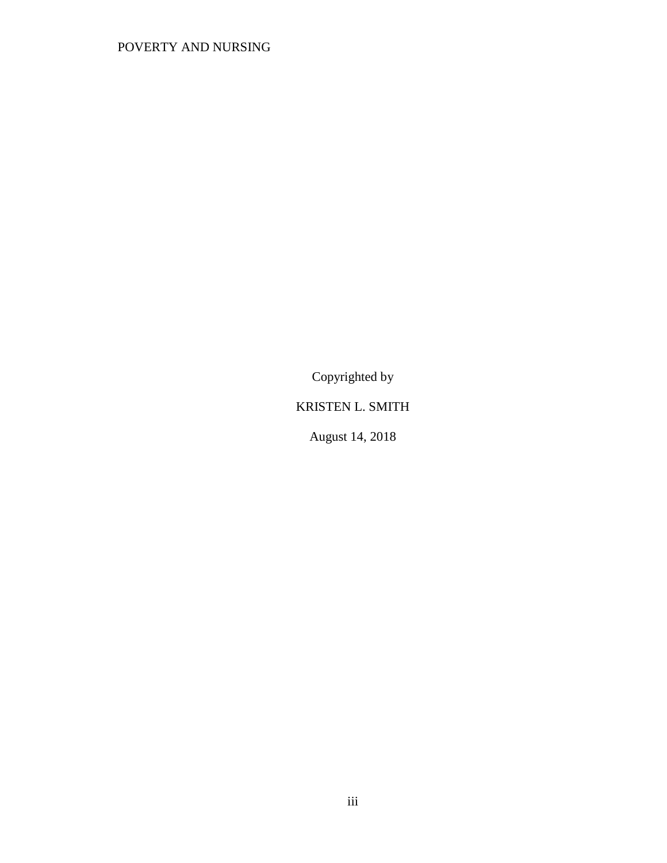Copyrighted by

# KRISTEN L. SMITH

August 14, 2018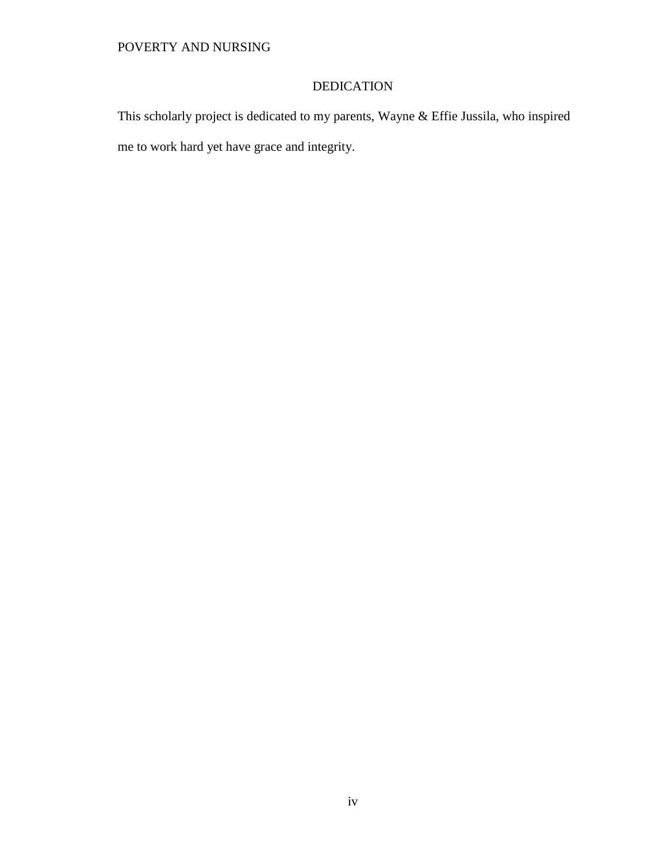# DEDICATION

This scholarly project is dedicated to my parents, Wayne & Effie Jussila, who inspired me to work hard yet have grace and integrity.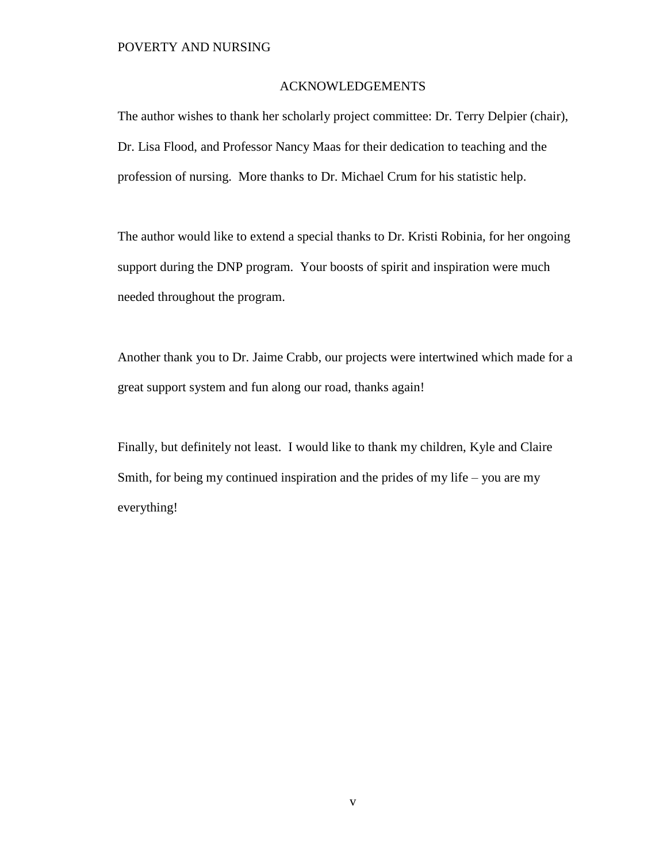#### ACKNOWLEDGEMENTS

The author wishes to thank her scholarly project committee: Dr. Terry Delpier (chair), Dr. Lisa Flood, and Professor Nancy Maas for their dedication to teaching and the profession of nursing. More thanks to Dr. Michael Crum for his statistic help.

The author would like to extend a special thanks to Dr. Kristi Robinia, for her ongoing support during the DNP program. Your boosts of spirit and inspiration were much needed throughout the program.

Another thank you to Dr. Jaime Crabb, our projects were intertwined which made for a great support system and fun along our road, thanks again!

Finally, but definitely not least. I would like to thank my children, Kyle and Claire Smith, for being my continued inspiration and the prides of my life – you are my everything!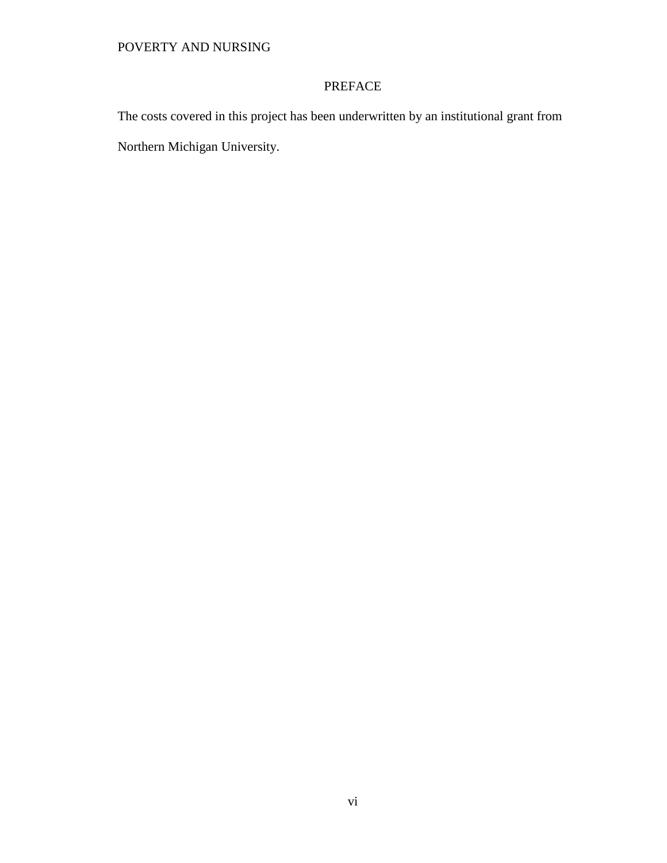# PREFACE

The costs covered in this project has been underwritten by an institutional grant from Northern Michigan University.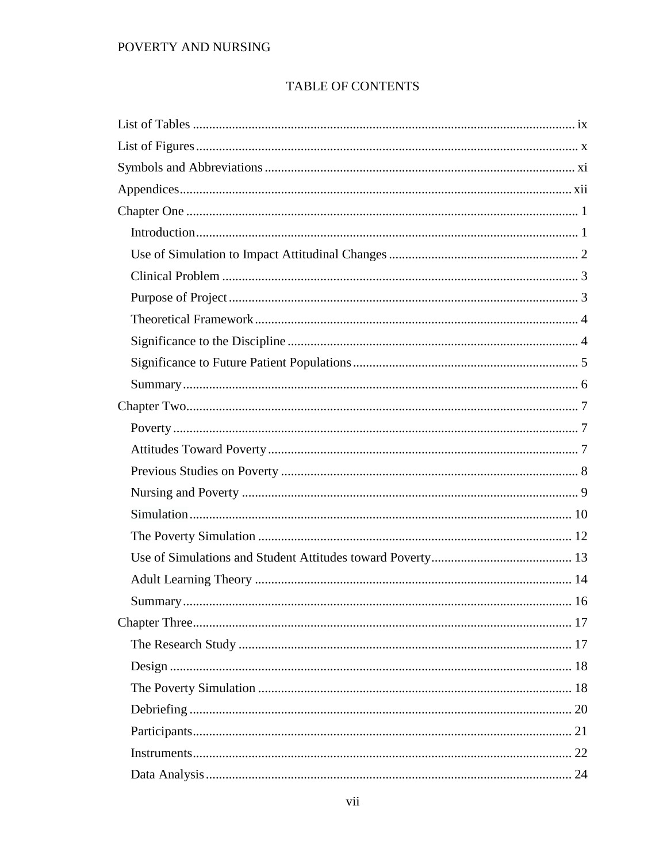# TABLE OF CONTENTS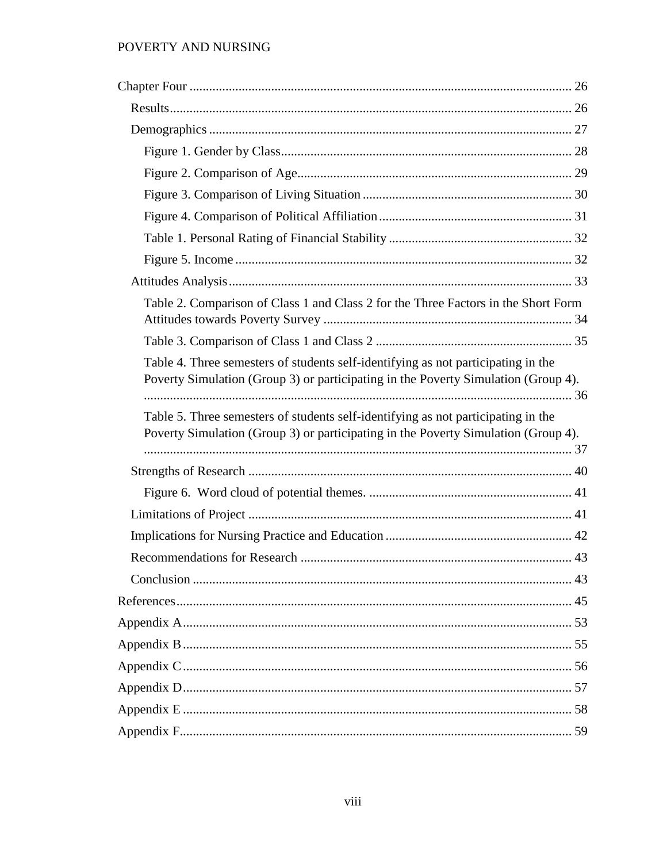| Table 2. Comparison of Class 1 and Class 2 for the Three Factors in the Short Form                                                                                      |  |
|-------------------------------------------------------------------------------------------------------------------------------------------------------------------------|--|
|                                                                                                                                                                         |  |
| Table 4. Three semesters of students self-identifying as not participating in the<br>Poverty Simulation (Group 3) or participating in the Poverty Simulation (Group 4). |  |
| Table 5. Three semesters of students self-identifying as not participating in the<br>Poverty Simulation (Group 3) or participating in the Poverty Simulation (Group 4). |  |
|                                                                                                                                                                         |  |
|                                                                                                                                                                         |  |
|                                                                                                                                                                         |  |
|                                                                                                                                                                         |  |
|                                                                                                                                                                         |  |
|                                                                                                                                                                         |  |
|                                                                                                                                                                         |  |
|                                                                                                                                                                         |  |
|                                                                                                                                                                         |  |
|                                                                                                                                                                         |  |
|                                                                                                                                                                         |  |
|                                                                                                                                                                         |  |
|                                                                                                                                                                         |  |
|                                                                                                                                                                         |  |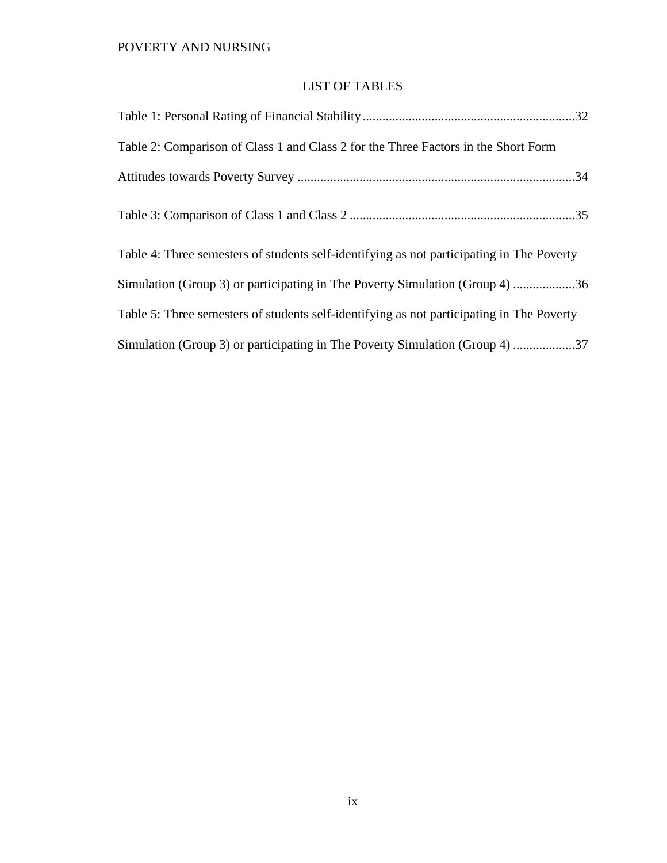## LIST OF TABLES

<span id="page-10-0"></span>

| Table 2: Comparison of Class 1 and Class 2 for the Three Factors in the Short Form        |
|-------------------------------------------------------------------------------------------|
|                                                                                           |
|                                                                                           |
| Table 4: Three semesters of students self-identifying as not participating in The Poverty |
| Simulation (Group 3) or participating in The Poverty Simulation (Group 4) 36              |
| Table 5: Three semesters of students self-identifying as not participating in The Poverty |
| Simulation (Group 3) or participating in The Poverty Simulation (Group 4) 37              |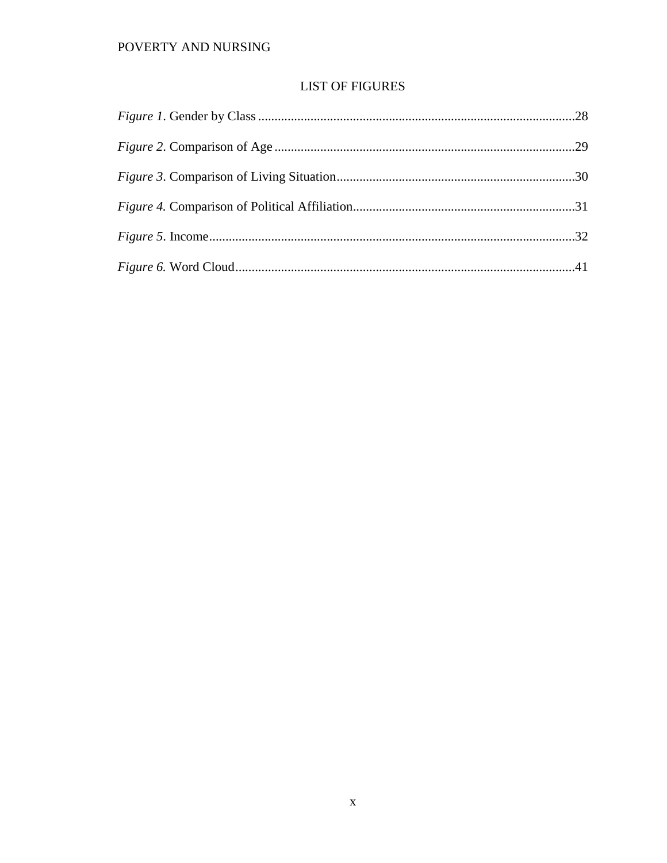## **LIST OF FIGURES**

<span id="page-11-0"></span>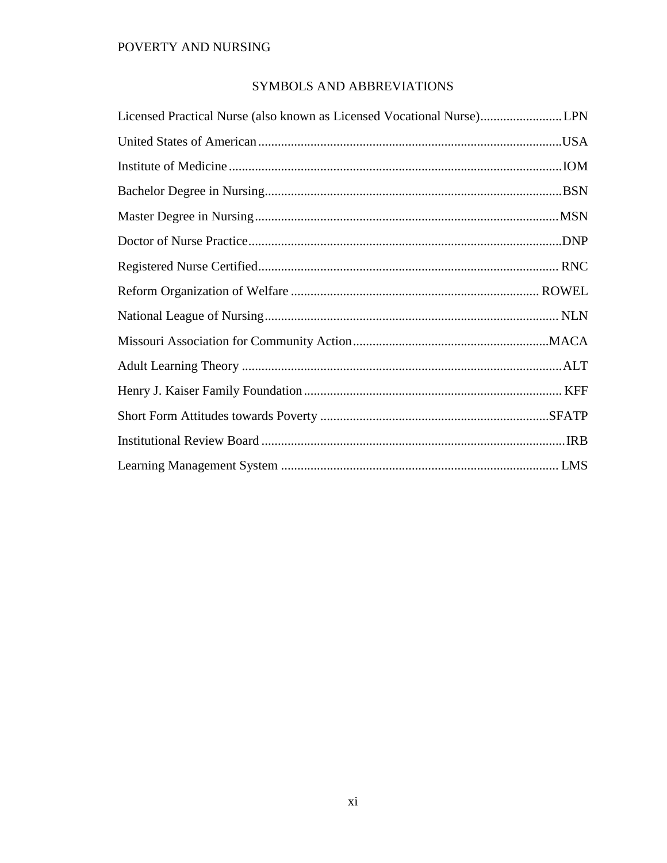# SYMBOLS AND ABBREVIATIONS

<span id="page-12-0"></span>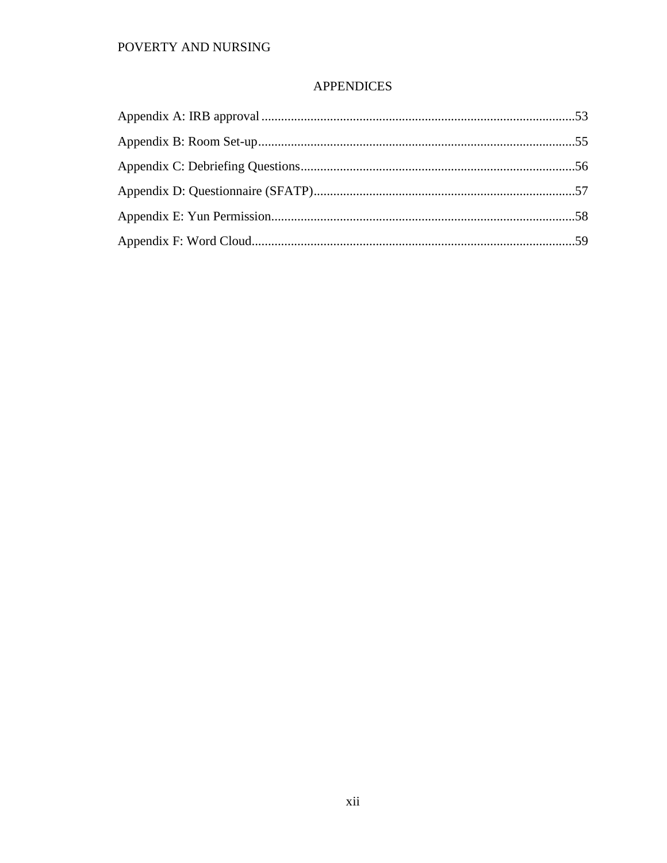## **APPENDICES**

<span id="page-13-0"></span>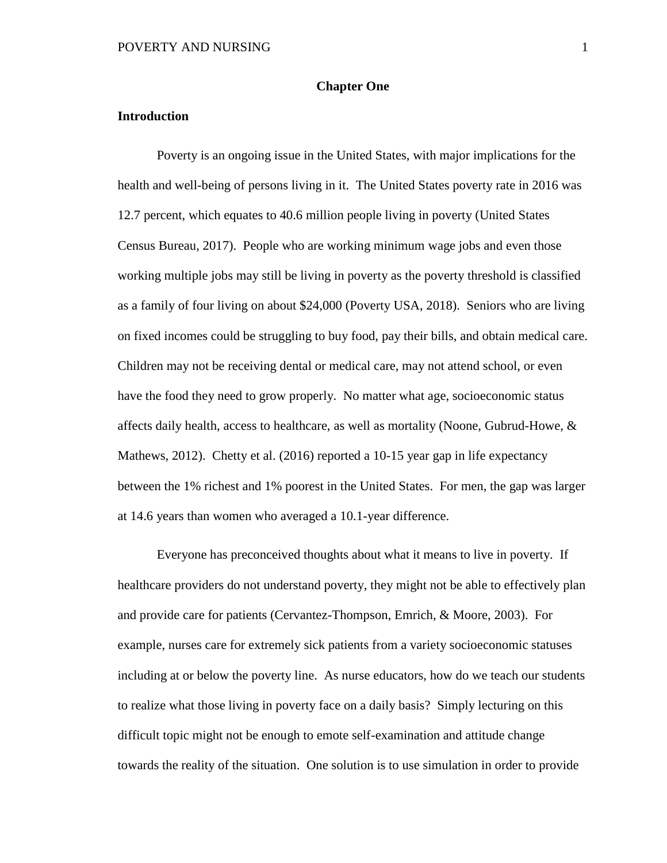#### **Chapter One**

#### <span id="page-14-1"></span><span id="page-14-0"></span>**Introduction**

Poverty is an ongoing issue in the United States, with major implications for the health and well-being of persons living in it. The United States poverty rate in 2016 was 12.7 percent, which equates to 40.6 million people living in poverty (United States Census Bureau, 2017). People who are working minimum wage jobs and even those working multiple jobs may still be living in poverty as the poverty threshold is classified as a family of four living on about \$24,000 (Poverty USA, 2018). Seniors who are living on fixed incomes could be struggling to buy food, pay their bills, and obtain medical care. Children may not be receiving dental or medical care, may not attend school, or even have the food they need to grow properly. No matter what age, socioeconomic status affects daily health, access to healthcare, as well as mortality (Noone, Gubrud-Howe, & Mathews, 2012). Chetty et al. (2016) reported a 10-15 year gap in life expectancy between the 1% richest and 1% poorest in the United States. For men, the gap was larger at 14.6 years than women who averaged a 10.1-year difference.

Everyone has preconceived thoughts about what it means to live in poverty. If healthcare providers do not understand poverty, they might not be able to effectively plan and provide care for patients (Cervantez-Thompson, Emrich, & Moore, 2003). For example, nurses care for extremely sick patients from a variety socioeconomic statuses including at or below the poverty line. As nurse educators, how do we teach our students to realize what those living in poverty face on a daily basis? Simply lecturing on this difficult topic might not be enough to emote self-examination and attitude change towards the reality of the situation. One solution is to use simulation in order to provide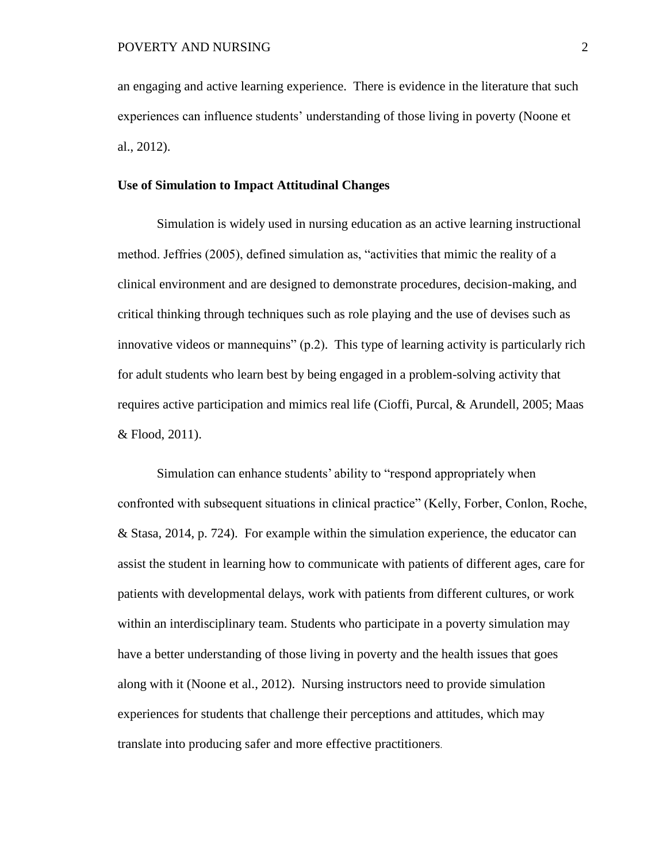an engaging and active learning experience. There is evidence in the literature that such experiences can influence students' understanding of those living in poverty (Noone et al., 2012).

#### <span id="page-15-0"></span>**Use of Simulation to Impact Attitudinal Changes**

Simulation is widely used in nursing education as an active learning instructional method. Jeffries (2005), defined simulation as, "activities that mimic the reality of a clinical environment and are designed to demonstrate procedures, decision-making, and critical thinking through techniques such as role playing and the use of devises such as innovative videos or mannequins" (p.2). This type of learning activity is particularly rich for adult students who learn best by being engaged in a problem-solving activity that requires active participation and mimics real life (Cioffi, Purcal, & Arundell, 2005; Maas & Flood, 2011).

Simulation can enhance students' ability to "respond appropriately when confronted with subsequent situations in clinical practice" (Kelly, Forber, Conlon, Roche, & Stasa, 2014, p. 724). For example within the simulation experience, the educator can assist the student in learning how to communicate with patients of different ages, care for patients with developmental delays, work with patients from different cultures, or work within an interdisciplinary team. Students who participate in a poverty simulation may have a better understanding of those living in poverty and the health issues that goes along with it (Noone et al., 2012). Nursing instructors need to provide simulation experiences for students that challenge their perceptions and attitudes, which may translate into producing safer and more effective practitioners.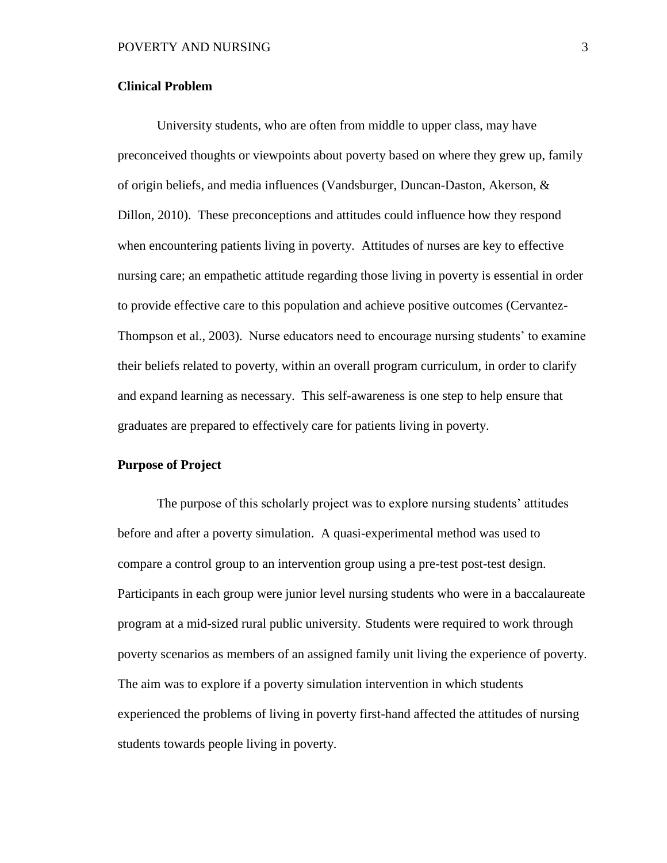#### <span id="page-16-0"></span>**Clinical Problem**

University students, who are often from middle to upper class, may have preconceived thoughts or viewpoints about poverty based on where they grew up, family of origin beliefs, and media influences (Vandsburger, Duncan-Daston, Akerson, & Dillon, 2010). These preconceptions and attitudes could influence how they respond when encountering patients living in poverty. Attitudes of nurses are key to effective nursing care; an empathetic attitude regarding those living in poverty is essential in order to provide effective care to this population and achieve positive outcomes (Cervantez-Thompson et al., 2003). Nurse educators need to encourage nursing students' to examine their beliefs related to poverty, within an overall program curriculum, in order to clarify and expand learning as necessary. This self-awareness is one step to help ensure that graduates are prepared to effectively care for patients living in poverty.

#### <span id="page-16-1"></span>**Purpose of Project**

The purpose of this scholarly project was to explore nursing students' attitudes before and after a poverty simulation. A quasi-experimental method was used to compare a control group to an intervention group using a pre-test post-test design. Participants in each group were junior level nursing students who were in a baccalaureate program at a mid-sized rural public university. Students were required to work through poverty scenarios as members of an assigned family unit living the experience of poverty. The aim was to explore if a poverty simulation intervention in which students experienced the problems of living in poverty first-hand affected the attitudes of nursing students towards people living in poverty.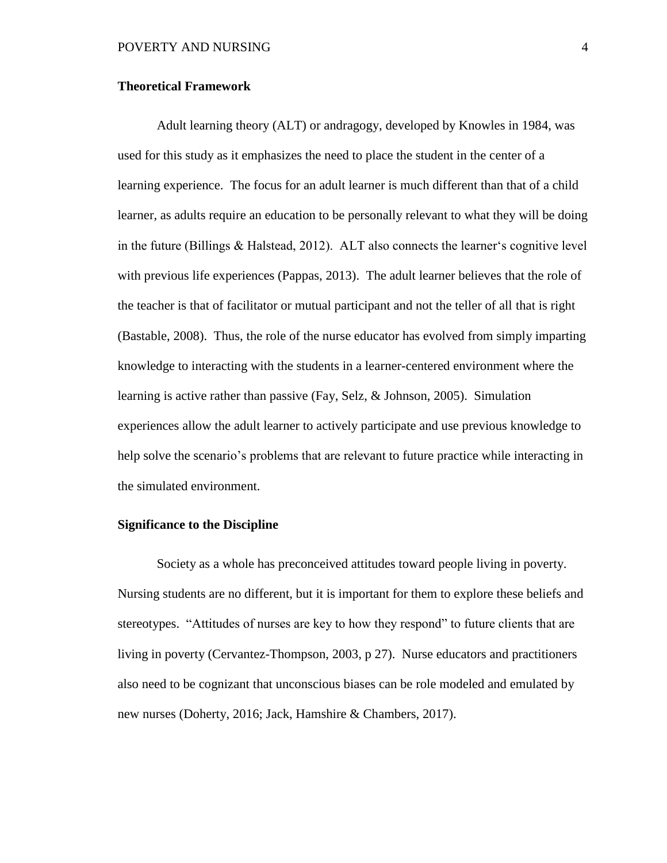#### <span id="page-17-0"></span>**Theoretical Framework**

Adult learning theory (ALT) or andragogy, developed by Knowles in 1984, was used for this study as it emphasizes the need to place the student in the center of a learning experience. The focus for an adult learner is much different than that of a child learner, as adults require an education to be personally relevant to what they will be doing in the future (Billings & Halstead, 2012). ALT also connects the learner's cognitive level with previous life experiences (Pappas, 2013). The adult learner believes that the role of the teacher is that of facilitator or mutual participant and not the teller of all that is right (Bastable, 2008). Thus, the role of the nurse educator has evolved from simply imparting knowledge to interacting with the students in a learner-centered environment where the learning is active rather than passive (Fay, Selz, & Johnson, 2005). Simulation experiences allow the adult learner to actively participate and use previous knowledge to help solve the scenario's problems that are relevant to future practice while interacting in the simulated environment.

#### <span id="page-17-1"></span>**Significance to the Discipline**

Society as a whole has preconceived attitudes toward people living in poverty. Nursing students are no different, but it is important for them to explore these beliefs and stereotypes. "Attitudes of nurses are key to how they respond" to future clients that are living in poverty (Cervantez-Thompson, 2003, p 27). Nurse educators and practitioners also need to be cognizant that unconscious biases can be role modeled and emulated by new nurses (Doherty, 2016; Jack, Hamshire & Chambers, 2017).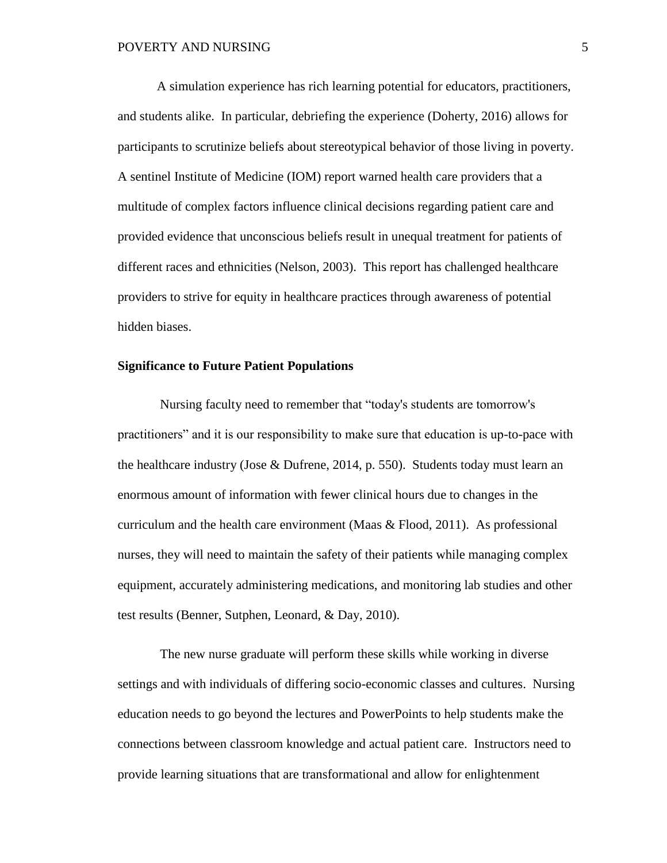A simulation experience has rich learning potential for educators, practitioners, and students alike. In particular, debriefing the experience (Doherty, 2016) allows for participants to scrutinize beliefs about stereotypical behavior of those living in poverty. A sentinel Institute of Medicine (IOM) report warned health care providers that a multitude of complex factors influence clinical decisions regarding patient care and provided evidence that unconscious beliefs result in unequal treatment for patients of different races and ethnicities (Nelson, 2003). This report has challenged healthcare providers to strive for equity in healthcare practices through awareness of potential hidden biases.

#### <span id="page-18-0"></span>**Significance to Future Patient Populations**

Nursing faculty need to remember that "today's students are tomorrow's practitioners" and it is our responsibility to make sure that education is up-to-pace with the healthcare industry (Jose & Dufrene, 2014, p. 550). Students today must learn an enormous amount of information with fewer clinical hours due to changes in the curriculum and the health care environment (Maas & Flood, 2011). As professional nurses, they will need to maintain the safety of their patients while managing complex equipment, accurately administering medications, and monitoring lab studies and other test results (Benner, Sutphen, Leonard, & Day, 2010).

The new nurse graduate will perform these skills while working in diverse settings and with individuals of differing socio-economic classes and cultures. Nursing education needs to go beyond the lectures and PowerPoints to help students make the connections between classroom knowledge and actual patient care. Instructors need to provide learning situations that are transformational and allow for enlightenment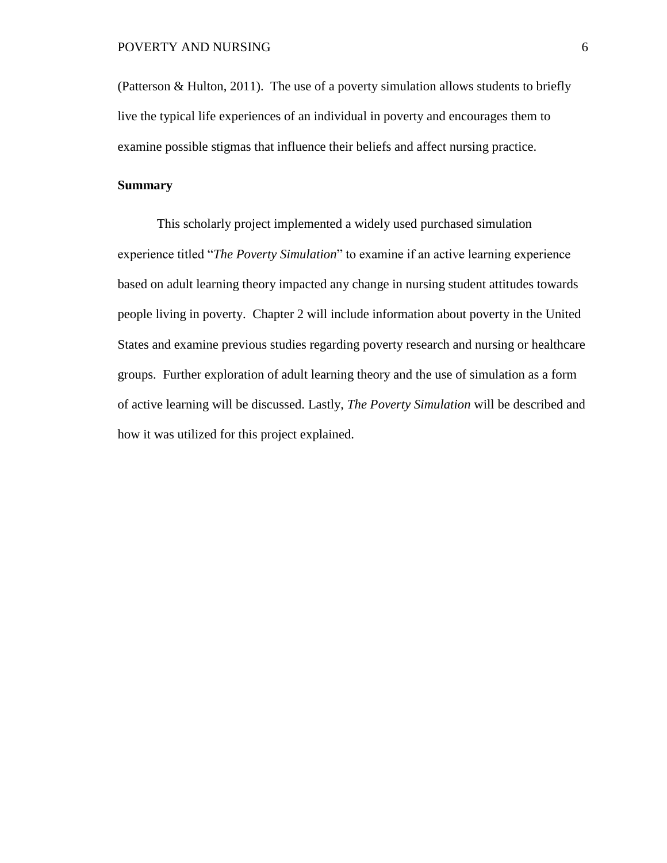(Patterson & Hulton, 2011). The use of a poverty simulation allows students to briefly live the typical life experiences of an individual in poverty and encourages them to examine possible stigmas that influence their beliefs and affect nursing practice.

#### <span id="page-19-0"></span>**Summary**

This scholarly project implemented a widely used purchased simulation experience titled "*The Poverty Simulation*" to examine if an active learning experience based on adult learning theory impacted any change in nursing student attitudes towards people living in poverty. Chapter 2 will include information about poverty in the United States and examine previous studies regarding poverty research and nursing or healthcare groups. Further exploration of adult learning theory and the use of simulation as a form of active learning will be discussed. Lastly, *The Poverty Simulation* will be described and how it was utilized for this project explained.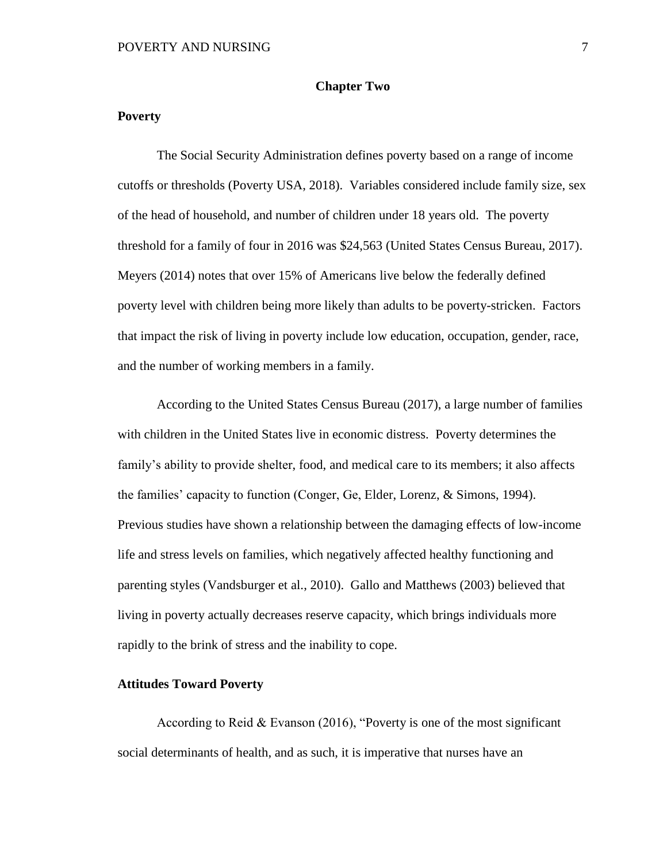#### **Chapter Two**

#### <span id="page-20-1"></span><span id="page-20-0"></span>**Poverty**

The Social Security Administration defines poverty based on a range of income cutoffs or thresholds (Poverty USA, 2018). Variables considered include family size, sex of the head of household, and number of children under 18 years old. The poverty threshold for a family of four in 2016 was \$24,563 (United States Census Bureau, 2017). Meyers (2014) notes that over 15% of Americans live below the federally defined poverty level with children being more likely than adults to be poverty-stricken. Factors that impact the risk of living in poverty include low education, occupation, gender, race, and the number of working members in a family.

According to the United States Census Bureau (2017), a large number of families with children in the United States live in economic distress. Poverty determines the family's ability to provide shelter, food, and medical care to its members; it also affects the families' capacity to function (Conger, Ge, Elder, Lorenz, & Simons, 1994). Previous studies have shown a relationship between the damaging effects of low-income life and stress levels on families, which negatively affected healthy functioning and parenting styles (Vandsburger et al., 2010). Gallo and Matthews (2003) believed that living in poverty actually decreases reserve capacity, which brings individuals more rapidly to the brink of stress and the inability to cope.

#### <span id="page-20-2"></span>**Attitudes Toward Poverty**

According to Reid & Evanson (2016), "Poverty is one of the most significant social determinants of health, and as such, it is imperative that nurses have an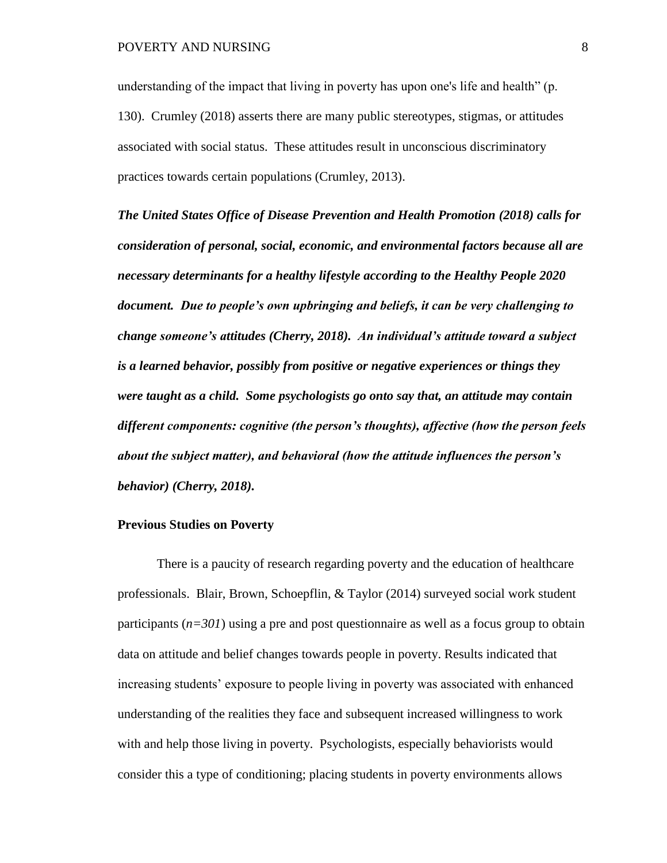understanding of the impact that living in poverty has upon one's life and health" (p. 130). Crumley (2018) asserts there are many public stereotypes, stigmas, or attitudes associated with social status. These attitudes result in unconscious discriminatory practices towards certain populations (Crumley, 2013).

*The United States Office of Disease Prevention and Health Promotion (2018) calls for consideration of personal, social, economic, and environmental factors because all are necessary determinants for a healthy lifestyle according to the Healthy People 2020 document. Due to people's own upbringing and beliefs, it can be very challenging to change someone's attitudes (Cherry, 2018). An individual's attitude toward a subject is a learned behavior, possibly from positive or negative experiences or things they were taught as a child. Some psychologists go onto say that, an attitude may contain different components: cognitive (the person's thoughts), affective (how the person feels about the subject matter), and behavioral (how the attitude influences the person's behavior) (Cherry, 2018).* 

#### <span id="page-21-0"></span>**Previous Studies on Poverty**

There is a paucity of research regarding poverty and the education of healthcare professionals. Blair, Brown, Schoepflin, & Taylor (2014) surveyed social work student participants  $(n=301)$  using a pre and post questionnaire as well as a focus group to obtain data on attitude and belief changes towards people in poverty. Results indicated that increasing students' exposure to people living in poverty was associated with enhanced understanding of the realities they face and subsequent increased willingness to work with and help those living in poverty. Psychologists, especially behaviorists would consider this a type of conditioning; placing students in poverty environments allows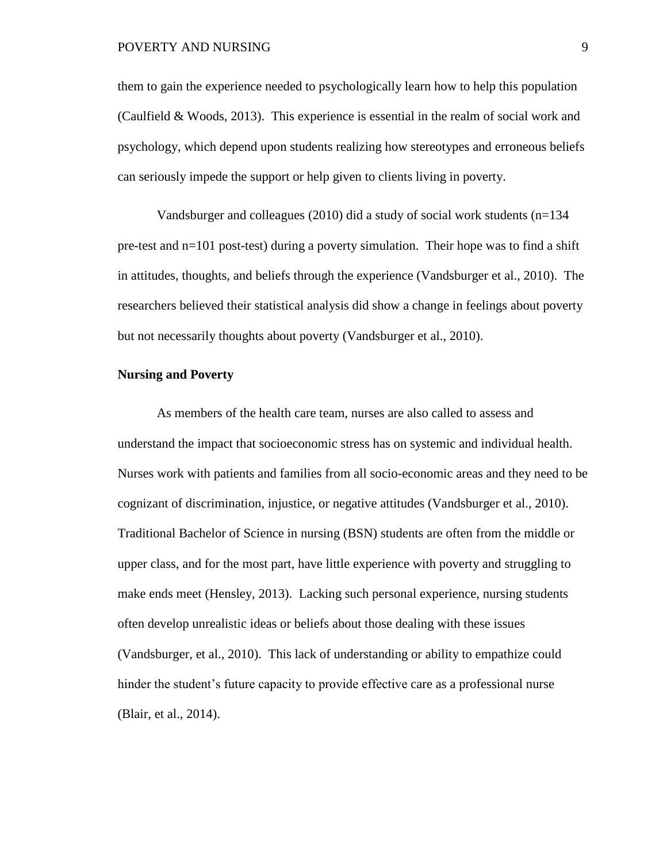them to gain the experience needed to psychologically learn how to help this population (Caulfield & Woods, 2013). This experience is essential in the realm of social work and psychology, which depend upon students realizing how stereotypes and erroneous beliefs can seriously impede the support or help given to clients living in poverty.

Vandsburger and colleagues (2010) did a study of social work students (n=134 pre-test and n=101 post-test) during a poverty simulation. Their hope was to find a shift in attitudes, thoughts, and beliefs through the experience (Vandsburger et al., 2010). The researchers believed their statistical analysis did show a change in feelings about poverty but not necessarily thoughts about poverty (Vandsburger et al., 2010).

#### <span id="page-22-0"></span>**Nursing and Poverty**

As members of the health care team, nurses are also called to assess and understand the impact that socioeconomic stress has on systemic and individual health. Nurses work with patients and families from all socio-economic areas and they need to be cognizant of discrimination, injustice, or negative attitudes (Vandsburger et al., 2010). Traditional Bachelor of Science in nursing (BSN) students are often from the middle or upper class, and for the most part, have little experience with poverty and struggling to make ends meet (Hensley, 2013). Lacking such personal experience, nursing students often develop unrealistic ideas or beliefs about those dealing with these issues (Vandsburger, et al., 2010). This lack of understanding or ability to empathize could hinder the student's future capacity to provide effective care as a professional nurse (Blair, et al., 2014).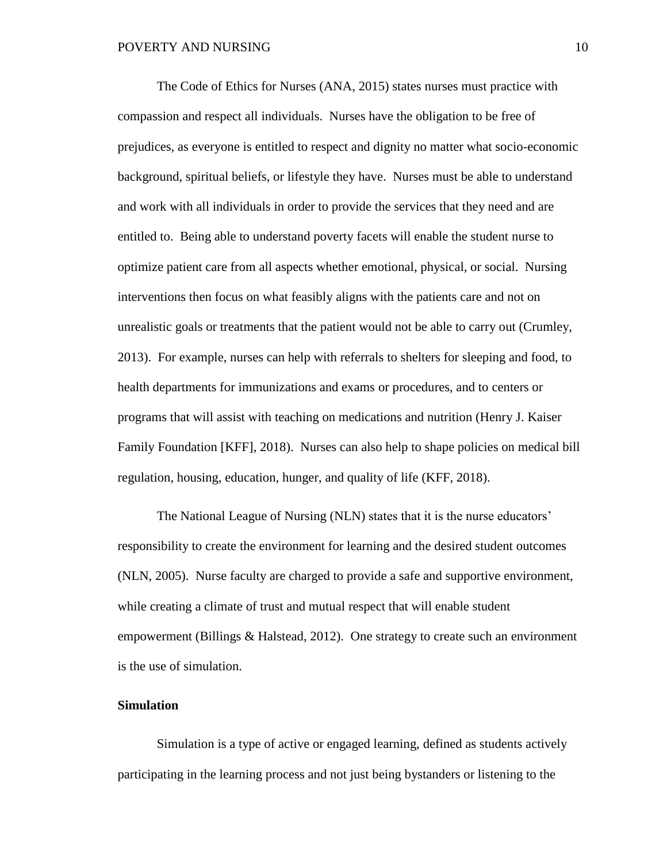The Code of Ethics for Nurses (ANA, 2015) states nurses must practice with compassion and respect all individuals. Nurses have the obligation to be free of prejudices, as everyone is entitled to respect and dignity no matter what socio-economic background, spiritual beliefs, or lifestyle they have. Nurses must be able to understand and work with all individuals in order to provide the services that they need and are entitled to. Being able to understand poverty facets will enable the student nurse to optimize patient care from all aspects whether emotional, physical, or social. Nursing interventions then focus on what feasibly aligns with the patients care and not on unrealistic goals or treatments that the patient would not be able to carry out (Crumley, 2013). For example, nurses can help with referrals to shelters for sleeping and food, to health departments for immunizations and exams or procedures, and to centers or programs that will assist with teaching on medications and nutrition (Henry J. Kaiser Family Foundation [KFF], 2018). Nurses can also help to shape policies on medical bill regulation, housing, education, hunger, and quality of life (KFF, 2018).

The National League of Nursing (NLN) states that it is the nurse educators' responsibility to create the environment for learning and the desired student outcomes (NLN, 2005). Nurse faculty are charged to provide a safe and supportive environment, while creating a climate of trust and mutual respect that will enable student empowerment (Billings & Halstead, 2012). One strategy to create such an environment is the use of simulation.

#### <span id="page-23-0"></span>**Simulation**

Simulation is a type of active or engaged learning, defined as students actively participating in the learning process and not just being bystanders or listening to the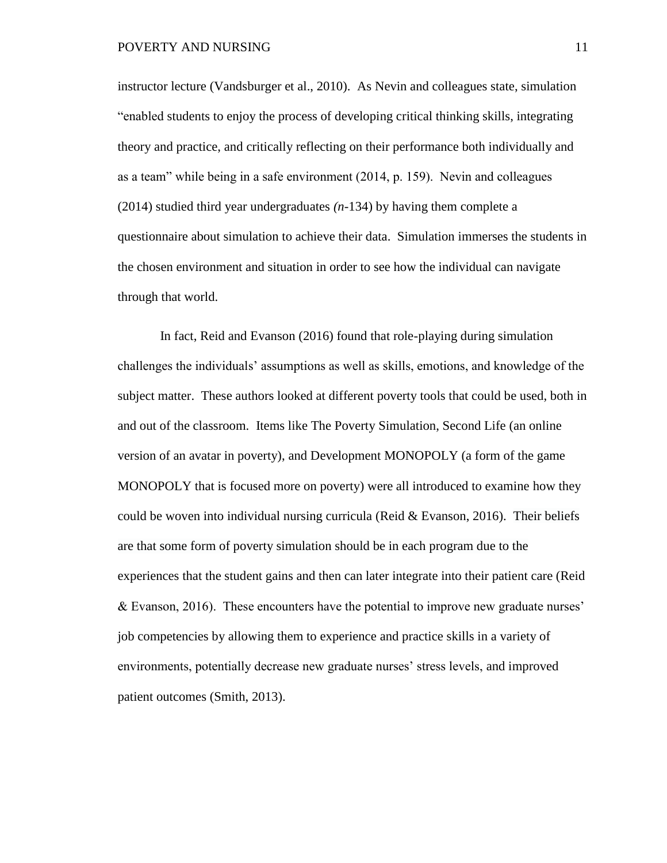instructor lecture (Vandsburger et al., 2010). As Nevin and colleagues state, simulation "enabled students to enjoy the process of developing critical thinking skills, integrating theory and practice, and critically reflecting on their performance both individually and as a team" while being in a safe environment (2014, p. 159). Nevin and colleagues (2014) studied third year undergraduates *(n-*134) by having them complete a questionnaire about simulation to achieve their data. Simulation immerses the students in the chosen environment and situation in order to see how the individual can navigate through that world.

In fact, Reid and Evanson (2016) found that role-playing during simulation challenges the individuals' assumptions as well as skills, emotions, and knowledge of the subject matter. These authors looked at different poverty tools that could be used, both in and out of the classroom. Items like The Poverty Simulation, Second Life (an online version of an avatar in poverty), and Development MONOPOLY (a form of the game MONOPOLY that is focused more on poverty) were all introduced to examine how they could be woven into individual nursing curricula (Reid & Evanson, 2016). Their beliefs are that some form of poverty simulation should be in each program due to the experiences that the student gains and then can later integrate into their patient care (Reid & Evanson, 2016). These encounters have the potential to improve new graduate nurses' job competencies by allowing them to experience and practice skills in a variety of environments, potentially decrease new graduate nurses' stress levels, and improved patient outcomes (Smith, 2013).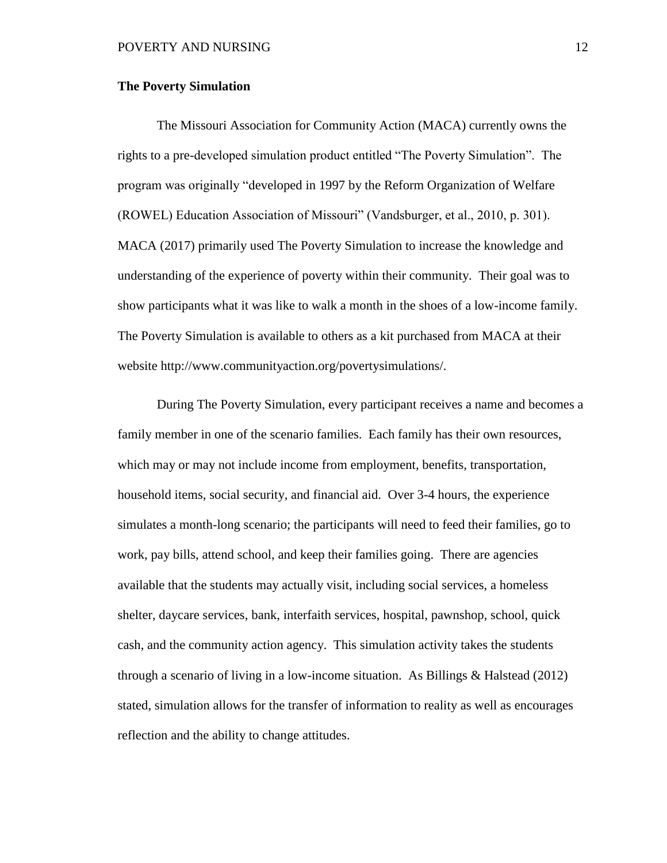#### <span id="page-25-0"></span>**The Poverty Simulation**

The Missouri Association for Community Action (MACA) currently owns the rights to a pre-developed simulation product entitled "The Poverty Simulation". The program was originally "developed in 1997 by the Reform Organization of Welfare (ROWEL) Education Association of Missouri" (Vandsburger, et al., 2010, p. 301). MACA (2017) primarily used The Poverty Simulation to increase the knowledge and understanding of the experience of poverty within their community. Their goal was to show participants what it was like to walk a month in the shoes of a low-income family. The Poverty Simulation is available to others as a kit purchased from MACA at their website http://www.communityaction.org/povertysimulations/.

During The Poverty Simulation, every participant receives a name and becomes a family member in one of the scenario families. Each family has their own resources, which may or may not include income from employment, benefits, transportation, household items, social security, and financial aid. Over 3-4 hours, the experience simulates a month-long scenario; the participants will need to feed their families, go to work, pay bills, attend school, and keep their families going. There are agencies available that the students may actually visit, including social services, a homeless shelter, daycare services, bank, interfaith services, hospital, pawnshop, school, quick cash, and the community action agency. This simulation activity takes the students through a scenario of living in a low-income situation. As Billings  $&$  Halstead (2012) stated, simulation allows for the transfer of information to reality as well as encourages reflection and the ability to change attitudes.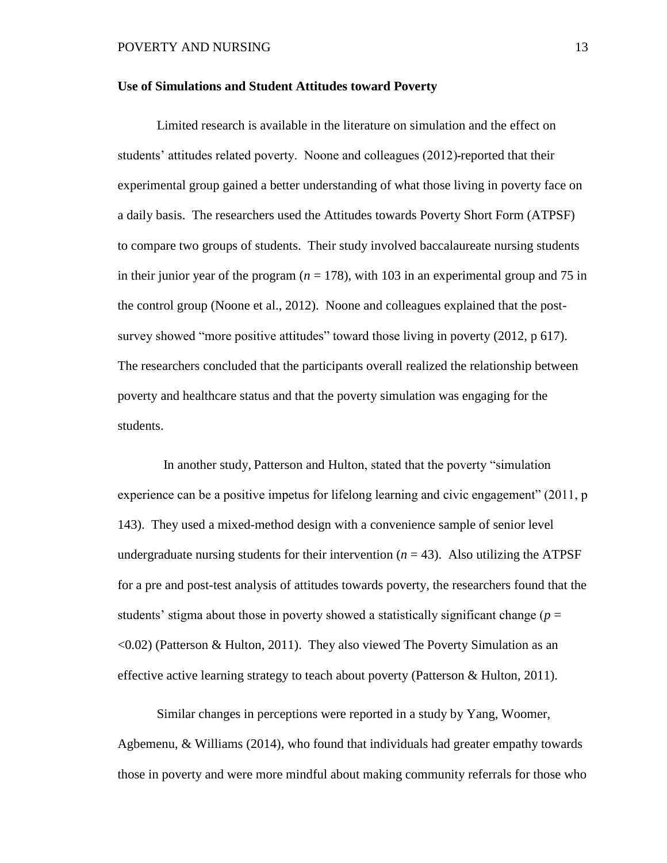#### <span id="page-26-0"></span>**Use of Simulations and Student Attitudes toward Poverty**

Limited research is available in the literature on simulation and the effect on students' attitudes related poverty. Noone and colleagues (2012) reported that their experimental group gained a better understanding of what those living in poverty face on a daily basis. The researchers used the Attitudes towards Poverty Short Form (ATPSF) to compare two groups of students. Their study involved baccalaureate nursing students in their junior year of the program  $(n = 178)$ , with 103 in an experimental group and 75 in the control group (Noone et al., 2012). Noone and colleagues explained that the postsurvey showed "more positive attitudes" toward those living in poverty (2012, p 617). The researchers concluded that the participants overall realized the relationship between poverty and healthcare status and that the poverty simulation was engaging for the students.

 In another study, Patterson and Hulton, stated that the poverty "simulation experience can be a positive impetus for lifelong learning and civic engagement" (2011, p 143). They used a mixed-method design with a convenience sample of senior level undergraduate nursing students for their intervention  $(n = 43)$ . Also utilizing the ATPSF for a pre and post-test analysis of attitudes towards poverty, the researchers found that the students' stigma about those in poverty showed a statistically significant change ( $p =$ <0.02) (Patterson & Hulton, 2011). They also viewed The Poverty Simulation as an effective active learning strategy to teach about poverty (Patterson & Hulton, 2011).

Similar changes in perceptions were reported in a study by Yang, Woomer, Agbemenu, & Williams (2014), who found that individuals had greater empathy towards those in poverty and were more mindful about making community referrals for those who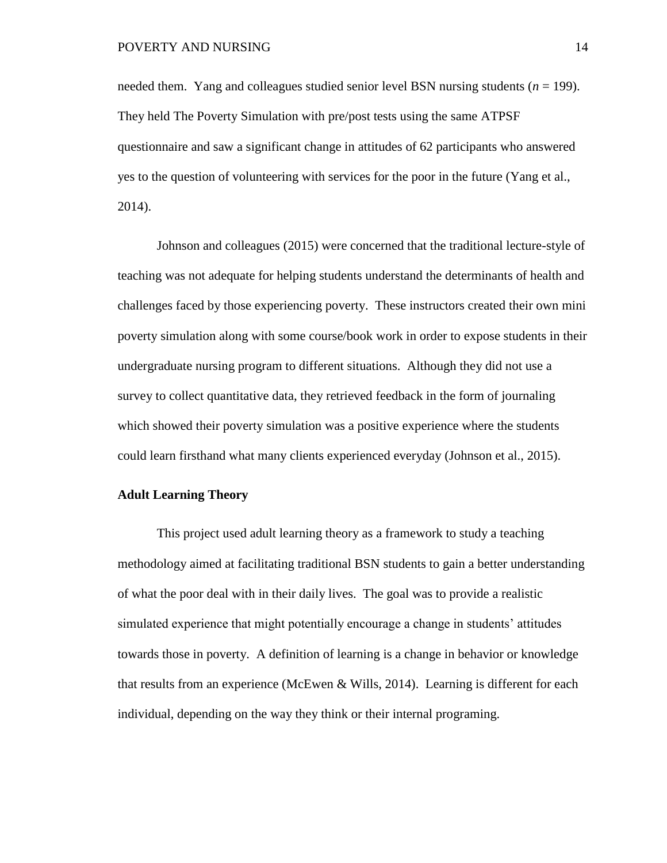needed them. Yang and colleagues studied senior level BSN nursing students (*n* = 199). They held The Poverty Simulation with pre/post tests using the same ATPSF questionnaire and saw a significant change in attitudes of 62 participants who answered yes to the question of volunteering with services for the poor in the future (Yang et al., 2014).

Johnson and colleagues (2015) were concerned that the traditional lecture-style of teaching was not adequate for helping students understand the determinants of health and challenges faced by those experiencing poverty. These instructors created their own mini poverty simulation along with some course/book work in order to expose students in their undergraduate nursing program to different situations. Although they did not use a survey to collect quantitative data, they retrieved feedback in the form of journaling which showed their poverty simulation was a positive experience where the students could learn firsthand what many clients experienced everyday (Johnson et al., 2015).

#### <span id="page-27-0"></span>**Adult Learning Theory**

This project used adult learning theory as a framework to study a teaching methodology aimed at facilitating traditional BSN students to gain a better understanding of what the poor deal with in their daily lives. The goal was to provide a realistic simulated experience that might potentially encourage a change in students' attitudes towards those in poverty. A definition of learning is a change in behavior or knowledge that results from an experience (McEwen & Wills, 2014). Learning is different for each individual, depending on the way they think or their internal programing.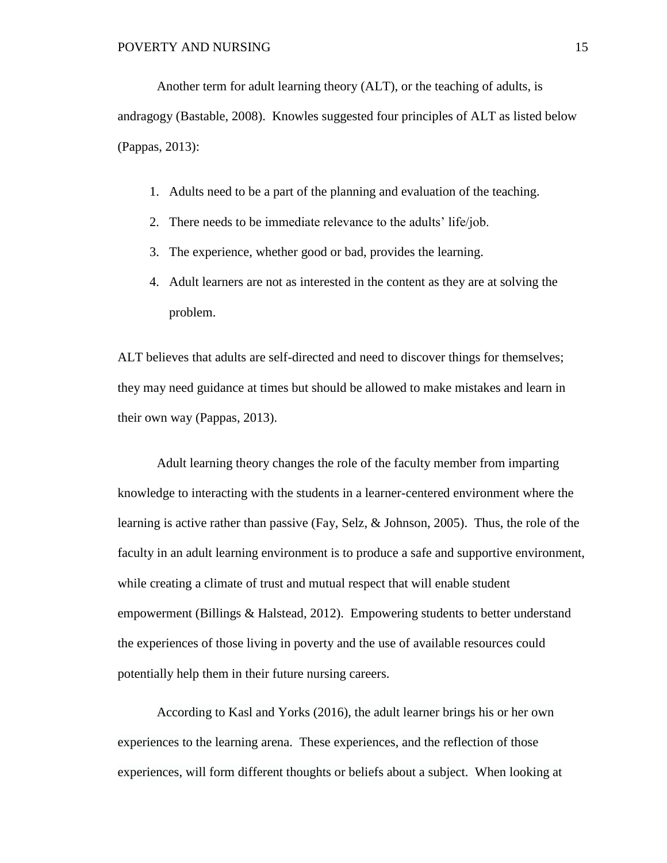Another term for adult learning theory (ALT), or the teaching of adults, is andragogy (Bastable, 2008). Knowles suggested four principles of ALT as listed below (Pappas, 2013):

- 1. Adults need to be a part of the planning and evaluation of the teaching.
- 2. There needs to be immediate relevance to the adults' life/job.
- 3. The experience, whether good or bad, provides the learning.
- 4. Adult learners are not as interested in the content as they are at solving the problem.

ALT believes that adults are self-directed and need to discover things for themselves; they may need guidance at times but should be allowed to make mistakes and learn in their own way (Pappas, 2013).

Adult learning theory changes the role of the faculty member from imparting knowledge to interacting with the students in a learner-centered environment where the learning is active rather than passive (Fay, Selz, & Johnson, 2005). Thus, the role of the faculty in an adult learning environment is to produce a safe and supportive environment, while creating a climate of trust and mutual respect that will enable student empowerment (Billings & Halstead, 2012). Empowering students to better understand the experiences of those living in poverty and the use of available resources could potentially help them in their future nursing careers.

According to Kasl and Yorks (2016), the adult learner brings his or her own experiences to the learning arena. These experiences, and the reflection of those experiences, will form different thoughts or beliefs about a subject. When looking at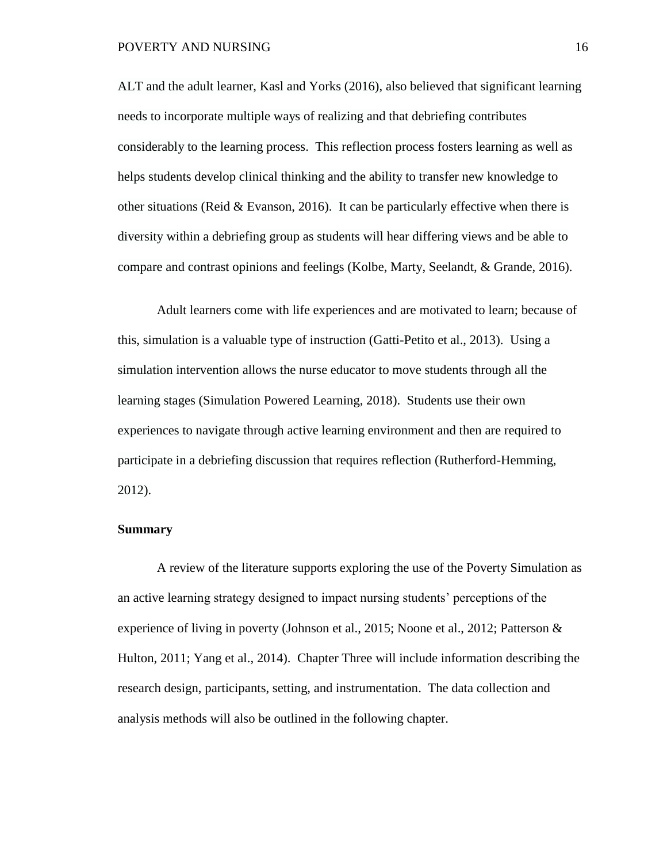ALT and the adult learner, Kasl and Yorks (2016), also believed that significant learning needs to incorporate multiple ways of realizing and that debriefing contributes considerably to the learning process. This reflection process fosters learning as well as helps students develop clinical thinking and the ability to transfer new knowledge to other situations (Reid & Evanson, 2016). It can be particularly effective when there is diversity within a debriefing group as students will hear differing views and be able to compare and contrast opinions and feelings (Kolbe, Marty, Seelandt, & Grande, 2016).

Adult learners come with life experiences and are motivated to learn; because of this, simulation is a valuable type of instruction (Gatti-Petito et al., 2013). Using a simulation intervention allows the nurse educator to move students through all the learning stages (Simulation Powered Learning, 2018). Students use their own experiences to navigate through active learning environment and then are required to participate in a debriefing discussion that requires reflection (Rutherford-Hemming, 2012).

#### <span id="page-29-0"></span>**Summary**

A review of the literature supports exploring the use of the Poverty Simulation as an active learning strategy designed to impact nursing students' perceptions of the experience of living in poverty (Johnson et al., 2015; Noone et al., 2012; Patterson & Hulton, 2011; Yang et al., 2014). Chapter Three will include information describing the research design, participants, setting, and instrumentation. The data collection and analysis methods will also be outlined in the following chapter.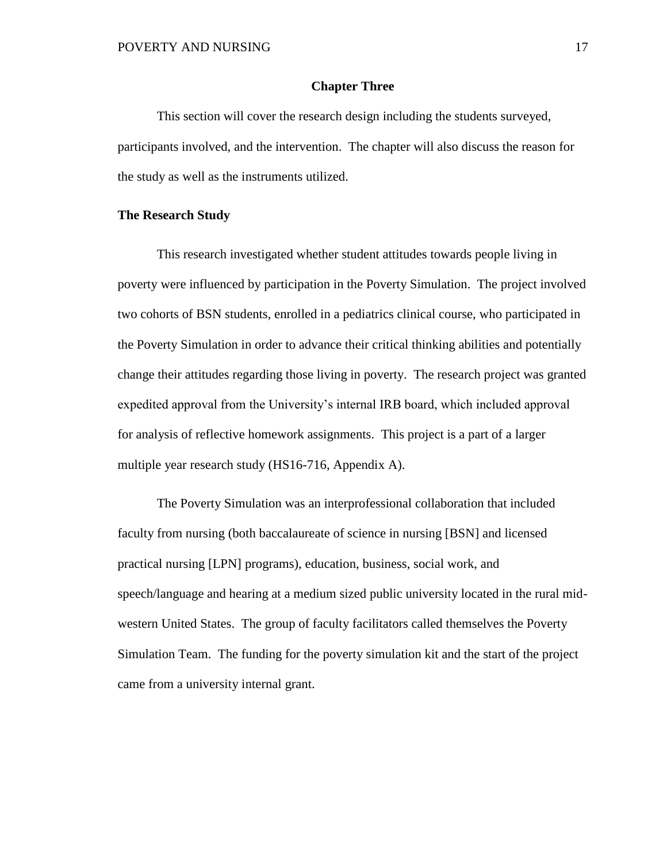#### **Chapter Three**

<span id="page-30-0"></span>This section will cover the research design including the students surveyed, participants involved, and the intervention. The chapter will also discuss the reason for the study as well as the instruments utilized.

#### <span id="page-30-1"></span>**The Research Study**

This research investigated whether student attitudes towards people living in poverty were influenced by participation in the Poverty Simulation. The project involved two cohorts of BSN students, enrolled in a pediatrics clinical course, who participated in the Poverty Simulation in order to advance their critical thinking abilities and potentially change their attitudes regarding those living in poverty. The research project was granted expedited approval from the University's internal IRB board, which included approval for analysis of reflective homework assignments. This project is a part of a larger multiple year research study (HS16-716, Appendix A).

The Poverty Simulation was an interprofessional collaboration that included faculty from nursing (both baccalaureate of science in nursing [BSN] and licensed practical nursing [LPN] programs), education, business, social work, and speech/language and hearing at a medium sized public university located in the rural midwestern United States. The group of faculty facilitators called themselves the Poverty Simulation Team. The funding for the poverty simulation kit and the start of the project came from a university internal grant.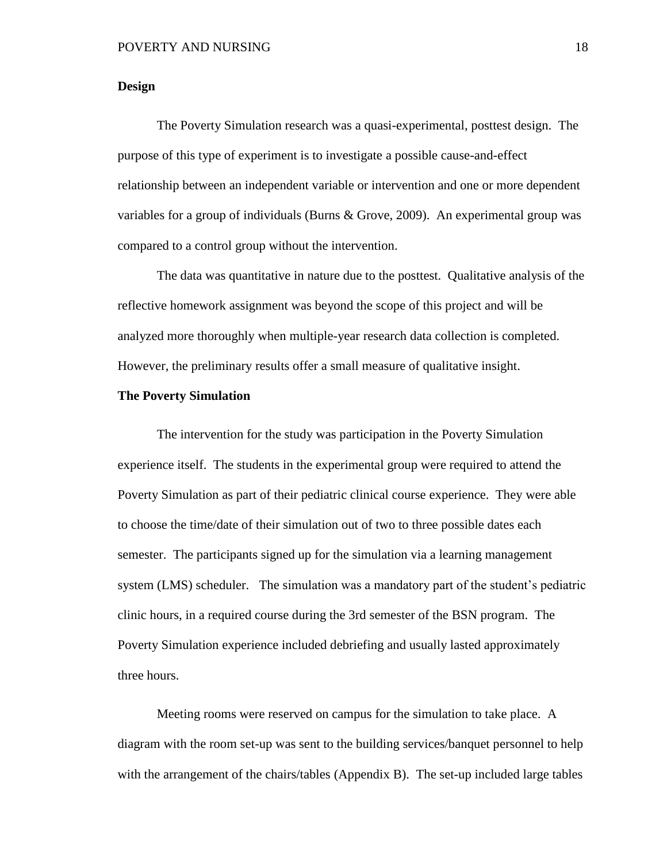#### <span id="page-31-0"></span>**Design**

The Poverty Simulation research was a quasi-experimental, posttest design. The purpose of this type of experiment is to investigate a possible cause-and-effect relationship between an independent variable or intervention and one or more dependent variables for a group of individuals (Burns & Grove, 2009). An experimental group was compared to a control group without the intervention.

The data was quantitative in nature due to the posttest. Qualitative analysis of the reflective homework assignment was beyond the scope of this project and will be analyzed more thoroughly when multiple-year research data collection is completed. However, the preliminary results offer a small measure of qualitative insight.

#### <span id="page-31-1"></span>**The Poverty Simulation**

The intervention for the study was participation in the Poverty Simulation experience itself. The students in the experimental group were required to attend the Poverty Simulation as part of their pediatric clinical course experience. They were able to choose the time/date of their simulation out of two to three possible dates each semester. The participants signed up for the simulation via a learning management system (LMS) scheduler. The simulation was a mandatory part of the student's pediatric clinic hours, in a required course during the 3rd semester of the BSN program. The Poverty Simulation experience included debriefing and usually lasted approximately three hours.

Meeting rooms were reserved on campus for the simulation to take place. A diagram with the room set-up was sent to the building services/banquet personnel to help with the arrangement of the chairs/tables (Appendix B). The set-up included large tables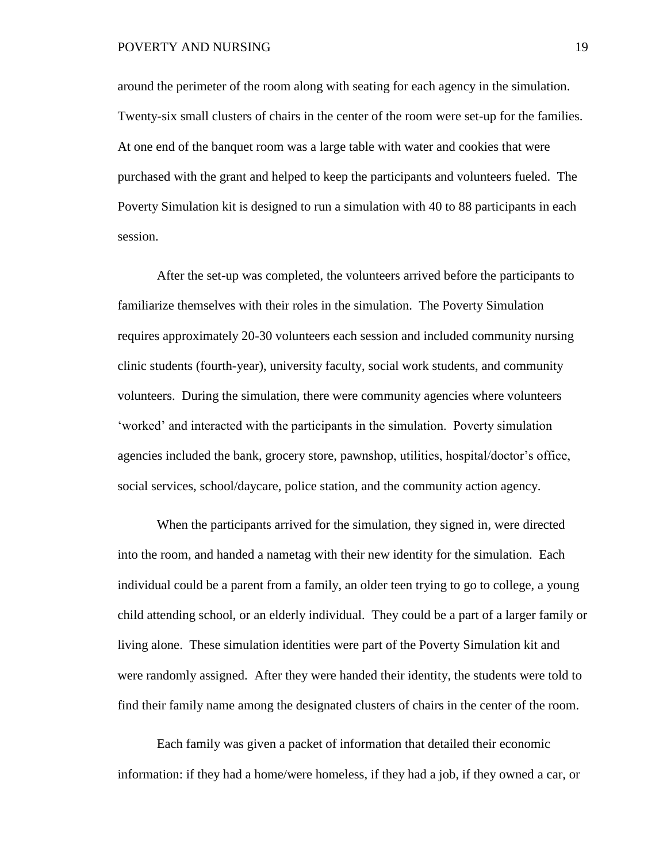around the perimeter of the room along with seating for each agency in the simulation. Twenty-six small clusters of chairs in the center of the room were set-up for the families. At one end of the banquet room was a large table with water and cookies that were purchased with the grant and helped to keep the participants and volunteers fueled. The Poverty Simulation kit is designed to run a simulation with 40 to 88 participants in each session.

After the set-up was completed, the volunteers arrived before the participants to familiarize themselves with their roles in the simulation. The Poverty Simulation requires approximately 20-30 volunteers each session and included community nursing clinic students (fourth-year), university faculty, social work students, and community volunteers. During the simulation, there were community agencies where volunteers 'worked' and interacted with the participants in the simulation. Poverty simulation agencies included the bank, grocery store, pawnshop, utilities, hospital/doctor's office, social services, school/daycare, police station, and the community action agency.

When the participants arrived for the simulation, they signed in, were directed into the room, and handed a nametag with their new identity for the simulation. Each individual could be a parent from a family, an older teen trying to go to college, a young child attending school, or an elderly individual. They could be a part of a larger family or living alone. These simulation identities were part of the Poverty Simulation kit and were randomly assigned. After they were handed their identity, the students were told to find their family name among the designated clusters of chairs in the center of the room.

Each family was given a packet of information that detailed their economic information: if they had a home/were homeless, if they had a job, if they owned a car, or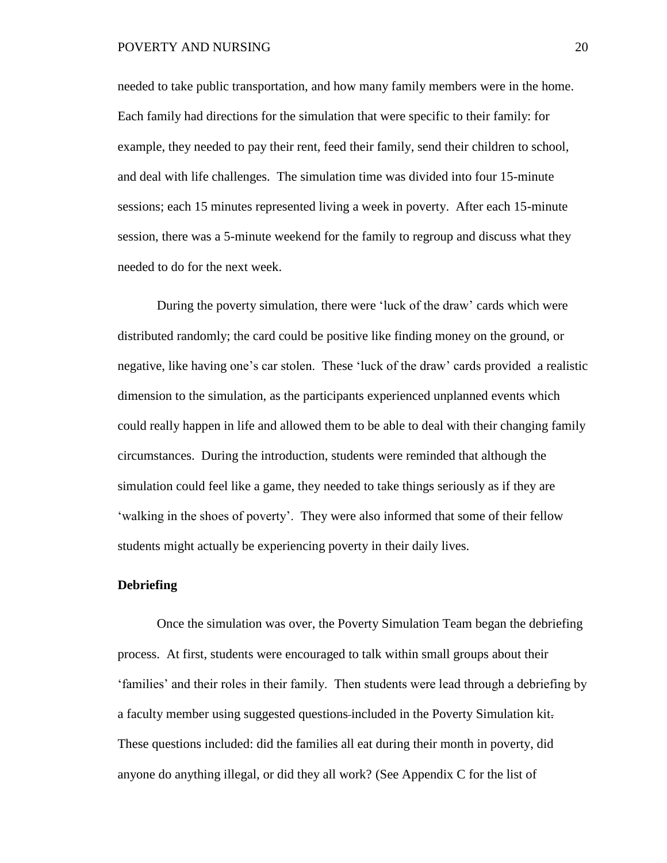needed to take public transportation, and how many family members were in the home. Each family had directions for the simulation that were specific to their family: for example, they needed to pay their rent, feed their family, send their children to school, and deal with life challenges. The simulation time was divided into four 15-minute sessions; each 15 minutes represented living a week in poverty. After each 15-minute session, there was a 5-minute weekend for the family to regroup and discuss what they needed to do for the next week.

During the poverty simulation, there were 'luck of the draw' cards which were distributed randomly; the card could be positive like finding money on the ground, or negative, like having one's car stolen. These 'luck of the draw' cards provided a realistic dimension to the simulation, as the participants experienced unplanned events which could really happen in life and allowed them to be able to deal with their changing family circumstances. During the introduction, students were reminded that although the simulation could feel like a game, they needed to take things seriously as if they are 'walking in the shoes of poverty'. They were also informed that some of their fellow students might actually be experiencing poverty in their daily lives.

#### <span id="page-33-0"></span>**Debriefing**

Once the simulation was over, the Poverty Simulation Team began the debriefing process. At first, students were encouraged to talk within small groups about their 'families' and their roles in their family. Then students were lead through a debriefing by a faculty member using suggested questions included in the Poverty Simulation kit. These questions included: did the families all eat during their month in poverty, did anyone do anything illegal, or did they all work? (See Appendix C for the list of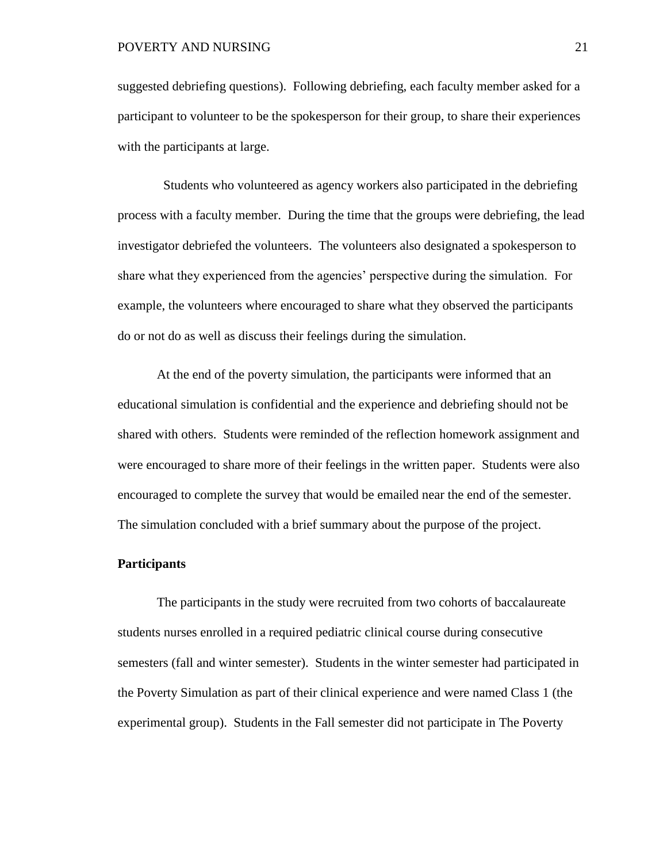suggested debriefing questions). Following debriefing, each faculty member asked for a participant to volunteer to be the spokesperson for their group, to share their experiences with the participants at large.

 Students who volunteered as agency workers also participated in the debriefing process with a faculty member. During the time that the groups were debriefing, the lead investigator debriefed the volunteers. The volunteers also designated a spokesperson to share what they experienced from the agencies' perspective during the simulation. For example, the volunteers where encouraged to share what they observed the participants do or not do as well as discuss their feelings during the simulation.

At the end of the poverty simulation, the participants were informed that an educational simulation is confidential and the experience and debriefing should not be shared with others. Students were reminded of the reflection homework assignment and were encouraged to share more of their feelings in the written paper. Students were also encouraged to complete the survey that would be emailed near the end of the semester. The simulation concluded with a brief summary about the purpose of the project.

#### <span id="page-34-0"></span>**Participants**

The participants in the study were recruited from two cohorts of baccalaureate students nurses enrolled in a required pediatric clinical course during consecutive semesters (fall and winter semester). Students in the winter semester had participated in the Poverty Simulation as part of their clinical experience and were named Class 1 (the experimental group). Students in the Fall semester did not participate in The Poverty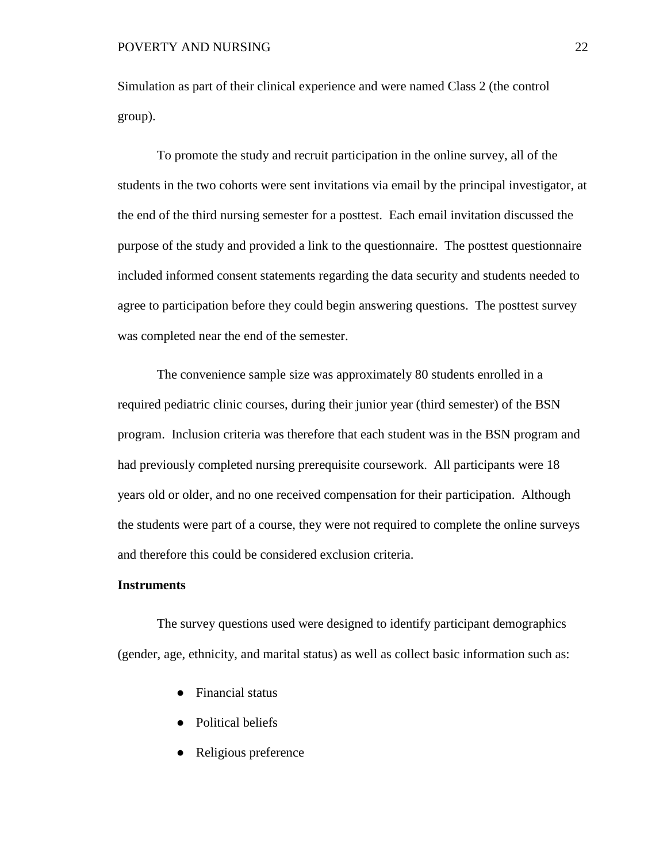Simulation as part of their clinical experience and were named Class 2 (the control group).

To promote the study and recruit participation in the online survey, all of the students in the two cohorts were sent invitations via email by the principal investigator, at the end of the third nursing semester for a posttest. Each email invitation discussed the purpose of the study and provided a link to the questionnaire. The posttest questionnaire included informed consent statements regarding the data security and students needed to agree to participation before they could begin answering questions. The posttest survey was completed near the end of the semester.

The convenience sample size was approximately 80 students enrolled in a required pediatric clinic courses, during their junior year (third semester) of the BSN program. Inclusion criteria was therefore that each student was in the BSN program and had previously completed nursing prerequisite coursework. All participants were 18 years old or older, and no one received compensation for their participation. Although the students were part of a course, they were not required to complete the online surveys and therefore this could be considered exclusion criteria.

#### <span id="page-35-0"></span>**Instruments**

The survey questions used were designed to identify participant demographics (gender, age, ethnicity, and marital status) as well as collect basic information such as:

- **Financial status**
- Political beliefs
- Religious preference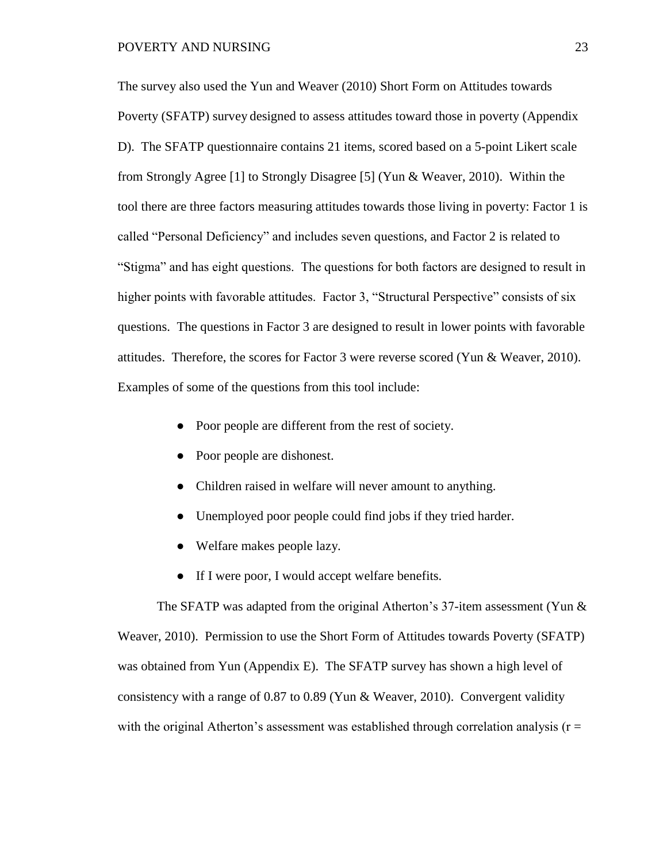The survey also used the Yun and Weaver (2010) Short Form on Attitudes towards Poverty (SFATP) survey designed to assess attitudes toward those in poverty (Appendix D). The SFATP questionnaire contains 21 items, scored based on a 5-point Likert scale from Strongly Agree [1] to Strongly Disagree [5] (Yun & Weaver, 2010). Within the tool there are three factors measuring attitudes towards those living in poverty: Factor 1 is called "Personal Deficiency" and includes seven questions, and Factor 2 is related to "Stigma" and has eight questions. The questions for both factors are designed to result in higher points with favorable attitudes. Factor 3, "Structural Perspective" consists of six questions. The questions in Factor 3 are designed to result in lower points with favorable attitudes. Therefore, the scores for Factor 3 were reverse scored (Yun & Weaver, 2010). Examples of some of the questions from this tool include:

- Poor people are different from the rest of society.
- Poor people are dishonest.
- Children raised in welfare will never amount to anything.
- Unemployed poor people could find jobs if they tried harder.
- Welfare makes people lazy.
- If I were poor, I would accept welfare benefits.

The SFATP was adapted from the original Atherton's 37-item assessment (Yun  $\&$ Weaver, 2010). Permission to use the Short Form of Attitudes towards Poverty (SFATP) was obtained from Yun (Appendix E). The SFATP survey has shown a high level of consistency with a range of 0.87 to 0.89 (Yun & Weaver, 2010). Convergent validity with the original Atherton's assessment was established through correlation analysis ( $r =$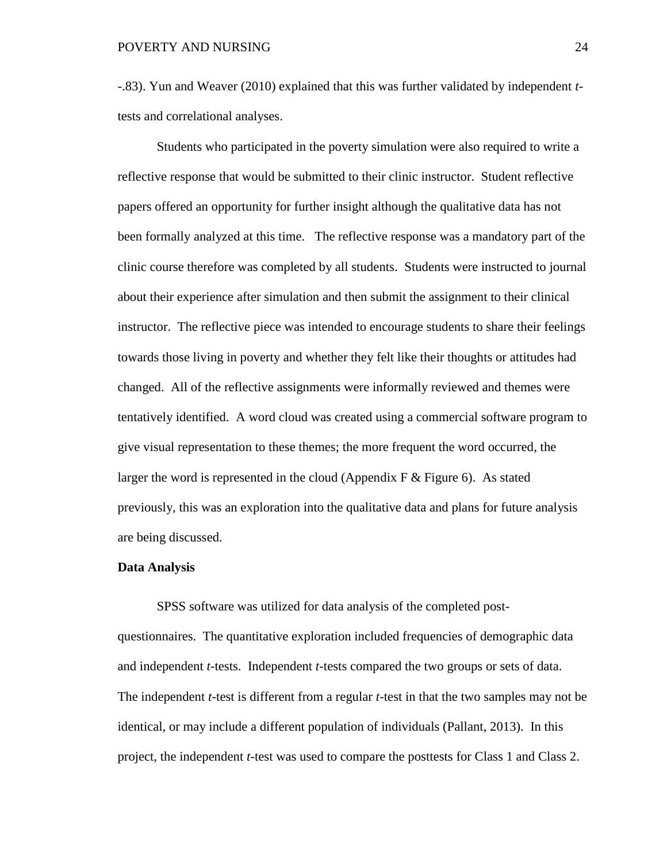-.83). Yun and Weaver (2010) explained that this was further validated by independent *t*tests and correlational analyses.

Students who participated in the poverty simulation were also required to write a reflective response that would be submitted to their clinic instructor. Student reflective papers offered an opportunity for further insight although the qualitative data has not been formally analyzed at this time. The reflective response was a mandatory part of the clinic course therefore was completed by all students. Students were instructed to journal about their experience after simulation and then submit the assignment to their clinical instructor. The reflective piece was intended to encourage students to share their feelings towards those living in poverty and whether they felt like their thoughts or attitudes had changed. All of the reflective assignments were informally reviewed and themes were tentatively identified. A word cloud was created using a commercial software program to give visual representation to these themes; the more frequent the word occurred, the larger the word is represented in the cloud (Appendix F  $\&$  Figure 6). As stated previously, this was an exploration into the qualitative data and plans for future analysis are being discussed.

#### **Data Analysis**

SPSS software was utilized for data analysis of the completed postquestionnaires. The quantitative exploration included frequencies of demographic data and independent *t*-tests. Independent *t*-tests compared the two groups or sets of data. The independent *t*-test is different from a regular *t*-test in that the two samples may not be identical, or may include a different population of individuals (Pallant, 2013). In this project, the independent *t*-test was used to compare the posttests for Class 1 and Class 2.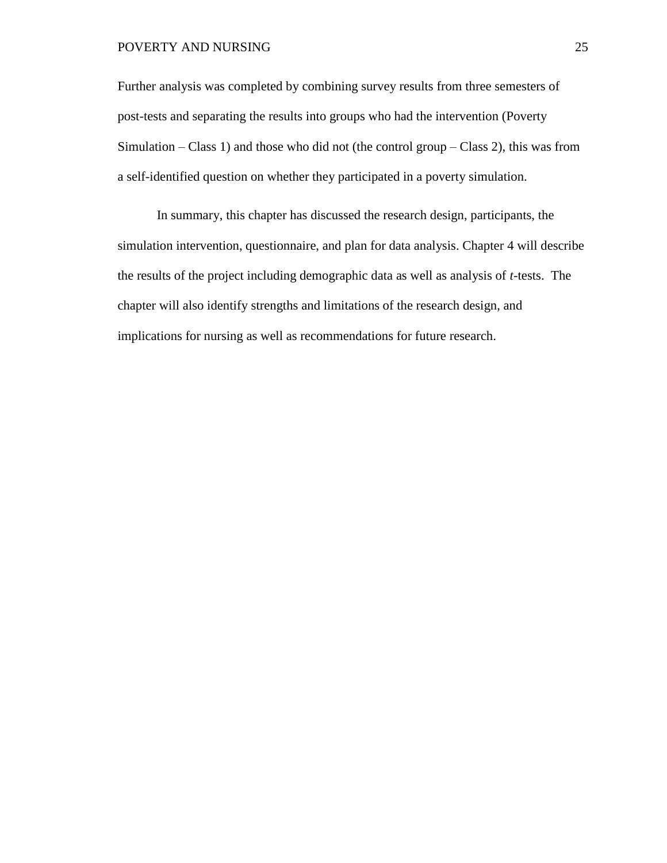#### POVERTY AND NURSING 25

Further analysis was completed by combining survey results from three semesters of post-tests and separating the results into groups who had the intervention (Poverty Simulation – Class 1) and those who did not (the control group – Class 2), this was from a self-identified question on whether they participated in a poverty simulation.

In summary, this chapter has discussed the research design, participants, the simulation intervention, questionnaire, and plan for data analysis. Chapter 4 will describe the results of the project including demographic data as well as analysis of *t*-tests. The chapter will also identify strengths and limitations of the research design, and implications for nursing as well as recommendations for future research.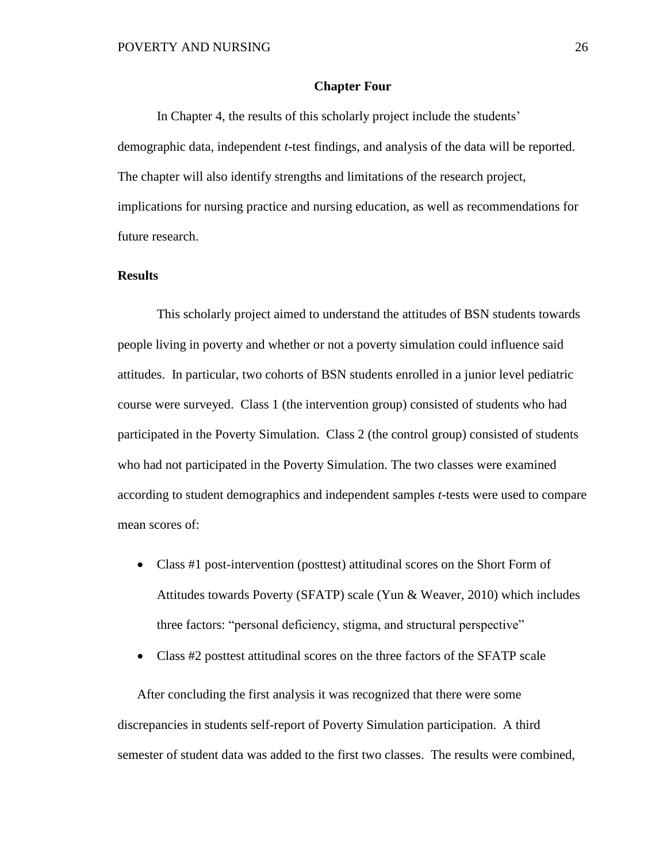#### **Chapter Four**

 In Chapter 4, the results of this scholarly project include the students' demographic data, independent *t*-test findings, and analysis of the data will be reported. The chapter will also identify strengths and limitations of the research project, implications for nursing practice and nursing education, as well as recommendations for future research.

#### **Results**

This scholarly project aimed to understand the attitudes of BSN students towards people living in poverty and whether or not a poverty simulation could influence said attitudes. In particular, two cohorts of BSN students enrolled in a junior level pediatric course were surveyed. Class 1 (the intervention group) consisted of students who had participated in the Poverty Simulation. Class 2 (the control group) consisted of students who had not participated in the Poverty Simulation. The two classes were examined according to student demographics and independent samples *t*-tests were used to compare mean scores of:

- Class #1 post-intervention (posttest) attitudinal scores on the Short Form of Attitudes towards Poverty (SFATP) scale (Yun & Weaver, 2010) which includes three factors: "personal deficiency, stigma, and structural perspective"
- Class #2 posttest attitudinal scores on the three factors of the SFATP scale

After concluding the first analysis it was recognized that there were some discrepancies in students self-report of Poverty Simulation participation. A third semester of student data was added to the first two classes. The results were combined,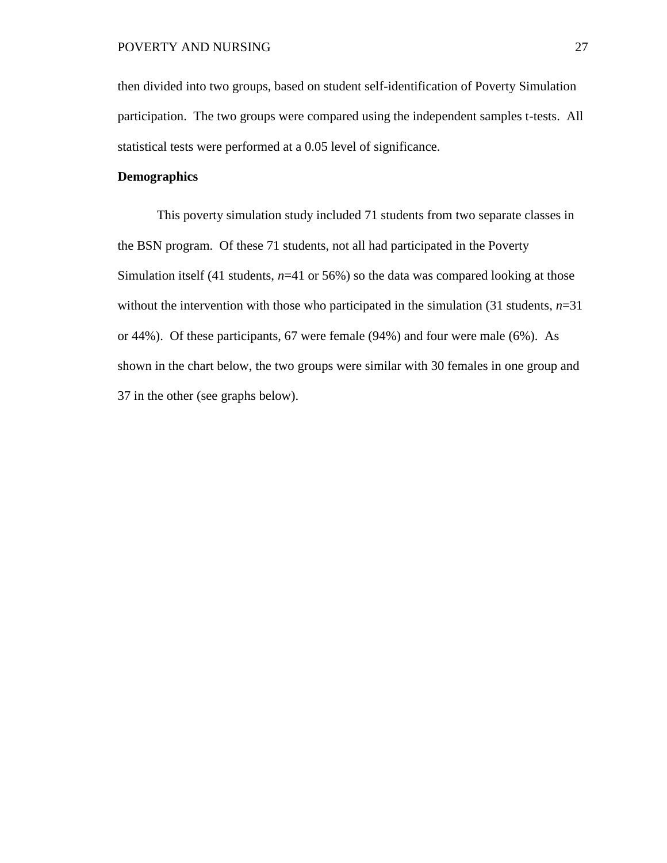then divided into two groups, based on student self-identification of Poverty Simulation participation. The two groups were compared using the independent samples t-tests. All statistical tests were performed at a 0.05 level of significance.

#### **Demographics**

This poverty simulation study included 71 students from two separate classes in the BSN program. Of these 71 students, not all had participated in the Poverty Simulation itself (41 students, *n*=41 or 56%) so the data was compared looking at those without the intervention with those who participated in the simulation  $(31$  students,  $n=31$ or 44%). Of these participants, 67 were female (94%) and four were male (6%). As shown in the chart below, the two groups were similar with 30 females in one group and 37 in the other (see graphs below).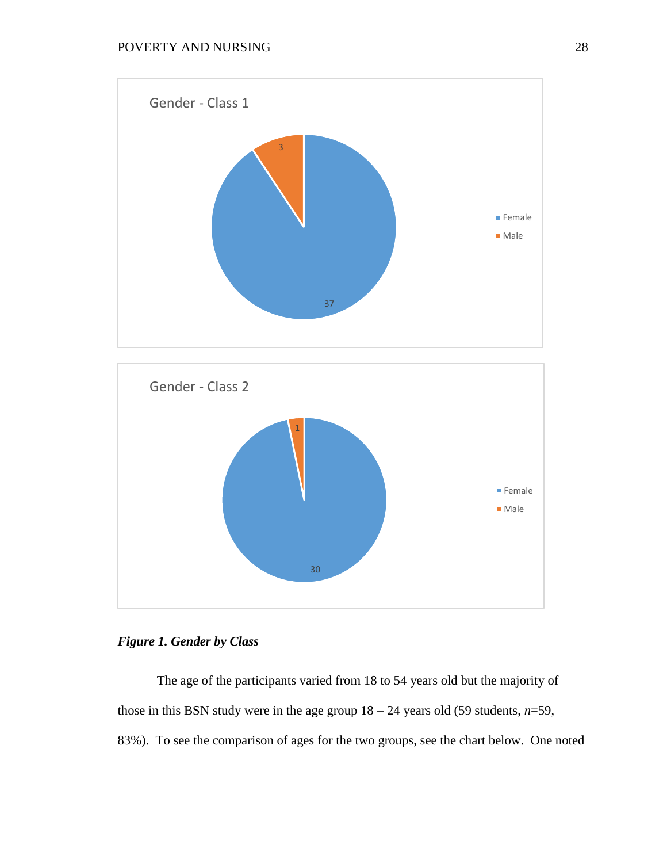



## *Figure 1. Gender by Class*

The age of the participants varied from 18 to 54 years old but the majority of those in this BSN study were in the age group  $18 - 24$  years old (59 students,  $n=59$ , 83%). To see the comparison of ages for the two groups, see the chart below. One noted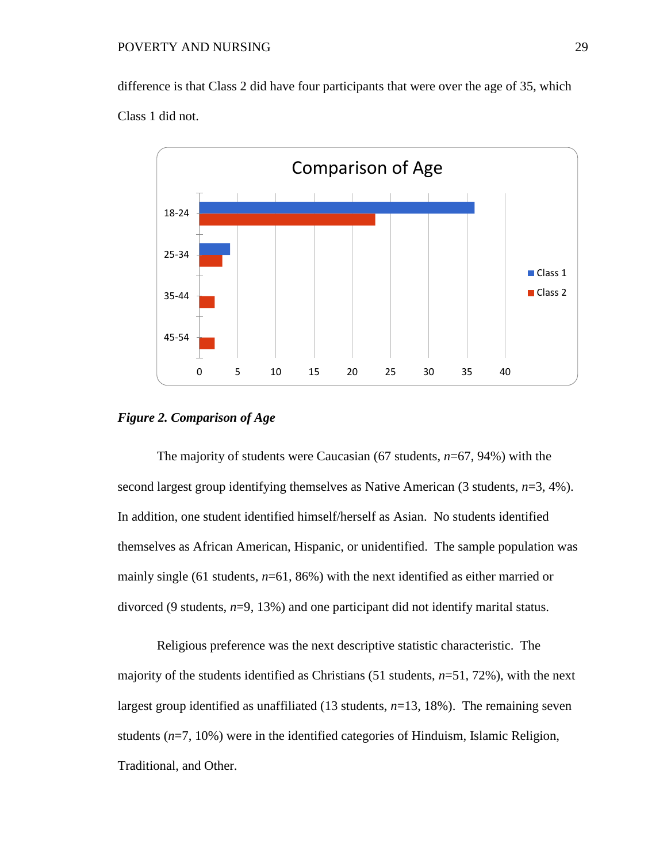difference is that Class 2 did have four participants that were over the age of 35, which Class 1 did not.



#### *Figure 2. Comparison of Age*

The majority of students were Caucasian (67 students, *n*=67, 94%) with the second largest group identifying themselves as Native American (3 students, *n*=3, 4%). In addition, one student identified himself/herself as Asian. No students identified themselves as African American, Hispanic, or unidentified. The sample population was mainly single (61 students,  $n=61, 86\%$ ) with the next identified as either married or divorced (9 students, *n*=9, 13%) and one participant did not identify marital status.

Religious preference was the next descriptive statistic characteristic. The majority of the students identified as Christians (51 students, *n*=51, 72%), with the next largest group identified as unaffiliated (13 students, *n*=13, 18%). The remaining seven students (*n*=7, 10%) were in the identified categories of Hinduism, Islamic Religion, Traditional, and Other.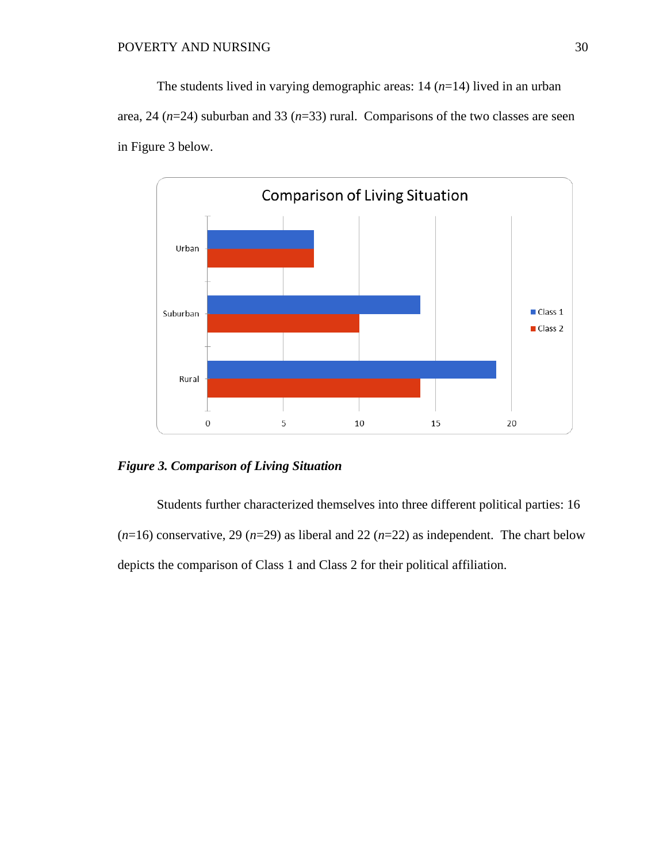The students lived in varying demographic areas: 14 (*n*=14) lived in an urban area, 24 (*n*=24) suburban and 33 (*n*=33) rural. Comparisons of the two classes are seen in Figure 3 below.



*Figure 3. Comparison of Living Situation*

Students further characterized themselves into three different political parties: 16  $(n=16)$  conservative, 29  $(n=29)$  as liberal and 22  $(n=22)$  as independent. The chart below depicts the comparison of Class 1 and Class 2 for their political affiliation.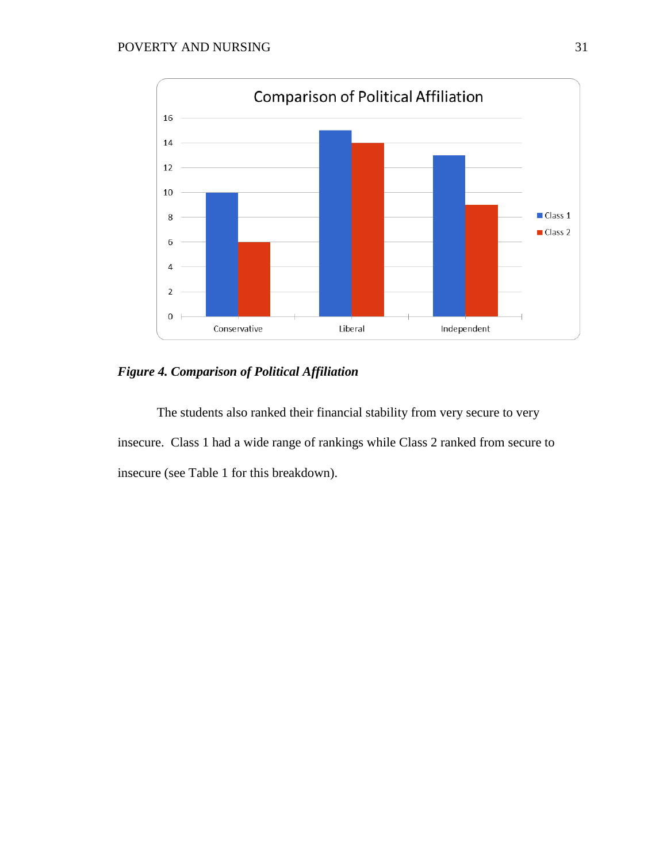

*Figure 4. Comparison of Political Affiliation*

The students also ranked their financial stability from very secure to very insecure. Class 1 had a wide range of rankings while Class 2 ranked from secure to insecure (see Table 1 for this breakdown).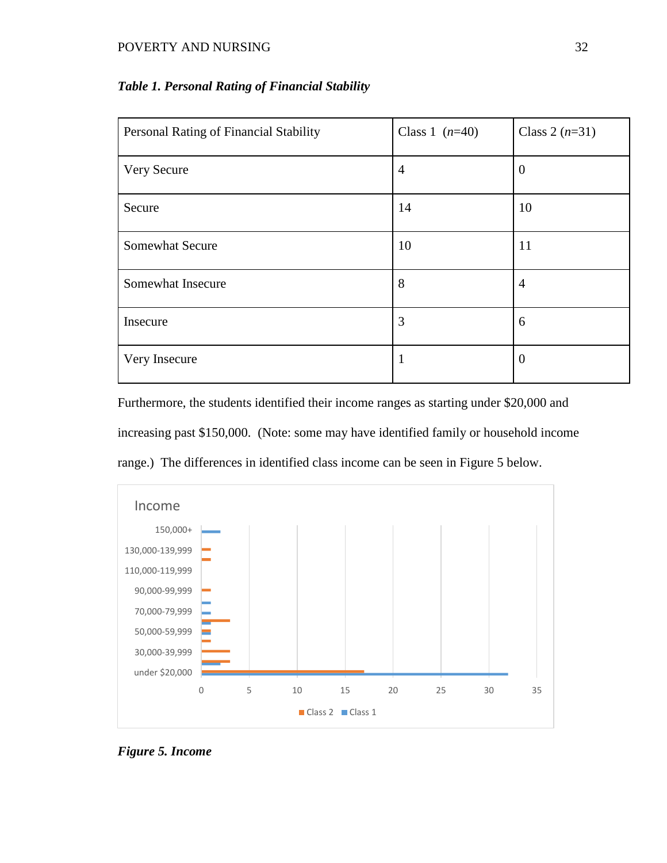#### POVERTY AND NURSING 32

| Personal Rating of Financial Stability | Class 1 $(n=40)$ | Class 2 $(n=31)$ |
|----------------------------------------|------------------|------------------|
| Very Secure                            | $\overline{4}$   | $\theta$         |
| Secure                                 | 14               | 10               |
| <b>Somewhat Secure</b>                 | 10               | 11               |
| Somewhat Insecure                      | 8                | 4                |
| Insecure                               | 3                | 6                |
| Very Insecure                          | 1                | $\overline{0}$   |

## *Table 1. Personal Rating of Financial Stability*

Furthermore, the students identified their income ranges as starting under \$20,000 and increasing past \$150,000. (Note: some may have identified family or household income range.) The differences in identified class income can be seen in Figure 5 below.



*Figure 5. Income*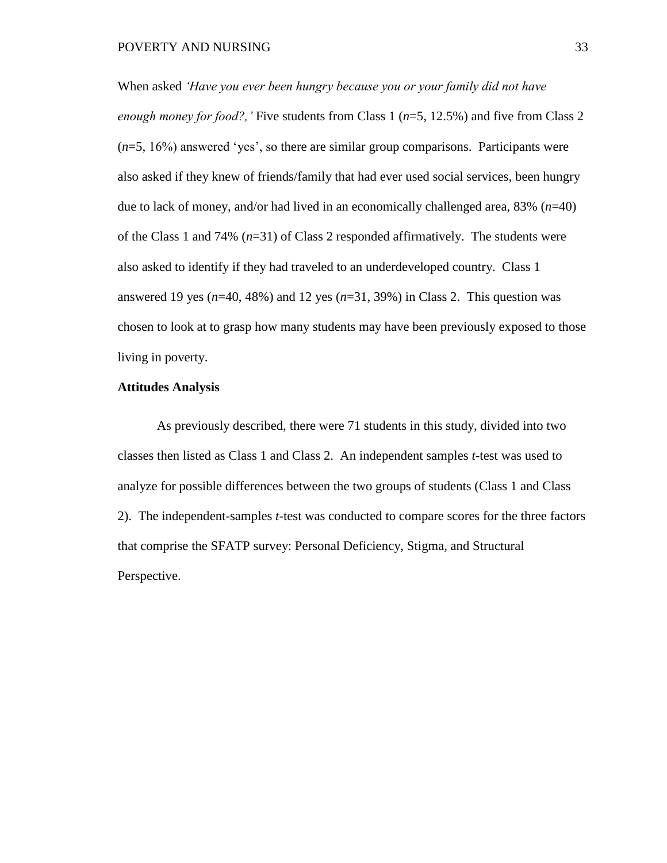When asked *'Have you ever been hungry because you or your family did not have enough money for food?,'* Five students from Class 1 (*n*=5, 12.5%) and five from Class 2 (*n*=5, 16%) answered 'yes', so there are similar group comparisons. Participants were also asked if they knew of friends/family that had ever used social services, been hungry due to lack of money, and/or had lived in an economically challenged area, 83% (*n*=40) of the Class 1 and 74% (*n*=31) of Class 2 responded affirmatively. The students were also asked to identify if they had traveled to an underdeveloped country. Class 1 answered 19 yes (*n*=40, 48%) and 12 yes (*n*=31, 39%) in Class 2. This question was chosen to look at to grasp how many students may have been previously exposed to those living in poverty.

#### **Attitudes Analysis**

As previously described, there were 71 students in this study, divided into two classes then listed as Class 1 and Class 2. An independent samples *t*-test was used to analyze for possible differences between the two groups of students (Class 1 and Class 2). The independent-samples *t*-test was conducted to compare scores for the three factors that comprise the SFATP survey: Personal Deficiency, Stigma, and Structural Perspective.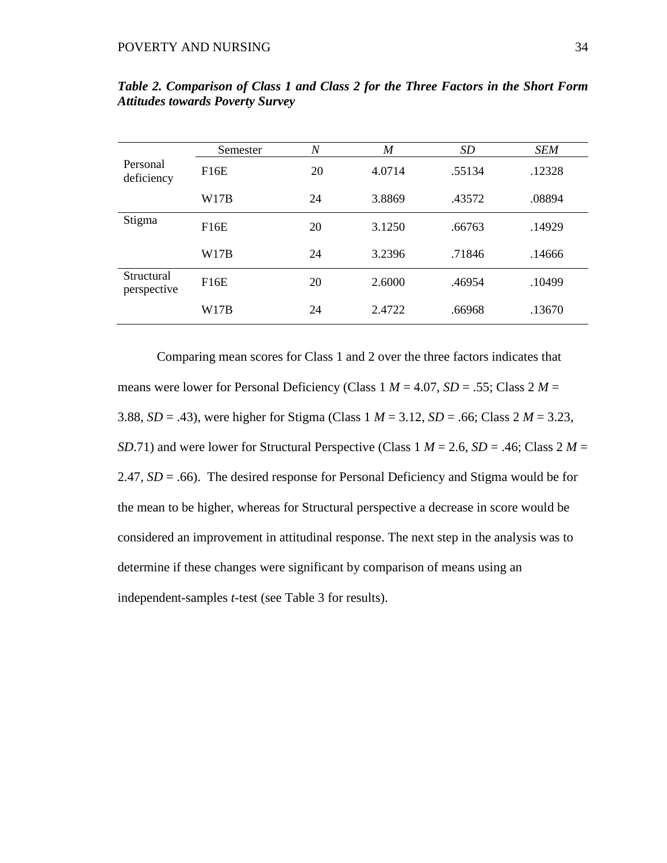|                           | Semester | N  | $\boldsymbol{M}$ | SD     | SEM    |
|---------------------------|----------|----|------------------|--------|--------|
| Personal<br>deficiency    | F16E     | 20 | 4.0714           | .55134 | .12328 |
|                           | W17B     | 24 | 3.8869           | .43572 | .08894 |
| Stigma                    | F16E     | 20 | 3.1250           | .66763 | .14929 |
|                           | W17B     | 24 | 3.2396           | .71846 | .14666 |
| Structural<br>perspective | F16E     | 20 | 2.6000           | .46954 | .10499 |
|                           | W17B     | 24 | 2.4722           | .66968 | .13670 |

*Table 2. Comparison of Class 1 and Class 2 for the Three Factors in the Short Form Attitudes towards Poverty Survey*

Comparing mean scores for Class 1 and 2 over the three factors indicates that means were lower for Personal Deficiency (Class  $1 M = 4.07$ ,  $SD = .55$ ; Class  $2 M =$ 3.88, *SD* = .43), were higher for Stigma (Class 1 *M* = 3.12, *SD* = .66; Class 2 *M* = 3.23, *SD.71*) and were lower for Structural Perspective (Class  $1 M = 2.6$ , *SD* = .46; Class  $2 M =$ 2.47,  $SD = .66$ ). The desired response for Personal Deficiency and Stigma would be for the mean to be higher, whereas for Structural perspective a decrease in score would be considered an improvement in attitudinal response. The next step in the analysis was to determine if these changes were significant by comparison of means using an independent-samples *t*-test (see Table 3 for results).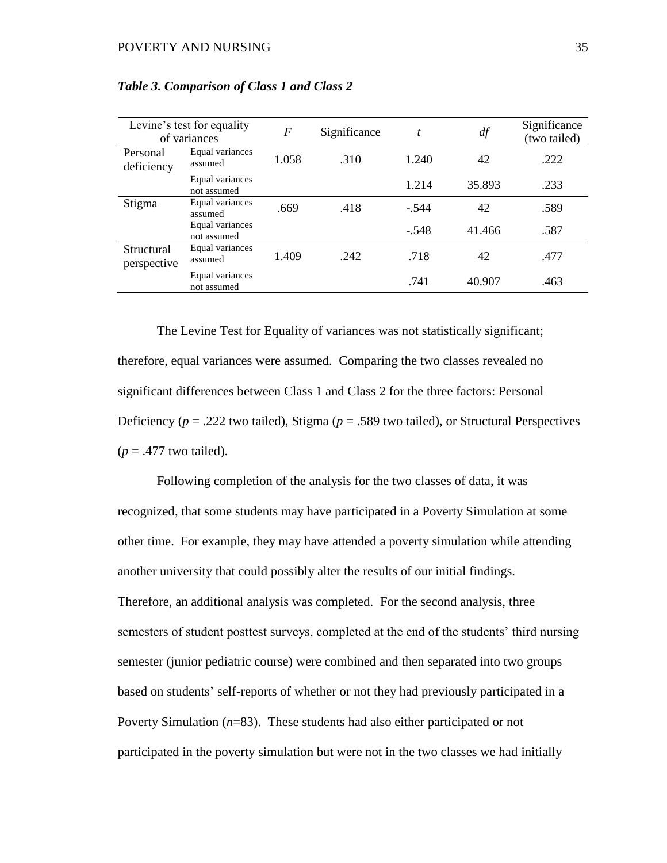|                           | Levine's test for equality<br>of variances | $\boldsymbol{F}$ | Significance | $\boldsymbol{t}$ | df     | Significance<br>(two tailed) |
|---------------------------|--------------------------------------------|------------------|--------------|------------------|--------|------------------------------|
| Personal<br>deficiency    | Equal variances<br>assumed                 | 1.058            | .310         | 1.240            | 42     | .222                         |
|                           | Equal variances<br>not assumed             |                  |              | 1.214            | 35.893 | .233                         |
| Stigma                    | Equal variances<br>assumed                 | .669             | .418         | $-.544$          | 42     | .589                         |
|                           | Equal variances<br>not assumed             |                  |              | $-.548$          | 41.466 | .587                         |
| Structural<br>perspective | Equal variances<br>assumed                 | 1.409            | .242         | .718             | 42     | .477                         |
|                           | Equal variances<br>not assumed             |                  |              | .741             | 40.907 | .463                         |

*Table 3. Comparison of Class 1 and Class 2*

The Levine Test for Equality of variances was not statistically significant; therefore, equal variances were assumed. Comparing the two classes revealed no significant differences between Class 1 and Class 2 for the three factors: Personal Deficiency (*p* = .222 two tailed), Stigma (*p* = .589 two tailed), or Structural Perspectives  $(p = .477$  two tailed).

Following completion of the analysis for the two classes of data, it was recognized, that some students may have participated in a Poverty Simulation at some other time. For example, they may have attended a poverty simulation while attending another university that could possibly alter the results of our initial findings. Therefore, an additional analysis was completed. For the second analysis, three semesters of student posttest surveys, completed at the end of the students' third nursing semester (junior pediatric course) were combined and then separated into two groups based on students' self-reports of whether or not they had previously participated in a Poverty Simulation (*n*=83). These students had also either participated or not participated in the poverty simulation but were not in the two classes we had initially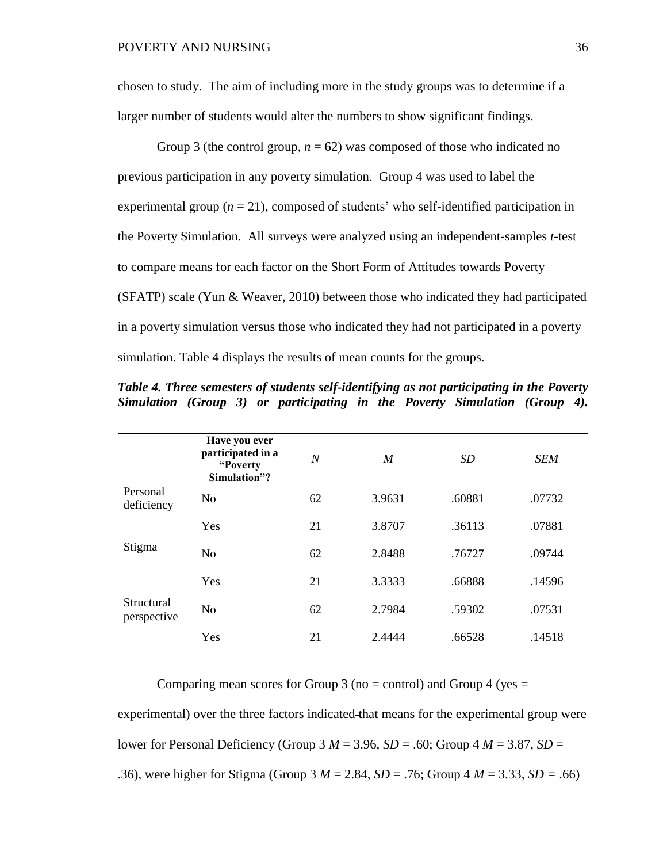chosen to study. The aim of including more in the study groups was to determine if a larger number of students would alter the numbers to show significant findings.

Group 3 (the control group,  $n = 62$ ) was composed of those who indicated no previous participation in any poverty simulation. Group 4 was used to label the experimental group  $(n = 21)$ , composed of students' who self-identified participation in the Poverty Simulation. All surveys were analyzed using an independent-samples *t*-test to compare means for each factor on the Short Form of Attitudes towards Poverty (SFATP) scale (Yun & Weaver, 2010) between those who indicated they had participated in a poverty simulation versus those who indicated they had not participated in a poverty simulation. Table 4 displays the results of mean counts for the groups.

|                           | Have you ever<br>participated in a<br>"Poverty<br>Simulation"? | $\overline{N}$ | M      | SD     | <b>SEM</b> |
|---------------------------|----------------------------------------------------------------|----------------|--------|--------|------------|
| Personal<br>deficiency    | N <sub>o</sub>                                                 | 62             | 3.9631 | .60881 | .07732     |
|                           | Yes                                                            | 21             | 3.8707 | .36113 | .07881     |
| Stigma                    | N <sub>o</sub>                                                 | 62             | 2.8488 | .76727 | .09744     |
|                           | Yes                                                            | 21             | 3.3333 | .66888 | .14596     |
| Structural<br>perspective | N <sub>o</sub>                                                 | 62             | 2.7984 | .59302 | .07531     |
|                           | Yes                                                            | 21             | 2.4444 | .66528 | .14518     |

*Table 4. Three semesters of students self-identifying as not participating in the Poverty Simulation (Group 3) or participating in the Poverty Simulation (Group 4).*

Comparing mean scores for Group 3 (no  $=$  control) and Group 4 (yes  $=$ 

experimental) over the three factors indicated that means for the experimental group were lower for Personal Deficiency (Group 3  $M = 3.96$ ,  $SD = .60$ ; Group 4  $M = 3.87$ ,  $SD =$ .36), were higher for Stigma (Group 3 *M* = 2.84, *SD* = .76; Group 4 *M* = 3.33, *SD =* .66)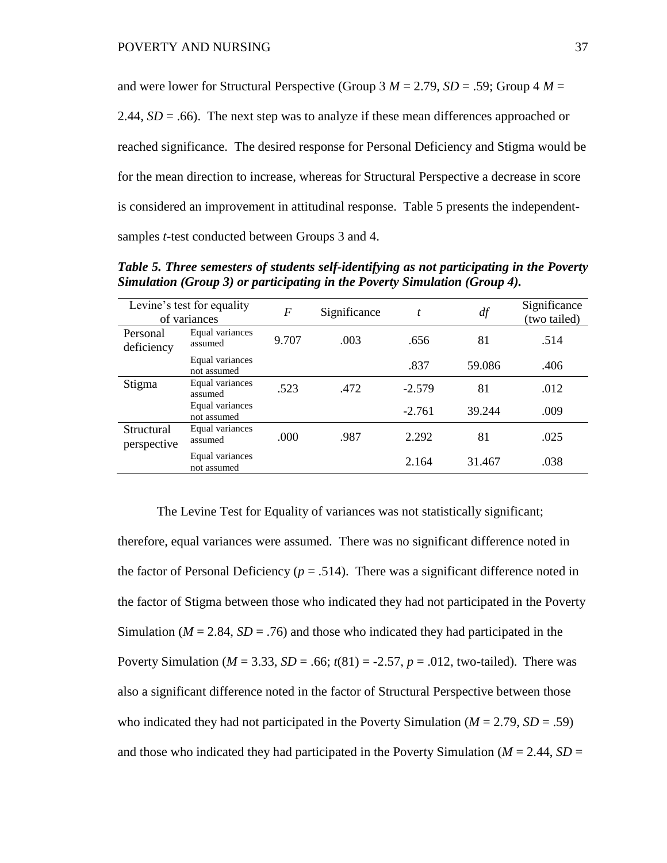and were lower for Structural Perspective (Group  $3 M = 2.79$ ,  $SD = .59$ ; Group  $4 M =$ 2.44,  $SD = .66$ ). The next step was to analyze if these mean differences approached or reached significance. The desired response for Personal Deficiency and Stigma would be for the mean direction to increase, whereas for Structural Perspective a decrease in score is considered an improvement in attitudinal response. Table 5 presents the independentsamples *t*-test conducted between Groups 3 and 4.

|                           | Levine's test for equality<br>of variances | $\boldsymbol{F}$ | Significance | t        | df     | Significance<br>(two tailed) |
|---------------------------|--------------------------------------------|------------------|--------------|----------|--------|------------------------------|
| Personal<br>deficiency    | Equal variances<br>assumed                 | 9.707            | .003         | .656     | 81     | .514                         |
|                           | Equal variances<br>not assumed             |                  |              | .837     | 59.086 | .406                         |
| Stigma                    | Equal variances<br>assumed                 | .523             | .472         | $-2.579$ | 81     | .012                         |
|                           | Equal variances<br>not assumed             |                  |              | $-2.761$ | 39.244 | .009                         |
| Structural<br>perspective | Equal variances<br>assumed                 | .000             | .987         | 2.292    | 81     | .025                         |
|                           | Equal variances<br>not assumed             |                  |              | 2.164    | 31.467 | .038                         |

*Table 5. Three semesters of students self-identifying as not participating in the Poverty Simulation (Group 3) or participating in the Poverty Simulation (Group 4).*

The Levine Test for Equality of variances was not statistically significant; therefore, equal variances were assumed. There was no significant difference noted in the factor of Personal Deficiency ( $p = .514$ ). There was a significant difference noted in the factor of Stigma between those who indicated they had not participated in the Poverty Simulation ( $M = 2.84$ ,  $SD = .76$ ) and those who indicated they had participated in the Poverty Simulation ( $M = 3.33$ ,  $SD = .66$ ;  $t(81) = -2.57$ ,  $p = .012$ , two-tailed). There was also a significant difference noted in the factor of Structural Perspective between those who indicated they had not participated in the Poverty Simulation ( $M = 2.79$ ,  $SD = .59$ ) and those who indicated they had participated in the Poverty Simulation ( $M = 2.44$ ,  $SD =$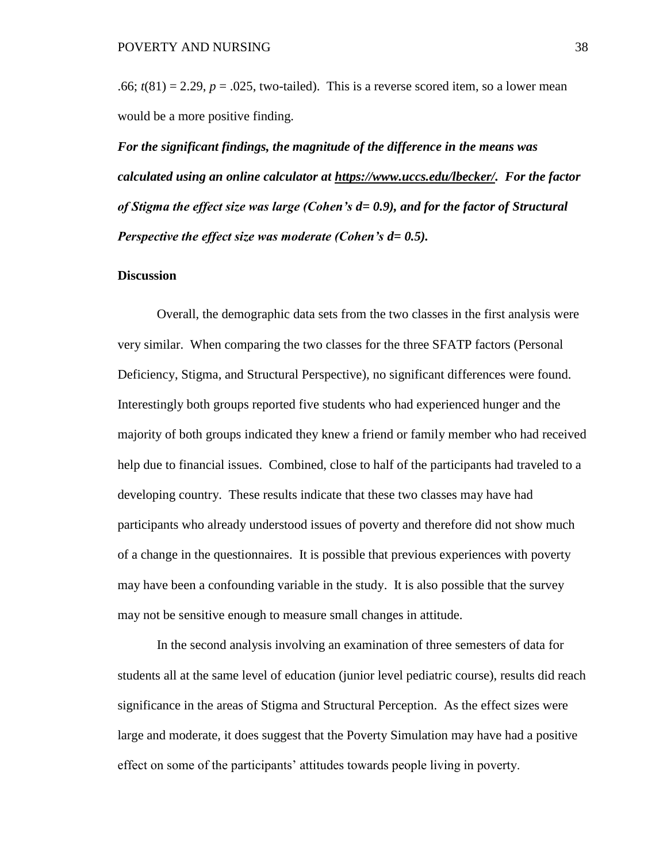.66;  $t(81) = 2.29$ ,  $p = .025$ , two-tailed). This is a reverse scored item, so a lower mean would be a more positive finding.

*For the significant findings, the magnitude of the difference in the means was calculated using an online calculator at [https://www.uccs.edu/lbecker/.](https://www.uccs.edu/lbecker/) For the factor of Stigma the effect size was large (Cohen's d= 0.9), and for the factor of Structural Perspective the effect size was moderate (Cohen's d= 0.5).*

#### **Discussion**

Overall, the demographic data sets from the two classes in the first analysis were very similar. When comparing the two classes for the three SFATP factors (Personal Deficiency, Stigma, and Structural Perspective), no significant differences were found. Interestingly both groups reported five students who had experienced hunger and the majority of both groups indicated they knew a friend or family member who had received help due to financial issues. Combined, close to half of the participants had traveled to a developing country. These results indicate that these two classes may have had participants who already understood issues of poverty and therefore did not show much of a change in the questionnaires. It is possible that previous experiences with poverty may have been a confounding variable in the study. It is also possible that the survey may not be sensitive enough to measure small changes in attitude.

In the second analysis involving an examination of three semesters of data for students all at the same level of education (junior level pediatric course), results did reach significance in the areas of Stigma and Structural Perception. As the effect sizes were large and moderate, it does suggest that the Poverty Simulation may have had a positive effect on some of the participants' attitudes towards people living in poverty.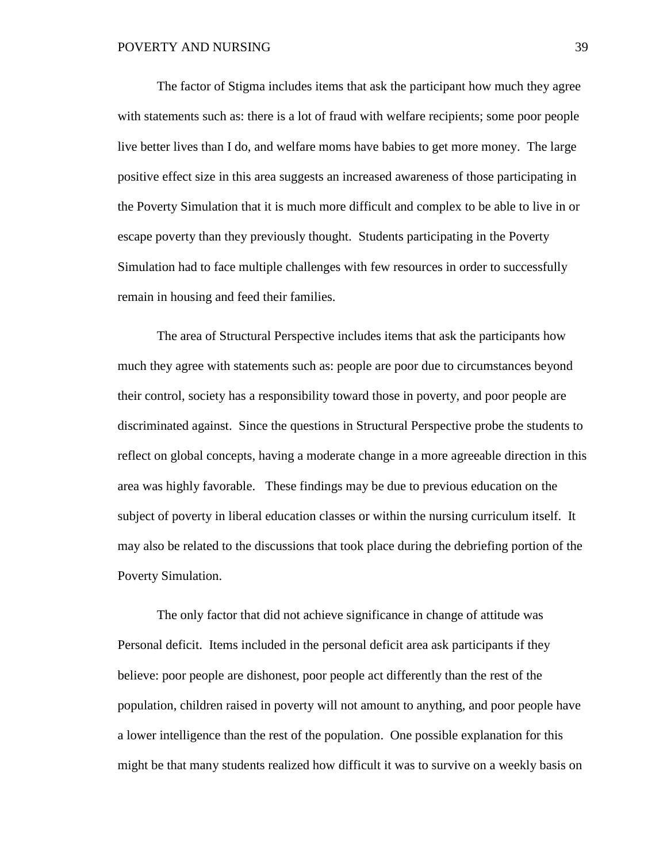The factor of Stigma includes items that ask the participant how much they agree with statements such as: there is a lot of fraud with welfare recipients; some poor people live better lives than I do, and welfare moms have babies to get more money. The large positive effect size in this area suggests an increased awareness of those participating in the Poverty Simulation that it is much more difficult and complex to be able to live in or escape poverty than they previously thought. Students participating in the Poverty Simulation had to face multiple challenges with few resources in order to successfully remain in housing and feed their families.

The area of Structural Perspective includes items that ask the participants how much they agree with statements such as: people are poor due to circumstances beyond their control, society has a responsibility toward those in poverty, and poor people are discriminated against. Since the questions in Structural Perspective probe the students to reflect on global concepts, having a moderate change in a more agreeable direction in this area was highly favorable. These findings may be due to previous education on the subject of poverty in liberal education classes or within the nursing curriculum itself. It may also be related to the discussions that took place during the debriefing portion of the Poverty Simulation.

The only factor that did not achieve significance in change of attitude was Personal deficit. Items included in the personal deficit area ask participants if they believe: poor people are dishonest, poor people act differently than the rest of the population, children raised in poverty will not amount to anything, and poor people have a lower intelligence than the rest of the population. One possible explanation for this might be that many students realized how difficult it was to survive on a weekly basis on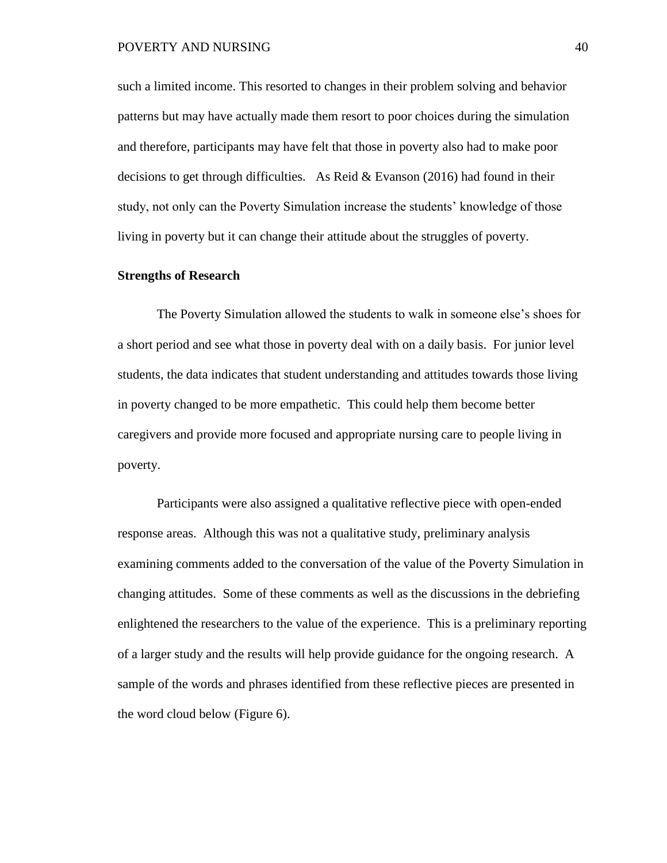#### POVERTY AND NURSING 40

such a limited income. This resorted to changes in their problem solving and behavior patterns but may have actually made them resort to poor choices during the simulation and therefore, participants may have felt that those in poverty also had to make poor decisions to get through difficulties. As Reid & Evanson (2016) had found in their study, not only can the Poverty Simulation increase the students' knowledge of those living in poverty but it can change their attitude about the struggles of poverty.

#### **Strengths of Research**

The Poverty Simulation allowed the students to walk in someone else's shoes for a short period and see what those in poverty deal with on a daily basis. For junior level students, the data indicates that student understanding and attitudes towards those living in poverty changed to be more empathetic. This could help them become better caregivers and provide more focused and appropriate nursing care to people living in poverty.

Participants were also assigned a qualitative reflective piece with open-ended response areas. Although this was not a qualitative study, preliminary analysis examining comments added to the conversation of the value of the Poverty Simulation in changing attitudes. Some of these comments as well as the discussions in the debriefing enlightened the researchers to the value of the experience. This is a preliminary reporting of a larger study and the results will help provide guidance for the ongoing research. A sample of the words and phrases identified from these reflective pieces are presented in the word cloud below (Figure 6).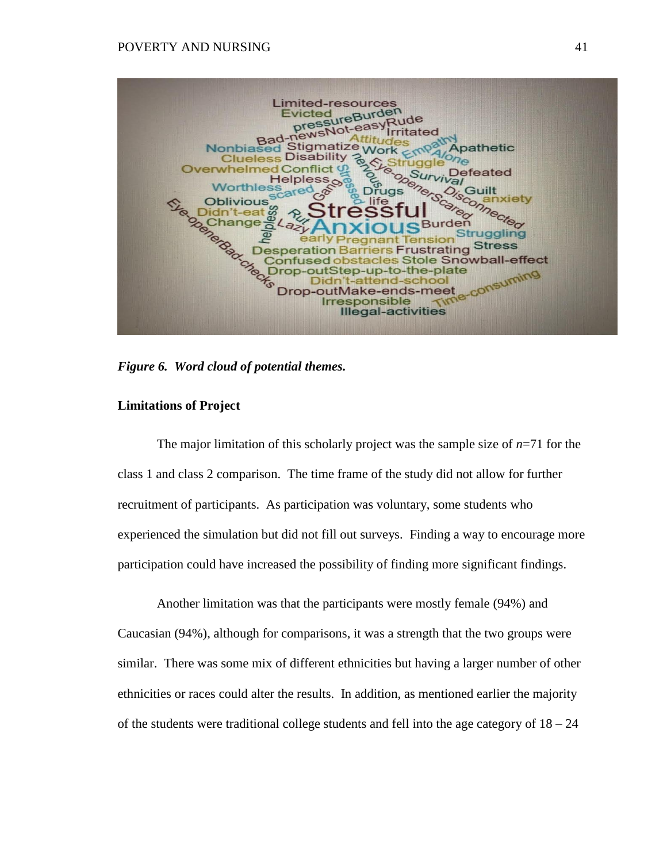

*Figure 6. Word cloud of potential themes.*

#### **Limitations of Project**

The major limitation of this scholarly project was the sample size of  $n=71$  for the class 1 and class 2 comparison. The time frame of the study did not allow for further recruitment of participants. As participation was voluntary, some students who experienced the simulation but did not fill out surveys. Finding a way to encourage more participation could have increased the possibility of finding more significant findings.

Another limitation was that the participants were mostly female (94%) and Caucasian (94%), although for comparisons, it was a strength that the two groups were similar. There was some mix of different ethnicities but having a larger number of other ethnicities or races could alter the results. In addition, as mentioned earlier the majority of the students were traditional college students and fell into the age category of  $18 - 24$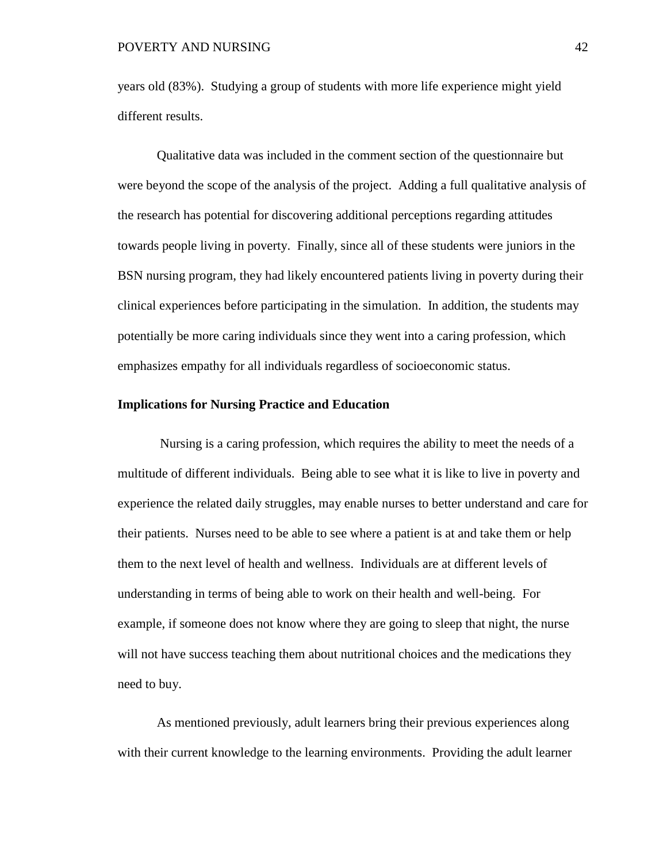years old (83%). Studying a group of students with more life experience might yield different results.

Qualitative data was included in the comment section of the questionnaire but were beyond the scope of the analysis of the project. Adding a full qualitative analysis of the research has potential for discovering additional perceptions regarding attitudes towards people living in poverty. Finally, since all of these students were juniors in the BSN nursing program, they had likely encountered patients living in poverty during their clinical experiences before participating in the simulation. In addition, the students may potentially be more caring individuals since they went into a caring profession, which emphasizes empathy for all individuals regardless of socioeconomic status.

#### **Implications for Nursing Practice and Education**

Nursing is a caring profession, which requires the ability to meet the needs of a multitude of different individuals. Being able to see what it is like to live in poverty and experience the related daily struggles, may enable nurses to better understand and care for their patients. Nurses need to be able to see where a patient is at and take them or help them to the next level of health and wellness. Individuals are at different levels of understanding in terms of being able to work on their health and well-being. For example, if someone does not know where they are going to sleep that night, the nurse will not have success teaching them about nutritional choices and the medications they need to buy.

As mentioned previously, adult learners bring their previous experiences along with their current knowledge to the learning environments. Providing the adult learner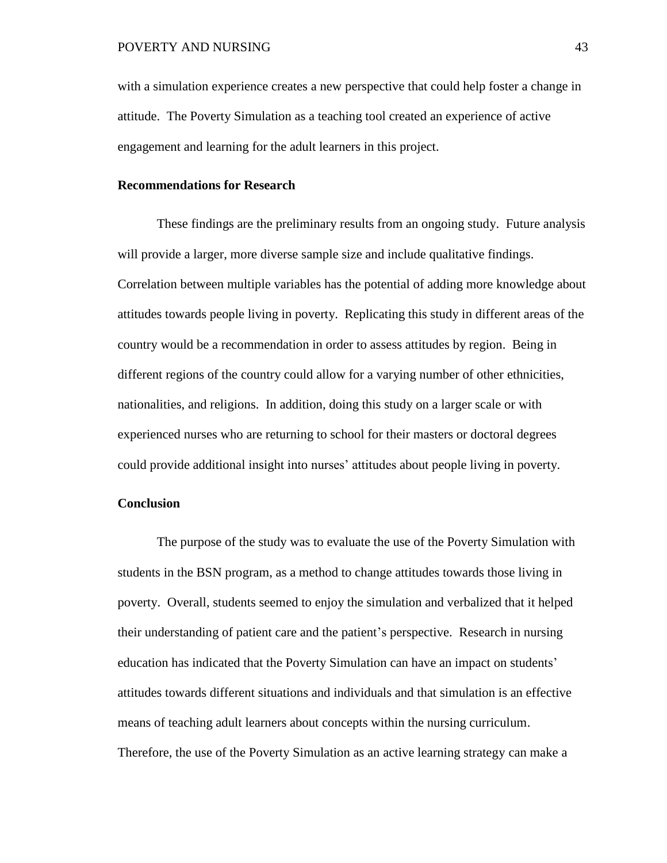with a simulation experience creates a new perspective that could help foster a change in attitude. The Poverty Simulation as a teaching tool created an experience of active engagement and learning for the adult learners in this project.

#### **Recommendations for Research**

These findings are the preliminary results from an ongoing study. Future analysis will provide a larger, more diverse sample size and include qualitative findings. Correlation between multiple variables has the potential of adding more knowledge about attitudes towards people living in poverty. Replicating this study in different areas of the country would be a recommendation in order to assess attitudes by region. Being in different regions of the country could allow for a varying number of other ethnicities, nationalities, and religions. In addition, doing this study on a larger scale or with experienced nurses who are returning to school for their masters or doctoral degrees could provide additional insight into nurses' attitudes about people living in poverty.

#### **Conclusion**

The purpose of the study was to evaluate the use of the Poverty Simulation with students in the BSN program, as a method to change attitudes towards those living in poverty. Overall, students seemed to enjoy the simulation and verbalized that it helped their understanding of patient care and the patient's perspective. Research in nursing education has indicated that the Poverty Simulation can have an impact on students' attitudes towards different situations and individuals and that simulation is an effective means of teaching adult learners about concepts within the nursing curriculum. Therefore, the use of the Poverty Simulation as an active learning strategy can make a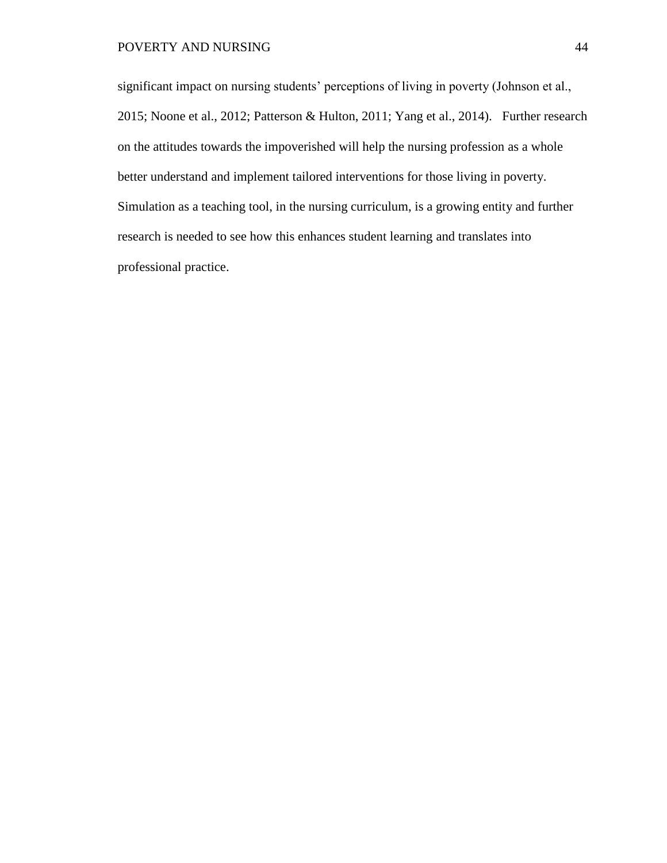significant impact on nursing students' perceptions of living in poverty (Johnson et al., 2015; Noone et al., 2012; Patterson & Hulton, 2011; Yang et al., 2014). Further research on the attitudes towards the impoverished will help the nursing profession as a whole better understand and implement tailored interventions for those living in poverty. Simulation as a teaching tool, in the nursing curriculum, is a growing entity and further research is needed to see how this enhances student learning and translates into professional practice.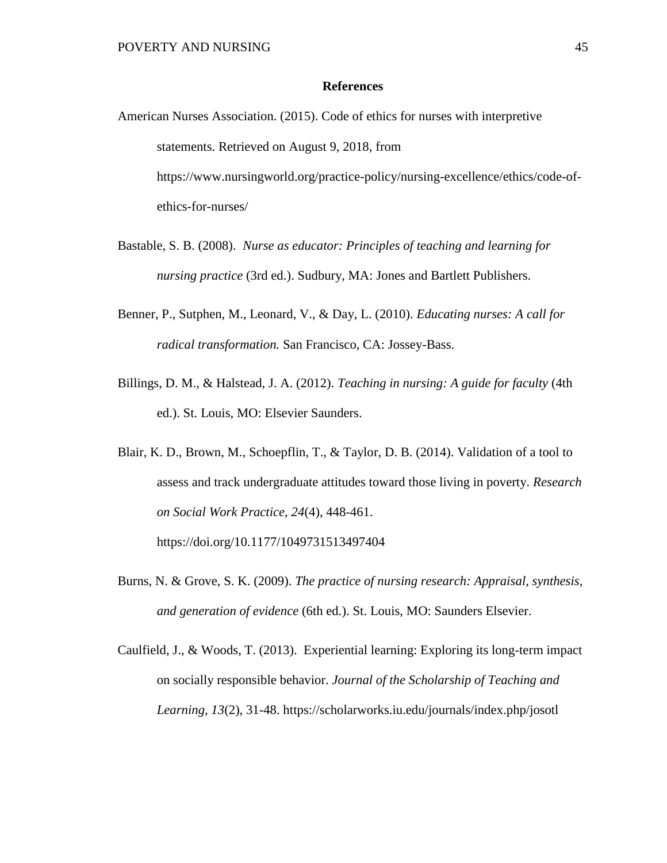#### **References**

- American Nurses Association. (2015). Code of ethics for nurses with interpretive statements. Retrieved on August 9, 2018, from https://www.nursingworld.org/practice-policy/nursing-excellence/ethics/code-ofethics-for-nurses/
- Bastable, S. B. (2008). *Nurse as educator: Principles of teaching and learning for nursing practice* (3rd ed.). Sudbury, MA: Jones and Bartlett Publishers.
- Benner, P., Sutphen, M., Leonard, V., & Day, L. (2010). *Educating nurses: A call for radical transformation.* San Francisco, CA: Jossey-Bass.
- Billings, D. M., & Halstead, J. A. (2012). *Teaching in nursing: A guide for faculty* (4th ed.). St. Louis, MO: Elsevier Saunders.
- Blair, K. D., Brown, M., Schoepflin, T., & Taylor, D. B. (2014). Validation of a tool to assess and track undergraduate attitudes toward those living in poverty. *Research on Social Work Practice, 24*(4), 448-461. https://doi.org/10.1177/1049731513497404
- Burns, N. & Grove, S. K. (2009). *The practice of nursing research: Appraisal, synthesis, and generation of evidence* (6th ed.). St. Louis, MO: Saunders Elsevier.
- Caulfield, J., & Woods, T. (2013). Experiential learning: Exploring its long-term impact on socially responsible behavior. *Journal of the Scholarship of Teaching and Learning, 13*(2), 31-48. https://scholarworks.iu.edu/journals/index.php/josotl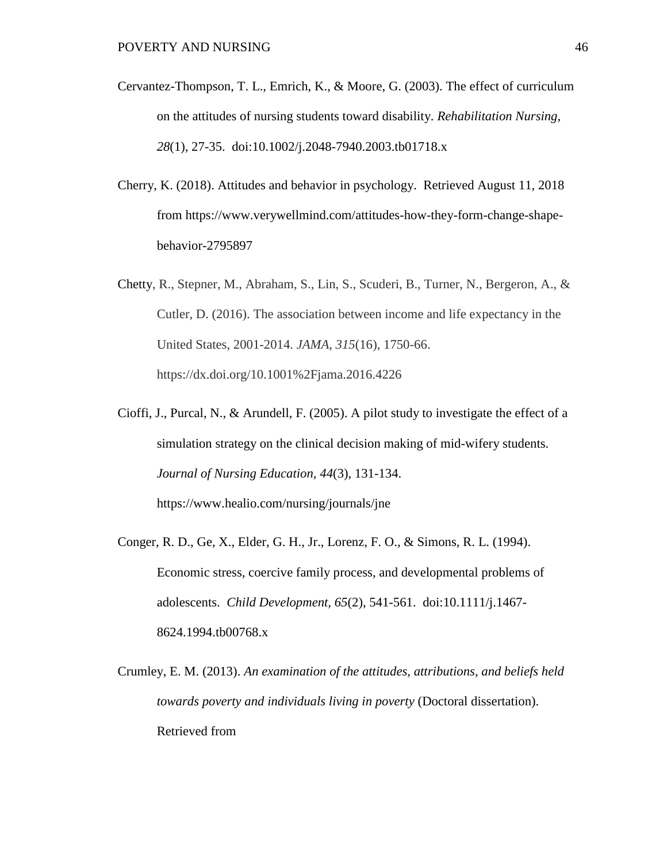- Cervantez-Thompson, T. L., Emrich, K., & Moore, G. (2003). The effect of curriculum on the attitudes of nursing students toward disability. *Rehabilitation Nursing, 28*(1), 27-35. doi:10.1002/j.2048-7940.2003.tb01718.x
- Cherry, K. (2018). Attitudes and behavior in psychology. Retrieved August 11, 2018 from [https://www.verywellmind.com/attitudes-how-they-form-change-shape](https://www.verywellmind.com/attitudes-how-they-form-change-shape-behavior-2795897)[behavior-2795897](https://www.verywellmind.com/attitudes-how-they-form-change-shape-behavior-2795897)
- Chetty, R., Stepner, M., Abraham, S., Lin, S., Scuderi, B., Turner, N., Bergeron, A., & Cutler, D. (2016). The association between income and life expectancy in the United States, 2001-2014. *JAMA*, *315*(16), 1750-66. https://dx.doi.org/10.1001%2Fjama.2016.4226
- Cioffi, J., Purcal, N., & Arundell, F. (2005). A pilot study to investigate the effect of a simulation strategy on the clinical decision making of mid-wifery students. *Journal of Nursing Education, 44*(3), 131-134. https://www.healio.com/nursing/journals/jne
- Conger, R. D., Ge, X., Elder, G. H., Jr., Lorenz, F. O., & Simons, R. L. (1994). Economic stress, coercive family process, and developmental problems of adolescents. *Child Development, 65*(2), 541-561. doi:10.1111/j.1467- 8624.1994.tb00768.x
- Crumley, E. M. (2013). *An examination of the attitudes, attributions, and beliefs held towards poverty and individuals living in poverty* (Doctoral dissertation). Retrieved from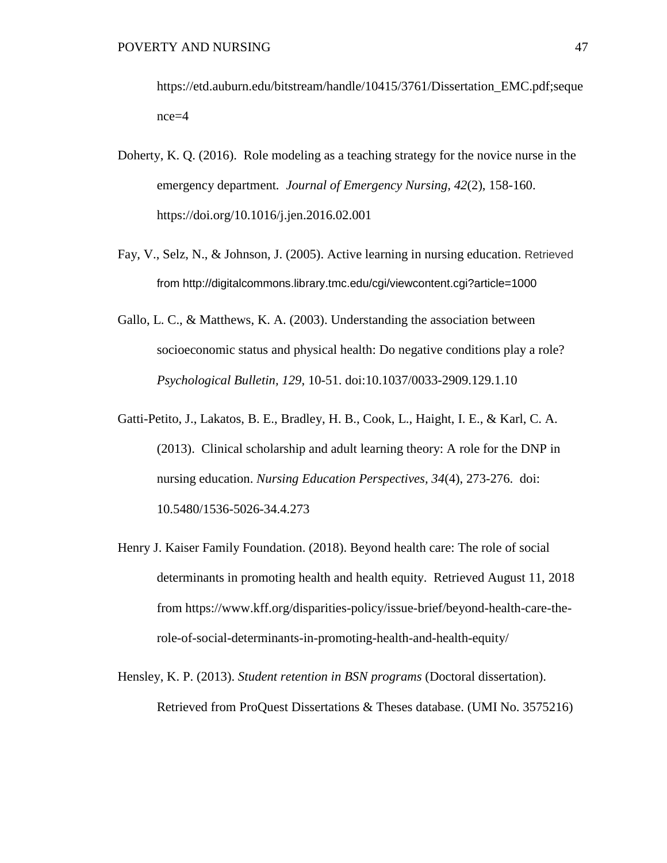[https://etd.auburn.edu/bitstream/handle/10415/3761/Dissertation\\_EMC.pdf;seque](https://etd.auburn.edu/bitstream/handle/10415/3761/Dissertation_EMC.pdf;sequence=4) [nce=4](https://etd.auburn.edu/bitstream/handle/10415/3761/Dissertation_EMC.pdf;sequence=4)

- Doherty, K. Q. (2016). Role modeling as a teaching strategy for the novice nurse in the emergency department*. Journal of Emergency Nursing, 42*(2), 158-160. <https://doi.org/10.1016/j.jen.2016.02.001>
- Fay, V., Selz, N., & Johnson, J. (2005). Active learning in nursing education. Retrieved from <http://digitalcommons.library.tmc.edu/cgi/viewcontent.cgi?article=1000>
- Gallo, L. C., & Matthews, K. A. (2003). Understanding the association between socioeconomic status and physical health: Do negative conditions play a role? *Psychological Bulletin, 129*, 10-51. doi:10.1037/0033-2909.129.1.10
- Gatti-Petito, J., Lakatos, B. E., Bradley, H. B., Cook, L., Haight, I. E., & Karl, C. A. (2013). Clinical scholarship and adult learning theory: A role for the DNP in nursing education. *Nursing Education Perspectives, 34*(4), 273-276. doi: 10.5480/1536-5026-34.4.273
- Henry J. Kaiser Family Foundation. (2018). Beyond health care: The role of social determinants in promoting health and health equity. Retrieved August 11, 2018 from https://www.kff.org/disparities-policy/issue-brief/beyond-health-care-therole-of-social-determinants-in-promoting-health-and-health-equity/
- Hensley, K. P. (2013). *Student retention in BSN programs* (Doctoral dissertation). Retrieved from ProQuest Dissertations & Theses database. (UMI No. 3575216)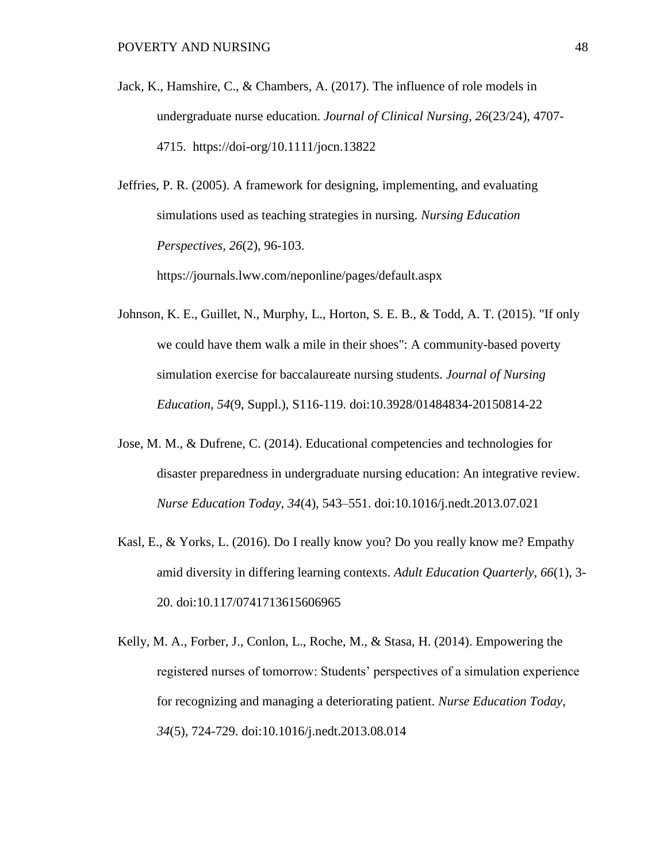Jack, K., Hamshire, C., & Chambers, A. (2017). The influence of role models in undergraduate nurse education. *Journal of Clinical Nursing, 26*(23/24), 4707- 4715. <https://doi-org/10.1111/jocn.13822>

[Jeffries,](http://go.galegroup.com/ps/advancedSearch.do?method=doSearch&searchType=AdvancedSearchForm&userGroupName=lom_nmichu&inputFieldNames%5b0%5d=AU&prodId=AONE&inputFieldValues%5b0%5d=%22Pamela+R.+Jeffries%22) P. R. (2005). A framework for designing, implementing, and evaluating simulations used as teaching strategies in nursing. *[Nursing Education](http://go.galegroup.com/ps/aboutJournal.do?contentModuleId=AONE&resultClickType=AboutThisPublication&actionString=DO_DISPLAY_ABOUT_PAGE&searchType=&docId=GALE%7C0MJH&userGroupName=lom_nmichu&inPS=true&rcDocId=GALE%7CA131607707&prodId=AONE&pubDate=120050301)  [Perspectives,](http://go.galegroup.com/ps/aboutJournal.do?contentModuleId=AONE&resultClickType=AboutThisPublication&actionString=DO_DISPLAY_ABOUT_PAGE&searchType=&docId=GALE%7C0MJH&userGroupName=lom_nmichu&inPS=true&rcDocId=GALE%7CA131607707&prodId=AONE&pubDate=120050301) 26*(2), 96-103.

https://journals.lww.com/neponline/pages/default.aspx

- Johnson, K. E., Guillet, N., Murphy, L., Horton, S. E. B., & Todd, A. T. (2015). "If only we could have them walk a mile in their shoes": A community-based poverty simulation exercise for baccalaureate nursing students. *Journal of Nursing Education, 54*(9, Suppl.), S116-119. doi:10.3928/01484834-20150814-22
- Jose, M. M., & Dufrene, C. (2014). Educational competencies and technologies for disaster preparedness in undergraduate nursing education: An integrative review. *Nurse Education Today*, *34*(4), 543–551. doi:10.1016/j.nedt.2013.07.021
- Kasl, E., & Yorks, L. (2016). Do I really know you? Do you really know me? Empathy amid diversity in differing learning contexts. *Adult Education Quarterly, 66*(1), 3- 20. doi:10.117/0741713615606965
- Kelly, M. A., Forber, J., Conlon, L., Roche, M., & Stasa, H. (2014). Empowering the registered nurses of tomorrow: Students' perspectives of a simulation experience for recognizing and managing a deteriorating patient. *Nurse Education Today*, *34*(5), 724-729. doi:10.1016/j.nedt.2013.08.014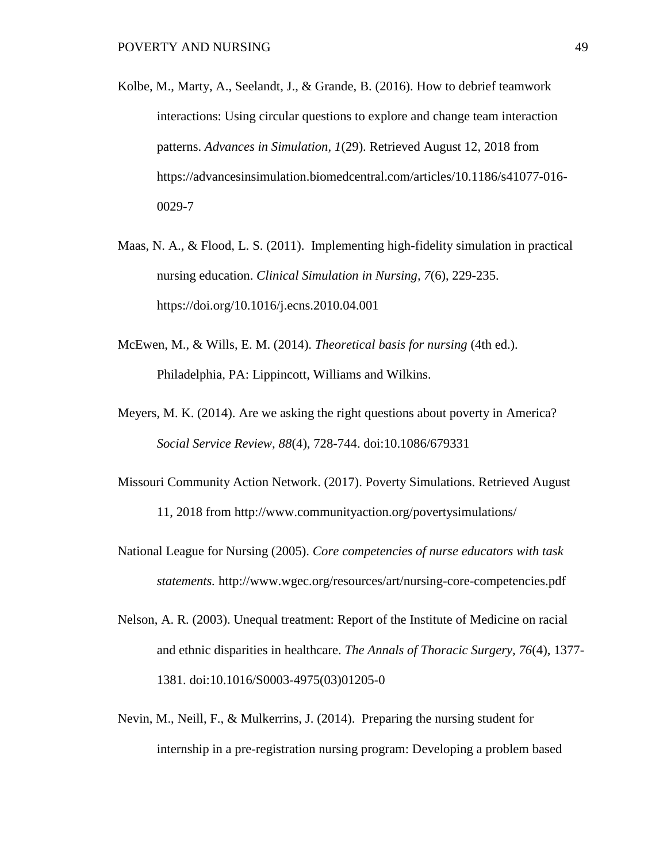- Kolbe, M., Marty, A., Seelandt, J., & Grande, B. (2016). How to debrief teamwork interactions: Using circular questions to explore and change team interaction patterns. *Advances in Simulation, 1*(29). Retrieved August 12, 2018 from https://advancesinsimulation.biomedcentral.com/articles/10.1186/s41077-016- 0029-7
- Maas, N. A., & Flood, L. S. (2011). Implementing high-fidelity simulation in practical nursing education. *Clinical Simulation in Nursing, 7*(6), 229-235. https://doi.org/10.1016/j.ecns.2010.04.001
- McEwen, M., & Wills, E. M. (2014). *Theoretical basis for nursing* (4th ed.). Philadelphia, PA: Lippincott, Williams and Wilkins.
- Meyers, M. K. (2014). Are we asking the right questions about poverty in America? *Social Service Review, 88*(4), 728-744. doi:10.1086/679331
- Missouri Community Action Network. (2017). Poverty Simulations. Retrieved August 11, 2018 from http://www.communityaction.org/povertysimulations/
- National League for Nursing (2005). *Core competencies of nurse educators with task statements.* <http://www.wgec.org/resources/art/nursing-core-competencies.pdf>
- Nelson, A. R. (2003). Unequal treatment: Report of the Institute of Medicine on racial and ethnic disparities in healthcare. *The Annals of Thoracic Surgery, 76*(4), 1377- 1381. doi:10.1016/S0003-4975(03)01205-0
- Nevin, M., Neill, F., & Mulkerrins, J. (2014). Preparing the nursing student for internship in a pre-registration nursing program: Developing a problem based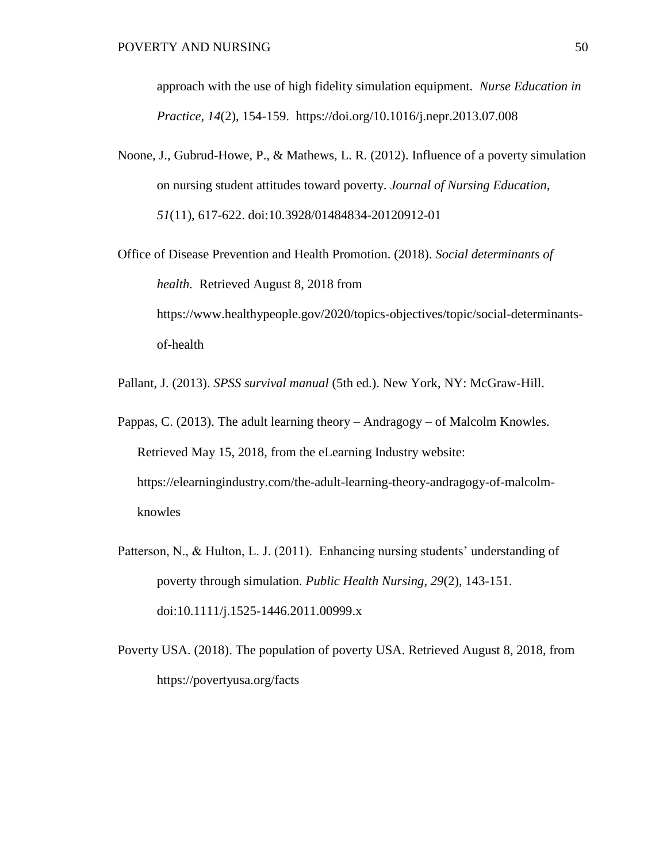approach with the use of high fidelity simulation equipment. *Nurse Education in Practice, 14*(2), 154-159. <https://doi.org/10.1016/j.nepr.2013.07.008>

- Noone, J., Gubrud-Howe, P., & Mathews, L. R. (2012). Influence of a poverty simulation on nursing student attitudes toward poverty. *Journal of Nursing Education, 51*(11), 617-622. doi:10.3928/01484834-20120912-01
- Office of Disease Prevention and Health Promotion. (2018). *Social determinants of health.* Retrieved August 8, 2018 from [https://www.healthypeople.gov/2020/topics-objectives/topic/social-determinants](https://www.healthypeople.gov/2020/topics-objectives/topic/social-determinants-of-health)[of-health](https://www.healthypeople.gov/2020/topics-objectives/topic/social-determinants-of-health)
- Pallant, J. (2013). *SPSS survival manual* (5th ed.). New York, NY: McGraw-Hill.
- Pappas, C. (2013). The adult learning theory Andragogy of Malcolm Knowles. Retrieved May 15, 2018, from the eLearning Industry website: [https://elearningindustry.com/t](https://elearningindustry.com/)he-adult-learning-theory-andragogy-of-malcolmknowles
- Patterson, N., & Hulton, L. J. (2011). Enhancing nursing students' understanding of poverty through simulation. *Public Health Nursing, 29*(2), 143-151. doi:10.1111/j.1525-1446.2011.00999.x
- Poverty USA. (2018). The population of poverty USA. Retrieved August 8, 2018, from https://povertyusa.org/facts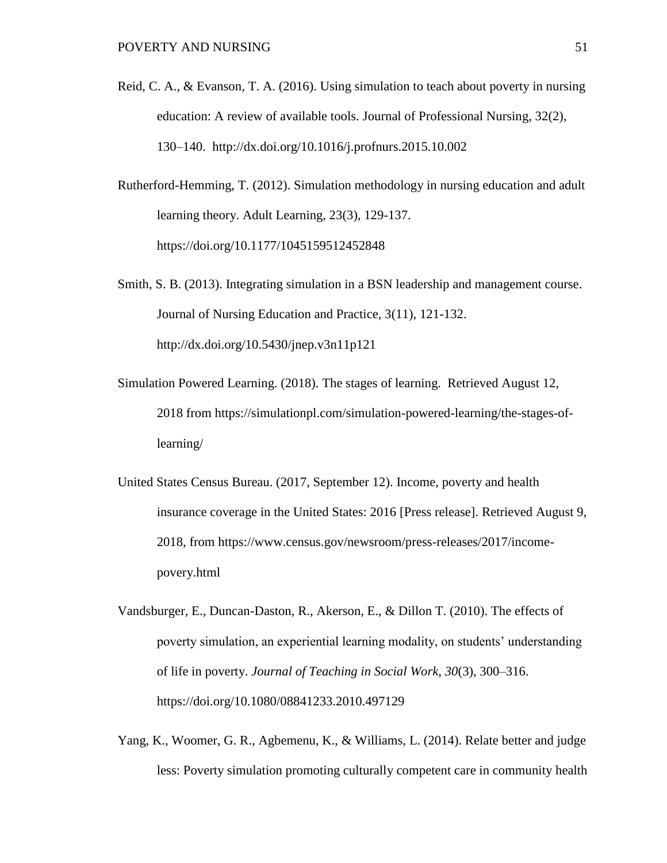- Reid, C. A., & Evanson, T. A. (2016). Using simulation to teach about poverty in nursing education: A review of available tools. [Journal of Professional Nursing,](http://www.sciencedirect.com/science/journal/87557223) [32\(2\)](file:///C:/Users/krsmith/Documents/Documents/doctoral%20classes/Smith%20Scholarly%20Project/%2032(2), 130–140. <http://dx.doi.org/10.1016/j.profnurs.2015.10.002>
- Rutherford-Hemming, T. (2012). Simulation methodology in nursing education and adult learning theory. Adult Learning, 23(3), 129-137. [https://doi.org/10.1177/1045159512452848](https://doi.org/10.1177%2F1045159512452848)
- Smith, S. B. (2013). Integrating simulation in a BSN leadership and management course. Journal of Nursing Education and Practice, 3(11), 121-132. <http://dx.doi.org/10.5430/jnep.v3n11p121>
- Simulation Powered Learning. (2018). The stages of learning. Retrieved August 12, 2018 from https://simulationpl.com/simulation-powered-learning/the-stages-oflearning/
- United States Census Bureau. (2017, September 12). Income, poverty and health insurance coverage in the United States: 2016 [Press release]. Retrieved August 9, 2018, from [https://www.census.gov/newsroom/press-releases/2017/income](https://www.census.gov/newsroom/press-releases/2017/income-povery.html)[povery.html](https://www.census.gov/newsroom/press-releases/2017/income-povery.html)
- Vandsburger, E., Duncan-Daston, R., Akerson, E., & Dillon T. (2010). The effects of poverty simulation, an experiential learning modality, on students' understanding of life in poverty. *Journal of Teaching in Social Work, 30*(3), 300–316. https://doi.org/10.1080/08841233.2010.497129
- Yang, K., Woomer, G. R., Agbemenu, K., & Williams, L. (2014). Relate better and judge less: Poverty simulation promoting culturally competent care in community health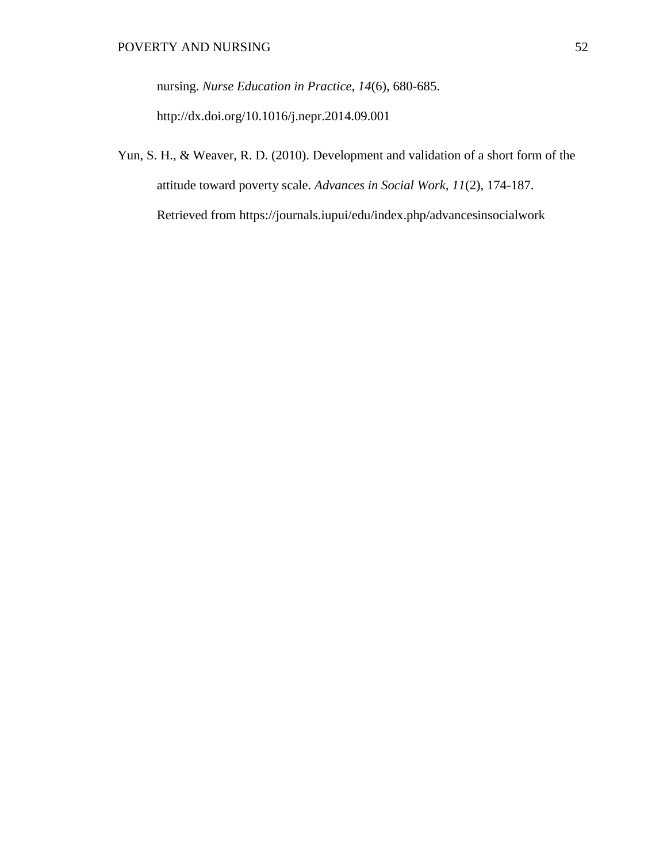nursing. *Nurse Education in Practice, 14*(6), 680-685.

<http://dx.doi.org/10.1016/j.nepr.2014.09.001>

Yun, S. H., & Weaver, R. D. (2010). Development and validation of a short form of the attitude toward poverty scale. *Advances in Social Work, 11*(2), 174-187. Retrieved from https://journals.iupui/edu/index.php/advancesinsocialwork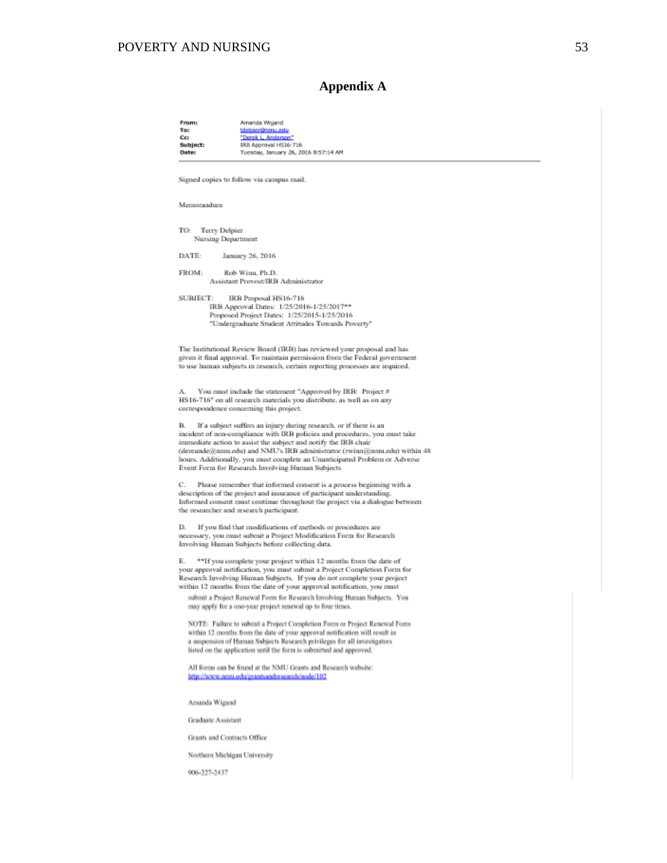#### POVERTY AND NURSING 53

#### **Appendix A**

From: Amanda Woand To: <u>bielpier@nmu.edu</u><br>"Dorek L. Anderson" ce. IRB Approval HS16-716 Subject: Tuesday, January 26, 2016 8:57:14 AM Date: Signed copies to follow via campus mail. Memorandum TO: Terry Delpier Nursing Department DATE: January 26, 2016 FROM: Rob Winn, Ph.D. Assistant Provost/IRB Administrator SUBJECT: IRB Proposal HS16-716 IRB Approval Dates: 1/25/2016-1/25/2017\*\* Proposed Project Dates: 1/25/2015-1/25/2016 "Undergraduate Student Attitudes Towards Poverty" The Institutional Review Board (IRB) has reviewed your proposal and has given it final approval. To maintain permission from the Federal government to use human subjects in research, certain reporting processes are required. You must include the statement "Approved by IRB: Project # HS16-716" on all research materials you distribute, as well as on any correspondence concerning this project. If a subject suffers an injury during research, or if there is an В. incident of non-compliance with IRB policies and procedures, you must take immediate action to assist the subject and notify the IRB chair (dereande@nmu.edu) and NMU's IRB administrator (rwinn@nmu.edu) within 48 hours. Additionally, you must complete an Unanticipated Problem or Adverse Event Form for Research Involving Human Subjects О. Please remember that informed consent is a process beginning with a description of the project and insurance of participant understanding Informed consent must continue throughout the project via a dialogue between the researcher and research participant. If you find that modifications of methods or procedures are D. necessary, you must submit a Project Modification Form for Research Involving Human Subjects before collecting data. E. \*\*If you complete your project within 12 months from the date of your approval notification, you must submit a Project Completion Form for Research Involving Human Subjects. If you do not complete your project within 12 months from the date of your approval notification, you must submit a Project Renewal Form for Research Involving Human Subjects. You may apply for a one-year project renewal up to four times. NOTE: Failure to submit a Project Completion Form or Project Renewal Form within 12 months from the date of your approval notification will result in a suspension of Human Subjects Research privileges for all investigators listed on the application until the form is submitted and approved. All forms can be found at the NMU Grants and Research website: /www.nmu.edu/grantsandresearch/node/102 **betps:** Amanda Wigand Graduate Assistant Grants and Contracts Office

Northern Michigan University

906-227-2437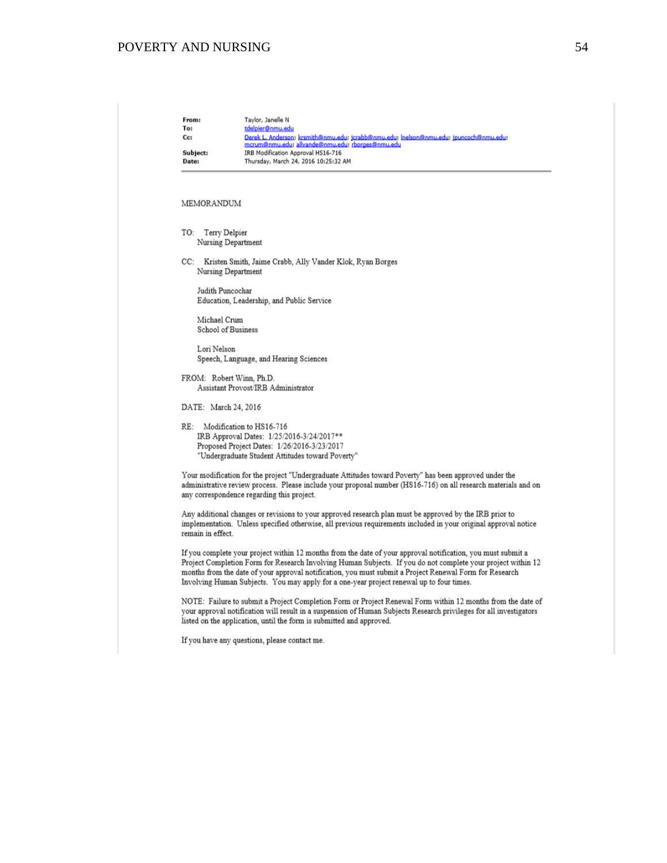## POVERTY AND NURSING 54

| From:<br>To:<br>Cc:<br>Subject:<br>Date: | Taylor, Janelle N<br>tdelpier@nmu.edu<br>Derek L. Anderson; krsmith@nmu.edu; jcrabb@nmu.edu; Inelson@nmu.edu; jpuncoch@nmu.edu;<br>mcrum@nmu.edu; allvande@nmu.edu; rborges@nmu.edu<br>IRB Modification Approval HS16-716<br>Thursday, March 24, 2016 10:25:32 AM                                                                                                                                                                   |
|------------------------------------------|-------------------------------------------------------------------------------------------------------------------------------------------------------------------------------------------------------------------------------------------------------------------------------------------------------------------------------------------------------------------------------------------------------------------------------------|
| MEMORANDUM                               |                                                                                                                                                                                                                                                                                                                                                                                                                                     |
| TO:                                      | Terry Delpier<br>Nursing Department                                                                                                                                                                                                                                                                                                                                                                                                 |
| CC:                                      | Kristen Smith, Jaime Crabb, Ally Vander Klok, Ryan Borges<br>Nursing Department                                                                                                                                                                                                                                                                                                                                                     |
|                                          | Judith Puncochar<br>Education, Leadership, and Public Service                                                                                                                                                                                                                                                                                                                                                                       |
| Michael Crum                             | <b>School of Business</b>                                                                                                                                                                                                                                                                                                                                                                                                           |
| Lori Nelson                              | Speech, Language, and Hearing Sciences                                                                                                                                                                                                                                                                                                                                                                                              |
|                                          | FROM: Robert Winn, Ph.D.<br>Assistant Provost/IRB Administrator                                                                                                                                                                                                                                                                                                                                                                     |
| DATE: March 24, 2016                     |                                                                                                                                                                                                                                                                                                                                                                                                                                     |
| RE:                                      | Modification to HS16-716<br>IRB Approval Dates: 1/25/2016-3/24/2017**<br>Proposed Project Dates: 1/26/2016-3/23/2017<br>"Undergraduate Student Attitudes toward Poverty"                                                                                                                                                                                                                                                            |
|                                          | Your modification for the project "Undergraduate Attitudes toward Poverty" has been approved under the<br>administrative review process. Please include your proposal number (HS16-716) on all research materials and on<br>any correspondence regarding this project.                                                                                                                                                              |
| remain in effect.                        | Any additional changes or revisions to your approved research plan must be approved by the IRB prior to<br>implementation. Unless specified otherwise, all previous requirements included in your original approval notice                                                                                                                                                                                                          |
|                                          | If you complete your project within 12 months from the date of your approval notification, you must submit a<br>Project Completion Form for Research Involving Human Subjects. If you do not complete your project within 12<br>months from the date of your approval notification, you must submit a Project Renewal Form for Research<br>Involving Human Subjects. You may apply for a one-year project renewal up to four times. |
|                                          | NOTE: Failure to submit a Project Completion Form or Project Renewal Form within 12 months from the date of<br>your approval notification will result in a suspension of Human Subjects Research privileges for all investigators<br>listed on the application, until the form is submitted and approved.                                                                                                                           |

If you have any questions, please contact me.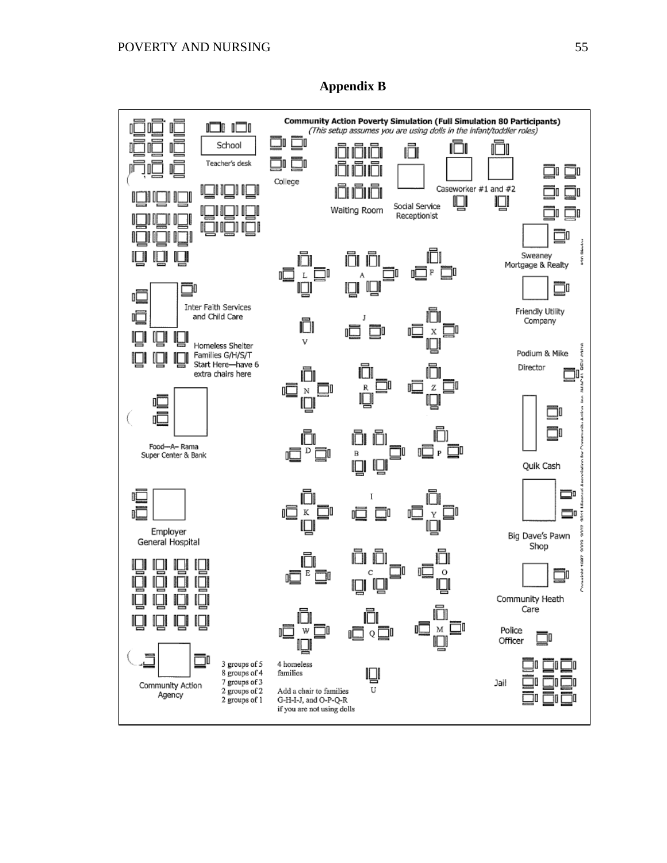

**Appendix B**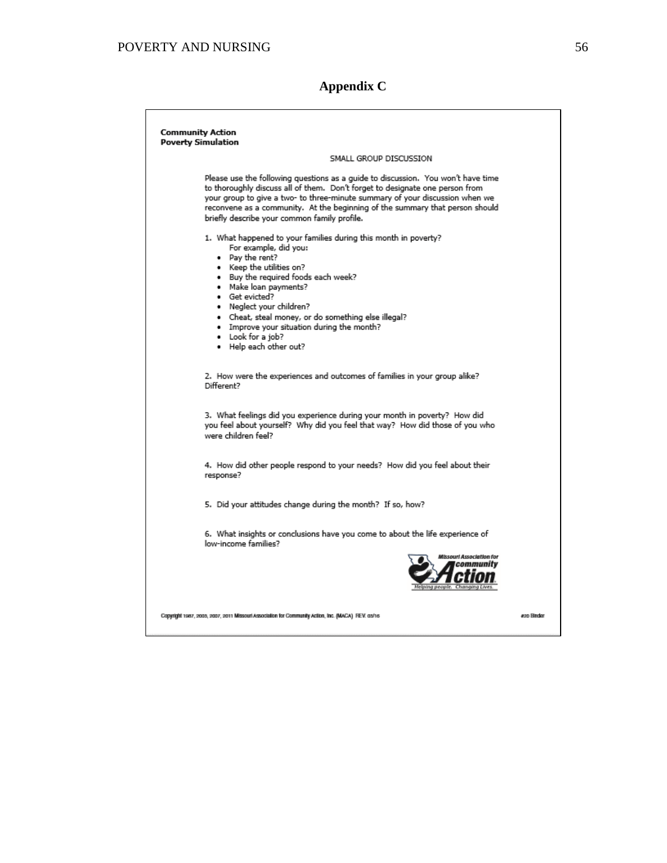## POVERTY AND NURSING 56

**Appendix C**

| <b>Community Action</b><br><b>Poverty Simulation</b>                                                                                                                                                                                                                                                                                                                                                      |            |
|-----------------------------------------------------------------------------------------------------------------------------------------------------------------------------------------------------------------------------------------------------------------------------------------------------------------------------------------------------------------------------------------------------------|------------|
| SMALL GROUP DISCUSSION                                                                                                                                                                                                                                                                                                                                                                                    |            |
| Please use the following questions as a quide to discussion. You won't have time<br>to thoroughly discuss all of them. Don't forget to designate one person from<br>your group to give a two- to three-minute summary of your discussion when we<br>reconvene as a community. At the beginning of the summary that person should<br>briefly describe your common family profile.                          |            |
| 1. What happened to your families during this month in poverty?<br>For example, did you:<br>• Pay the rent?<br>• Keep the utilities on?<br>. Buy the required foods each week?<br>· Make loan payments?<br>· Get evicted?<br>· Neglect your children?<br>. Cheat, steal money, or do something else illegal?<br>. Improve your situation during the month?<br>• Look for a job?<br>. Help each other out? |            |
| 2. How were the experiences and outcomes of families in your group alike?<br>Different?                                                                                                                                                                                                                                                                                                                   |            |
| 3. What feelings did you experience during your month in poverty? How did<br>you feel about yourself? Why did you feel that way? How did those of you who<br>were children feel?                                                                                                                                                                                                                          |            |
| 4. How did other people respond to your needs? How did you feel about their<br>response?                                                                                                                                                                                                                                                                                                                  |            |
| 5. Did your attitudes change during the month? If so, how?                                                                                                                                                                                                                                                                                                                                                |            |
| 6. What insights or conclusions have you come to about the life experience of<br>low-income families?                                                                                                                                                                                                                                                                                                     |            |
| Wissouri Association for                                                                                                                                                                                                                                                                                                                                                                                  |            |
| Copyright 1987, 2003, 2007, 2011 Missouri Association for Community Action, Inc. (MACA) REV. 03/16                                                                                                                                                                                                                                                                                                        | aon Bindar |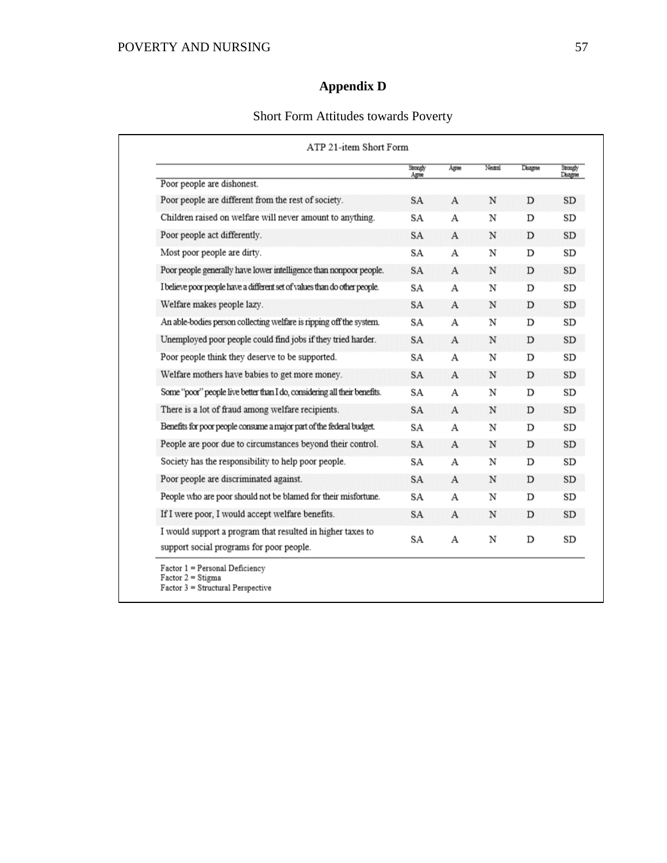# **Appendix D**

## Short Form Attitudes towards Poverty

|                                                                            | Strongly<br>Agree | Agree        | Neutral | Disagree | Strongly<br>Disagree |
|----------------------------------------------------------------------------|-------------------|--------------|---------|----------|----------------------|
| Poor people are dishonest.                                                 |                   |              |         |          |                      |
| Poor people are different from the rest of society.                        | <b>SA</b>         | $\mathbf{A}$ | N       | D        | <b>SD</b>            |
| Children raised on welfare will never amount to anything.                  | SA                | А            | N       | D        | SD                   |
| Poor people act differently.                                               | <b>SA</b>         | $\mathbf{A}$ | N       | D        | <b>SD</b>            |
| Most poor people are dirty.                                                | SA                | А            | N       | D        | SD                   |
| Poor people generally have lower intelligence than nonpoor people.         | SA                | $\mathbf{A}$ | N       | D        | SD                   |
| I believe poor people have a different set of values than do other people. | SA                | А            | N       | D        | SD                   |
| Welfare makes people lazy.                                                 | <b>SA</b>         | $\mathbf{A}$ | N       | D        | <b>SD</b>            |
| An able-bodies person collecting welfare is ripping off the system.        | SA                | А            | N       | D        | SD                   |
| Unemployed poor people could find jobs if they tried harder.               | <b>SA</b>         | A            | N       | D        | <b>SD</b>            |
| Poor people think they deserve to be supported.                            | SA                | А            | N       | D        | SD                   |
| Welfare mothers have babies to get more money.                             | <b>SA</b>         | $\mathbf{A}$ | N       | D        | <b>SD</b>            |
| Some "poor" people live better than I do, considering all their benefits.  | SA                | А            | Ν       | D        | SD                   |
| There is a lot of fraud among welfare recipients.                          | <b>SA</b>         | $\mathbf{A}$ | N       | D        | <b>SD</b>            |
| Benefits for poor people consume a major part of the federal budget.       | SA                | А            | N       | D        | SD                   |
| People are poor due to circumstances beyond their control.                 | <b>SA</b>         | $\mathbf{A}$ | N       | D        | <b>SD</b>            |
| Society has the responsibility to help poor people.                        | SA                | А            | N       | D        | <b>SD</b>            |
| Poor people are discriminated against.                                     | <b>SA</b>         | A            | N       | D        | SD                   |
| People who are poor should not be blamed for their misfortune.             | SA                | А            | N       | D        | SD                   |
| If I were poor, I would accept welfare benefits.                           | <b>SA</b>         | A            | Ν       | D        | SD                   |
| I would support a program that resulted in higher taxes to                 |                   |              |         |          |                      |
| support social programs for poor people.                                   | SA                | А            | N       | D        | SD                   |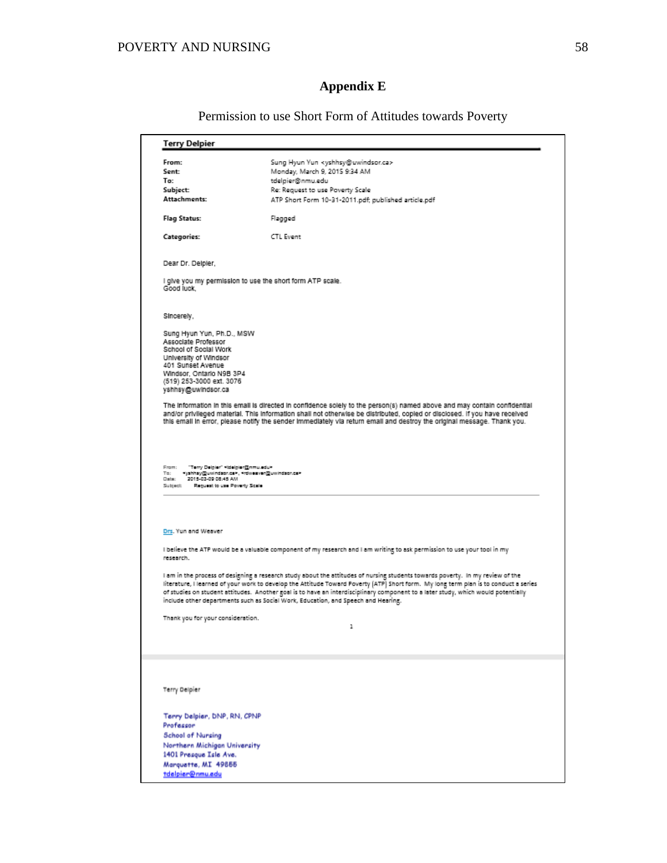# **Appendix E**

Permission to use Short Form of Attitudes towards Poverty

| From:                                                                                                                                                                                                                                                                                                                                                                                                                                | Sung Hyun Yun <yshhsy@uwindsor.ca></yshhsy@uwindsor.ca>                                                                                                                                                                                                                                                                                                                                                                                                                                          |
|--------------------------------------------------------------------------------------------------------------------------------------------------------------------------------------------------------------------------------------------------------------------------------------------------------------------------------------------------------------------------------------------------------------------------------------|--------------------------------------------------------------------------------------------------------------------------------------------------------------------------------------------------------------------------------------------------------------------------------------------------------------------------------------------------------------------------------------------------------------------------------------------------------------------------------------------------|
|                                                                                                                                                                                                                                                                                                                                                                                                                                      |                                                                                                                                                                                                                                                                                                                                                                                                                                                                                                  |
| Sent:                                                                                                                                                                                                                                                                                                                                                                                                                                | Monday, March 9, 2015 9:34 AM                                                                                                                                                                                                                                                                                                                                                                                                                                                                    |
| To:                                                                                                                                                                                                                                                                                                                                                                                                                                  | tdelpier@nmu.edu                                                                                                                                                                                                                                                                                                                                                                                                                                                                                 |
| Subject:                                                                                                                                                                                                                                                                                                                                                                                                                             | Re: Request to use Poverty Scale                                                                                                                                                                                                                                                                                                                                                                                                                                                                 |
| Attachments:                                                                                                                                                                                                                                                                                                                                                                                                                         | ATP Short Form 10-31-2011.pdf; published article.pdf                                                                                                                                                                                                                                                                                                                                                                                                                                             |
| <b>Flag Status:</b>                                                                                                                                                                                                                                                                                                                                                                                                                  | Flagged                                                                                                                                                                                                                                                                                                                                                                                                                                                                                          |
| <b>Categories:</b>                                                                                                                                                                                                                                                                                                                                                                                                                   | CTL Event                                                                                                                                                                                                                                                                                                                                                                                                                                                                                        |
| Dear Dr. Delpier,                                                                                                                                                                                                                                                                                                                                                                                                                    |                                                                                                                                                                                                                                                                                                                                                                                                                                                                                                  |
| Good luck.                                                                                                                                                                                                                                                                                                                                                                                                                           | I give you my permission to use the short form ATP scale.                                                                                                                                                                                                                                                                                                                                                                                                                                        |
| Sincerely,                                                                                                                                                                                                                                                                                                                                                                                                                           |                                                                                                                                                                                                                                                                                                                                                                                                                                                                                                  |
| Sung Hyun Yun, Ph.D., MSW<br>Associate Professor<br>School of Social Work<br>University of Windsor<br>401 Sunset Avenue<br>Windsor, Ontario N9B 3P4<br>(519) 253-3000 ext. 3076<br>yshhsy@uwindsor.ca                                                                                                                                                                                                                                |                                                                                                                                                                                                                                                                                                                                                                                                                                                                                                  |
|                                                                                                                                                                                                                                                                                                                                                                                                                                      | The information in this email is directed in confidence solely to the person(s) named above and may contain confidential<br>and/or privileged material. This information shall not otherwise be distributed, copied or disclosed. If you have received<br>this email in error, please notify the sender immediately via return email and destroy the original message. Thank you.                                                                                                                |
|                                                                                                                                                                                                                                                                                                                                                                                                                                      |                                                                                                                                                                                                                                                                                                                                                                                                                                                                                                  |
|                                                                                                                                                                                                                                                                                                                                                                                                                                      |                                                                                                                                                                                                                                                                                                                                                                                                                                                                                                  |
|                                                                                                                                                                                                                                                                                                                                                                                                                                      |                                                                                                                                                                                                                                                                                                                                                                                                                                                                                                  |
|                                                                                                                                                                                                                                                                                                                                                                                                                                      | I believe the ATP would be a valuable component of my research and I am writing to ask permission to use your tool in my                                                                                                                                                                                                                                                                                                                                                                         |
|                                                                                                                                                                                                                                                                                                                                                                                                                                      | I am in the process of designing a research study about the attitudes of nursing students towards poverty. In my review of the<br>literature, I learned of your work to develop the Attitude Toward Poverty [ATP] Short form. My long term plan is to conduct a series<br>of studies on student attitudes. Another goal is to have an interdisciplinary component to a later study, which would potentially<br>include other departments such as Social Work, Education, and Speech and Hearing. |
|                                                                                                                                                                                                                                                                                                                                                                                                                                      | ı                                                                                                                                                                                                                                                                                                                                                                                                                                                                                                |
|                                                                                                                                                                                                                                                                                                                                                                                                                                      |                                                                                                                                                                                                                                                                                                                                                                                                                                                                                                  |
|                                                                                                                                                                                                                                                                                                                                                                                                                                      |                                                                                                                                                                                                                                                                                                                                                                                                                                                                                                  |
|                                                                                                                                                                                                                                                                                                                                                                                                                                      |                                                                                                                                                                                                                                                                                                                                                                                                                                                                                                  |
|                                                                                                                                                                                                                                                                                                                                                                                                                                      |                                                                                                                                                                                                                                                                                                                                                                                                                                                                                                  |
|                                                                                                                                                                                                                                                                                                                                                                                                                                      |                                                                                                                                                                                                                                                                                                                                                                                                                                                                                                  |
|                                                                                                                                                                                                                                                                                                                                                                                                                                      |                                                                                                                                                                                                                                                                                                                                                                                                                                                                                                  |
|                                                                                                                                                                                                                                                                                                                                                                                                                                      |                                                                                                                                                                                                                                                                                                                                                                                                                                                                                                  |
|                                                                                                                                                                                                                                                                                                                                                                                                                                      |                                                                                                                                                                                                                                                                                                                                                                                                                                                                                                  |
| From: "Terry Delgier" videlgier@nmu.edu><br>To: • yahhay@uwindaor.ca>, *rdwesven@uwindaor.ca><br>Date: 2015-03-09 08:45 AM<br>Subject: Reguest to use Poverty Scale<br>Drs. Yun and Weaver<br>research.<br>Thank you for your consideration.<br>Terry Delpier<br>Terry Delpier, DNP, RN, CPNP<br>Professor<br>School of Nursing<br>Northern Michigan University<br>1401 Presque Isle Ave.<br>Marquette, MI 49855<br>tdelpier@nmu.edu |                                                                                                                                                                                                                                                                                                                                                                                                                                                                                                  |